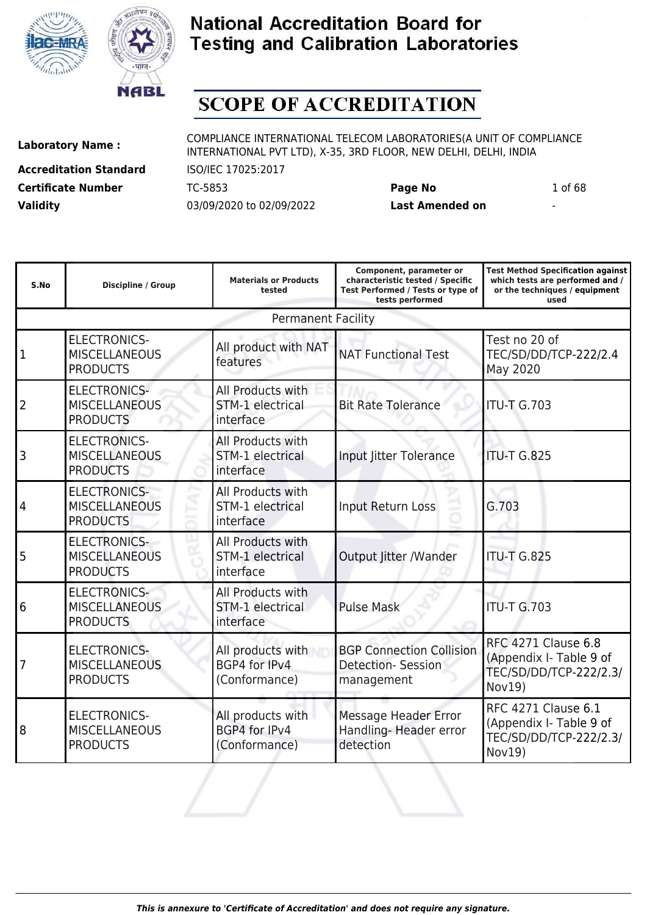



# **SCOPE OF ACCREDITATION**

ı

**Accreditation Standard** ISO/IEC 17025:2017 **Certificate Number** TC-5853 **Page No** 1 of 68 **Validity** 03/09/2020 to 02/09/2022 **Last Amended on** -

**Laboratory Name :** COMPLIANCE INTERNATIONAL TELECOM LABORATORIES(A UNIT OF COMPLIANCE INTERNATIONAL PVT LTD), X-35, 3RD FLOOR, NEW DELHI, DELHI, INDIA

ı

**Component, parameter or**

**Test Method Specification against**

| S.No           | Discipline / Group                                             | <b>Materials or Products</b><br>tested                    | characteristic tested / Specific<br>Test Performed / Tests or type of<br>tests performed | which tests are performed and /<br>or the techniques / equipment<br>used                  |
|----------------|----------------------------------------------------------------|-----------------------------------------------------------|------------------------------------------------------------------------------------------|-------------------------------------------------------------------------------------------|
|                |                                                                | <b>Permanent Facility</b>                                 |                                                                                          |                                                                                           |
| 1              | <b>ELECTRONICS-</b><br><b>MISCELLANEOUS</b><br><b>PRODUCTS</b> | All product with NAT<br>features                          | <b>NAT Functional Test</b>                                                               | Test no 20 of<br>TEC/SD/DD/TCP-222/2.4<br>May 2020                                        |
| $\overline{2}$ | <b>ELECTRONICS-</b><br><b>MISCELLANEOUS</b><br><b>PRODUCTS</b> | All Products with<br><b>STM-1 electrical</b><br>interface | <b>Bit Rate Tolerance</b>                                                                | <b>ITU-T G.703</b>                                                                        |
| 3              | <b>ELECTRONICS-</b><br><b>MISCELLANEOUS</b><br><b>PRODUCTS</b> | All Products with<br>STM-1 electrical<br>interface        | Input Jitter Tolerance                                                                   | <b>ITU-T G.825</b>                                                                        |
| 4              | <b>ELECTRONICS-</b><br><b>MISCELLANEOUS</b><br><b>PRODUCTS</b> | All Products with<br>STM-1 electrical<br>interface        | Input Return Loss                                                                        | G.703                                                                                     |
| 5              | <b>ELECTRONICS-</b><br><b>MISCELLANEOUS</b><br><b>PRODUCTS</b> | All Products with<br>STM-1 electrical<br>interface        | Output Jitter /Wander                                                                    | <b>ITU-T G.825</b>                                                                        |
| 6              | <b>ELECTRONICS-</b><br><b>MISCELLANEOUS</b><br><b>PRODUCTS</b> | All Products with<br>STM-1 electrical<br>interface        | <b>Pulse Mask</b>                                                                        | <b>ITU-T G.703</b>                                                                        |
| 7              | <b>ELECTRONICS-</b><br><b>MISCELLANEOUS</b><br><b>PRODUCTS</b> | All products with<br>BGP4 for IPv4<br>(Conformance)       | <b>BGP Connection Collision</b><br><b>Detection- Session</b><br>management               | <b>RFC 4271 Clause 6.8</b><br>(Appendix I- Table 9 of<br>TEC/SD/DD/TCP-222/2.3/<br>Nov19) |
| 8              | <b>ELECTRONICS-</b><br><b>MISCELLANEOUS</b><br><b>PRODUCTS</b> | All products with<br>BGP4 for IPv4<br>(Conformance)       | <b>Message Header Error</b><br>Handling- Header error<br>detection                       | <b>RFC 4271 Clause 6.1</b><br>(Appendix I- Table 9 of<br>TEC/SD/DD/TCP-222/2.3/<br>Nov19) |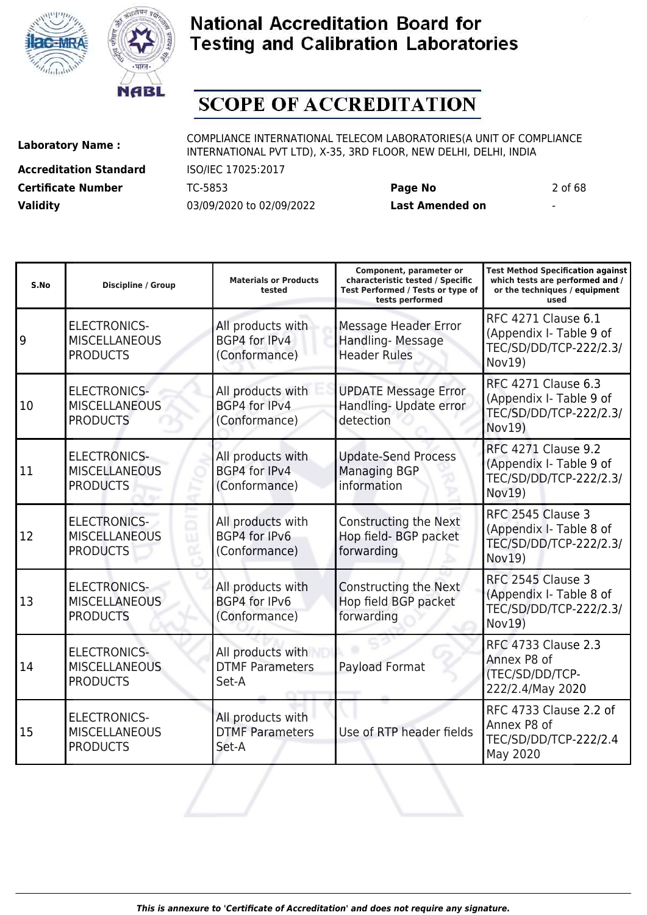



# **SCOPE OF ACCREDITATION**

ı

**Accreditation Standard** ISO/IEC 17025:2017 **Certificate Number** TC-5853 **Page No** 2 of 68 **Validity** 03/09/2020 to 02/09/2022 **Last Amended on** -

**Laboratory Name :** COMPLIANCE INTERNATIONAL TELECOM LABORATORIES(A UNIT OF COMPLIANCE INTERNATIONAL PVT LTD), X-35, 3RD FLOOR, NEW DELHI, DELHI, INDIA

ı

**Test Method Specification against**

| S.No | <b>Discipline / Group</b>                                      | <b>Materials or Products</b><br>tested                     | characteristic tested / Specific<br>Test Performed / Tests or type of<br>tests performed | which tests are performed and /<br>or the techniques / equipment<br>used                         |
|------|----------------------------------------------------------------|------------------------------------------------------------|------------------------------------------------------------------------------------------|--------------------------------------------------------------------------------------------------|
| 9    | <b>ELECTRONICS-</b><br><b>MISCELLANEOUS</b><br><b>PRODUCTS</b> | All products with<br>BGP4 for IPv4<br>(Conformance)        | <b>Message Header Error</b><br>Handling-Message<br><b>Header Rules</b>                   | <b>RFC 4271 Clause 6.1</b><br>(Appendix I- Table 9 of<br>TEC/SD/DD/TCP-222/2.3/<br>Nov19)        |
| 10   | <b>ELECTRONICS-</b><br><b>MISCELLANEOUS</b><br><b>PRODUCTS</b> | All products with<br>BGP4 for IPv4<br>(Conformance)        | <b>UPDATE Message Error</b><br>Handling- Update error<br>detection                       | <b>RFC 4271 Clause 6.3</b><br>(Appendix I- Table 9 of<br>TEC/SD/DD/TCP-222/2.3/<br>Nov19)        |
| 11   | <b>ELECTRONICS-</b><br><b>MISCELLANEOUS</b><br><b>PRODUCTS</b> | All products with<br><b>BGP4 for IPv4</b><br>(Conformance) | <b>Update-Send Process</b><br><b>Managing BGP</b><br>information                         | <b>RFC 4271 Clause 9.2</b><br>(Appendix I- Table 9 of<br>TEC/SD/DD/TCP-222/2.3/<br><b>Nov19)</b> |
| 12   | <b>ELECTRONICS-</b><br><b>MISCELLANEOUS</b><br><b>PRODUCTS</b> | All products with<br>BGP4 for IPv6<br>(Conformance)        | Constructing the Next<br>Hop field- BGP packet<br>forwarding                             | RFC 2545 Clause 3<br>(Appendix I- Table 8 of<br>TEC/SD/DD/TCP-222/2.3/<br>Nov19)                 |
| 13   | <b>ELECTRONICS-</b><br><b>MISCELLANEOUS</b><br><b>PRODUCTS</b> | All products with<br>BGP4 for IPv6<br>(Conformance)        | Constructing the Next<br>Hop field BGP packet<br>forwarding                              | RFC 2545 Clause 3<br>(Appendix I- Table 8 of<br>TEC/SD/DD/TCP-222/2.3/<br>Nov19)                 |
| 14   | <b>ELECTRONICS-</b><br><b>MISCELLANEOUS</b><br><b>PRODUCTS</b> | All products with<br><b>DTMF Parameters</b><br>Set-A       | Payload Format                                                                           | <b>RFC 4733 Clause 2.3</b><br>Annex P8 of<br>(TEC/SD/DD/TCP-<br>222/2.4/May 2020                 |
| 15   | <b>ELECTRONICS-</b><br><b>MISCELLANEOUS</b><br><b>PRODUCTS</b> | All products with<br><b>DTMF Parameters</b><br>Set-A       | Use of RTP header fields                                                                 | RFC 4733 Clause 2.2 of<br>Annex P8 of<br>TEC/SD/DD/TCP-222/2.4<br>May 2020                       |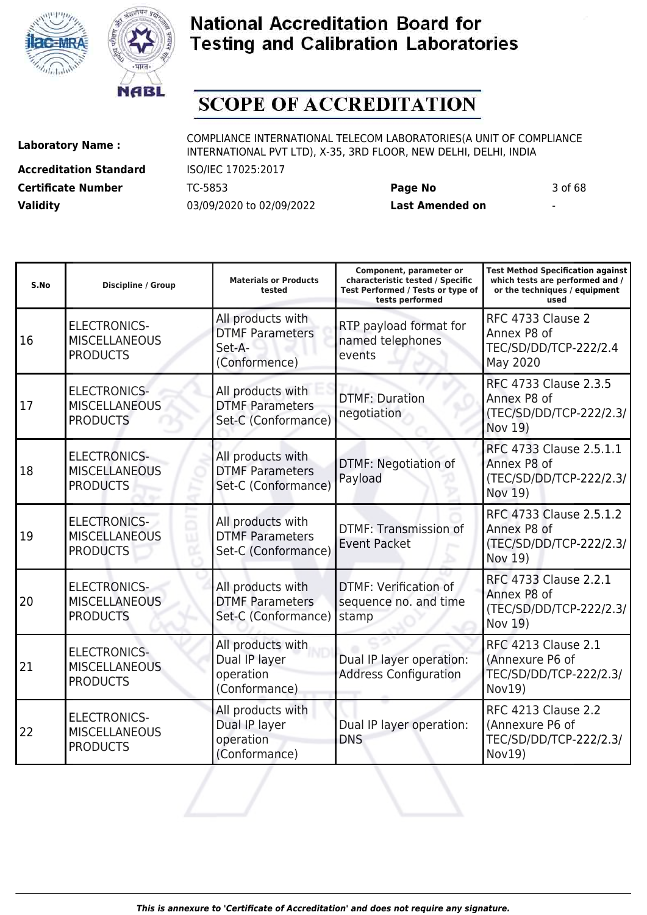



# **SCOPE OF ACCREDITATION**

I

**Accreditation Standard** ISO/IEC 17025:2017 **Certificate Number** TC-5853 **Page No** 3 of 68 **Validity** 03/09/2020 to 02/09/2022 **Last Amended on** -

**Laboratory Name :** COMPLIANCE INTERNATIONAL TELECOM LABORATORIES(A UNIT OF COMPLIANCE INTERNATIONAL PVT LTD), X-35, 3RD FLOOR, NEW DELHI, DELHI, INDIA

**Component, parameter or**

**Test Method Specification against**

| S.No | <b>Discipline / Group</b>                                      | <b>Materials or Products</b><br>tested                                 | characteristic tested / Specific<br>Test Performed / Tests or type of<br>tests performed | which tests are performed and /<br>or the techniques / equipment<br>used          |
|------|----------------------------------------------------------------|------------------------------------------------------------------------|------------------------------------------------------------------------------------------|-----------------------------------------------------------------------------------|
| 16   | <b>ELECTRONICS-</b><br><b>MISCELLANEOUS</b><br><b>PRODUCTS</b> | All products with<br><b>DTMF Parameters</b><br>Set-A-<br>(Conformence) | RTP payload format for<br>named telephones<br>events                                     | RFC 4733 Clause 2<br>Annex P8 of<br>TEC/SD/DD/TCP-222/2.4<br>May 2020             |
| 17   | <b>ELECTRONICS-</b><br><b>MISCELLANEOUS</b><br><b>PRODUCTS</b> | All products with<br><b>DTMF Parameters</b><br>Set-C (Conformance)     | <b>DTMF: Duration</b><br>negotiation                                                     | RFC 4733 Clause 2.3.5<br>Annex P8 of<br>(TEC/SD/DD/TCP-222/2.3/<br>Nov 19)        |
| 18   | <b>ELECTRONICS-</b><br><b>MISCELLANEOUS</b><br><b>PRODUCTS</b> | All products with<br><b>DTMF Parameters</b><br>Set-C (Conformance)     | DTMF: Negotiation of<br>Payload                                                          | RFC 4733 Clause 2.5.1.1<br>Annex P8 of<br>(TEC/SD/DD/TCP-222/2.3/<br>Nov 19)      |
| 19   | <b>ELECTRONICS-</b><br><b>MISCELLANEOUS</b><br><b>PRODUCTS</b> | All products with<br><b>DTMF Parameters</b><br>Set-C (Conformance)     | <b>DTMF: Transmission of</b><br><b>Event Packet</b>                                      | RFC 4733 Clause 2.5.1.2<br>Annex P8 of<br>(TEC/SD/DD/TCP-222/2.3/<br>Nov 19)      |
| 20   | <b>ELECTRONICS-</b><br><b>MISCELLANEOUS</b><br><b>PRODUCTS</b> | All products with<br><b>DTMF Parameters</b><br>Set-C (Conformance)     | DTMF: Verification of<br>sequence no. and time<br>stamp                                  | RFC 4733 Clause 2.2.1<br>Annex P8 of<br>(TEC/SD/DD/TCP-222/2.3/<br>Nov 19)        |
| 21   | <b>ELECTRONICS-</b><br><b>MISCELLANEOUS</b><br><b>PRODUCTS</b> | All products with<br>Dual IP layer<br>operation<br>(Conformance)       | Dual IP layer operation:<br><b>Address Configuration</b>                                 | <b>RFC 4213 Clause 2.1</b><br>(Annexure P6 of<br>TEC/SD/DD/TCP-222/2.3/<br>Nov19) |
| 22   | <b>ELECTRONICS-</b><br><b>MISCELLANEOUS</b><br><b>PRODUCTS</b> | All products with<br>Dual IP layer<br>operation<br>(Conformance)       | Dual IP layer operation:<br><b>DNS</b>                                                   | <b>RFC 4213 Clause 2.2</b><br>(Annexure P6 of<br>TEC/SD/DD/TCP-222/2.3/<br>Nov19) |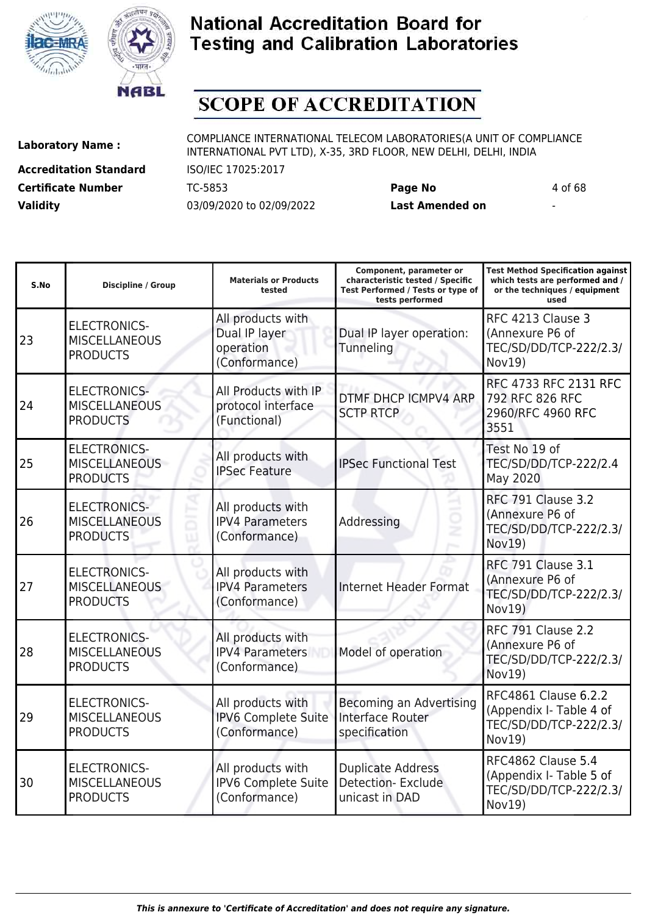



# **SCOPE OF ACCREDITATION**

**Accreditation Standard** ISO/IEC 17025:2017 **Certificate Number** TC-5853 **Page No** 4 of 68 **Validity** 03/09/2020 to 02/09/2022 **Last Amended on** -

**Laboratory Name :** COMPLIANCE INTERNATIONAL TELECOM LABORATORIES(A UNIT OF COMPLIANCE INTERNATIONAL PVT LTD), X-35, 3RD FLOOR, NEW DELHI, DELHI, INDIA

| S.No | <b>Discipline / Group</b>                                      | <b>Materials or Products</b><br>tested                           | Component, parameter or<br>characteristic tested / Specific<br>Test Performed / Tests or type of<br>tests performed | <b>Test Method Specification against</b><br>which tests are performed and /<br>or the techniques / equipment<br>used |
|------|----------------------------------------------------------------|------------------------------------------------------------------|---------------------------------------------------------------------------------------------------------------------|----------------------------------------------------------------------------------------------------------------------|
| 23   | <b>ELECTRONICS-</b><br><b>MISCELLANEOUS</b><br><b>PRODUCTS</b> | All products with<br>Dual IP layer<br>operation<br>(Conformance) | Dual IP layer operation:<br>Tunneling                                                                               | RFC 4213 Clause 3<br>(Annexure P6 of<br>TEC/SD/DD/TCP-222/2.3/<br>Nov19)                                             |
| 24   | <b>ELECTRONICS-</b><br><b>MISCELLANEOUS</b><br><b>PRODUCTS</b> | All Products with IP<br>protocol interface<br>(Functional)       | DTMF DHCP ICMPV4 ARP<br><b>SCTP RTCP</b>                                                                            | RFC 4733 RFC 2131 RFC<br>792 RFC 826 RFC<br>2960/RFC 4960 RFC<br>3551                                                |
| 25   | <b>ELECTRONICS-</b><br><b>MISCELLANEOUS</b><br><b>PRODUCTS</b> | All products with<br><b>IPSec Feature</b>                        | <b>IPSec Functional Test</b>                                                                                        | Test No 19 of<br>TEC/SD/DD/TCP-222/2.4<br>May 2020                                                                   |
| 26   | <b>ELECTRONICS-</b><br><b>MISCELLANEOUS</b><br><b>PRODUCTS</b> | All products with<br><b>IPV4 Parameters</b><br>(Conformance)     | Addressing                                                                                                          | <b>RFC 791 Clause 3.2</b><br>(Annexure P6 of<br>TEC/SD/DD/TCP-222/2.3/<br>Nov19)                                     |
| 27   | <b>ELECTRONICS-</b><br><b>MISCELLANEOUS</b><br><b>PRODUCTS</b> | All products with<br><b>IPV4 Parameters</b><br>(Conformance)     | <b>Internet Header Format</b>                                                                                       | <b>RFC 791 Clause 3.1</b><br>(Annexure P6 of<br>TEC/SD/DD/TCP-222/2.3/<br>Nov19)                                     |
| 28   | <b>ELECTRONICS-</b><br><b>MISCELLANEOUS</b><br><b>PRODUCTS</b> | All products with<br><b>IPV4 Parameters</b><br>(Conformance)     | Model of operation                                                                                                  | <b>RFC 791 Clause 2.2</b><br>(Annexure P6 of<br>TEC/SD/DD/TCP-222/2.3/<br>Nov19)                                     |
| 29   | <b>ELECTRONICS-</b><br><b>MISCELLANEOUS</b><br><b>PRODUCTS</b> | All products with<br><b>IPV6 Complete Suite</b><br>(Conformance) | Becoming an Advertising<br>Interface Router<br>specification                                                        | RFC4861 Clause 6.2.2<br>(Appendix I- Table 4 of<br>TEC/SD/DD/TCP-222/2.3/<br>Nov19)                                  |
| 30   | <b>ELECTRONICS-</b><br><b>MISCELLANEOUS</b><br><b>PRODUCTS</b> | All products with<br><b>IPV6 Complete Suite</b><br>(Conformance) | <b>Duplicate Address</b><br><b>Detection-Exclude</b><br>unicast in DAD                                              | RFC4862 Clause 5.4<br>(Appendix I- Table 5 of<br>TEC/SD/DD/TCP-222/2.3/<br>Nov19)                                    |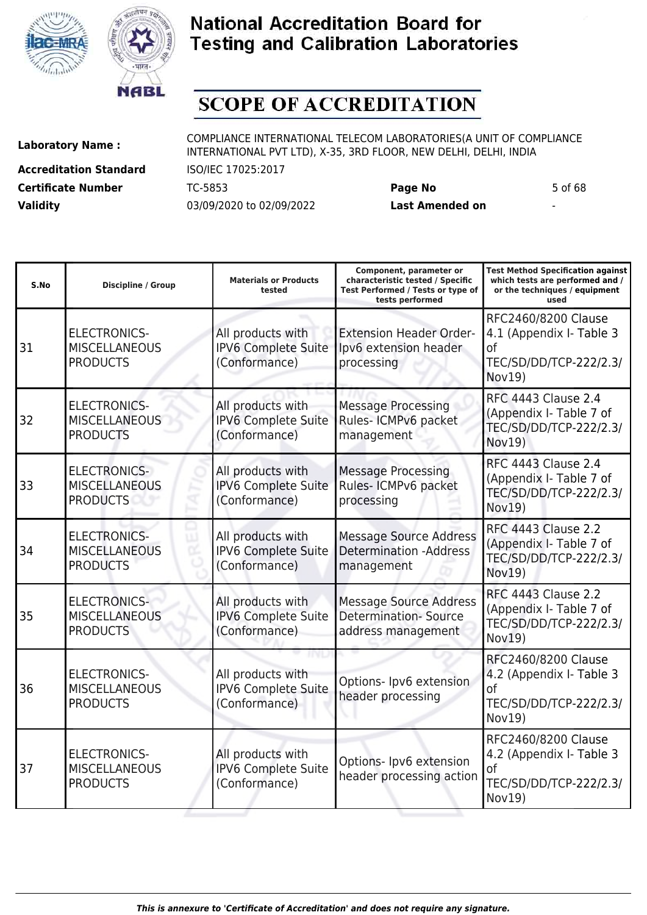



# **SCOPE OF ACCREDITATION**

ı

**Accreditation Standard** ISO/IEC 17025:2017 **Certificate Number** TC-5853 **Page No** 5 of 68 **Validity** 03/09/2020 to 02/09/2022 **Last Amended on** -

**Laboratory Name :** COMPLIANCE INTERNATIONAL TELECOM LABORATORIES(A UNIT OF COMPLIANCE INTERNATIONAL PVT LTD), X-35, 3RD FLOOR, NEW DELHI, DELHI, INDIA

**Component, parameter or**

**Test Method Specification against**

| S.No | <b>Discipline / Group</b>                                      | <b>Materials or Products</b><br>tested                           | characteristic tested / Specific<br>Test Performed / Tests or type of<br>tests performed | which tests are performed and /<br>or the techniques / equipment<br>used                         |
|------|----------------------------------------------------------------|------------------------------------------------------------------|------------------------------------------------------------------------------------------|--------------------------------------------------------------------------------------------------|
| 31   | <b>ELECTRONICS-</b><br><b>MISCELLANEOUS</b><br><b>PRODUCTS</b> | All products with<br>IPV6 Complete Suite<br>(Conformance)        | <b>Extension Header Order-</b><br>Ipv6 extension header<br>processing                    | RFC2460/8200 Clause<br>4.1 (Appendix I- Table 3<br>0f<br>TEC/SD/DD/TCP-222/2.3/<br>Nov19)        |
| 32   | <b>ELECTRONICS-</b><br><b>MISCELLANEOUS</b><br><b>PRODUCTS</b> | All products with<br>IPV6 Complete Suite<br>(Conformance)        | <b>Message Processing</b><br>Rules- ICMPv6 packet<br>management                          | <b>RFC 4443 Clause 2.4</b><br>(Appendix I- Table 7 of<br>TEC/SD/DD/TCP-222/2.3/<br>Nov19)        |
| 33   | <b>ELECTRONICS-</b><br><b>MISCELLANEOUS</b><br><b>PRODUCTS</b> | All products with<br><b>IPV6 Complete Suite</b><br>(Conformance) | <b>Message Processing</b><br>Rules- ICMPv6 packet<br>processing                          | <b>RFC 4443 Clause 2.4</b><br>(Appendix I- Table 7 of<br>TEC/SD/DD/TCP-222/2.3/<br>Nov19)        |
| 34   | <b>ELECTRONICS-</b><br><b>MISCELLANEOUS</b><br><b>PRODUCTS</b> | All products with<br><b>IPV6 Complete Suite</b><br>(Conformance) | <b>Message Source Address</b><br><b>Determination -Address</b><br>management             | <b>RFC 4443 Clause 2.2</b><br>(Appendix I- Table 7 of<br>TEC/SD/DD/TCP-222/2.3/<br><b>Nov19)</b> |
| 35   | <b>ELECTRONICS-</b><br><b>MISCELLANEOUS</b><br><b>PRODUCTS</b> | All products with<br><b>IPV6 Complete Suite</b><br>(Conformance) | <b>Message Source Address</b><br><b>Determination-Source</b><br>address management       | <b>RFC 4443 Clause 2.2</b><br>(Appendix I- Table 7 of<br>TEC/SD/DD/TCP-222/2.3/<br>Nov19)        |
| 36   | <b>ELECTRONICS-</b><br><b>MISCELLANEOUS</b><br><b>PRODUCTS</b> | All products with<br>IPV6 Complete Suite<br>(Conformance)        | Options- Ipv6 extension<br>header processing                                             | RFC2460/8200 Clause<br>4.2 (Appendix I- Table 3<br>0f<br>TEC/SD/DD/TCP-222/2.3/<br>Nov19)        |
| 37   | <b>ELECTRONICS-</b><br><b>MISCELLANEOUS</b><br><b>PRODUCTS</b> | All products with<br>IPV6 Complete Suite<br>(Conformance)        | Options- Ipv6 extension<br>header processing action                                      | RFC2460/8200 Clause<br>4.2 (Appendix I- Table 3<br>οf<br>TEC/SD/DD/TCP-222/2.3/<br>Nov19)        |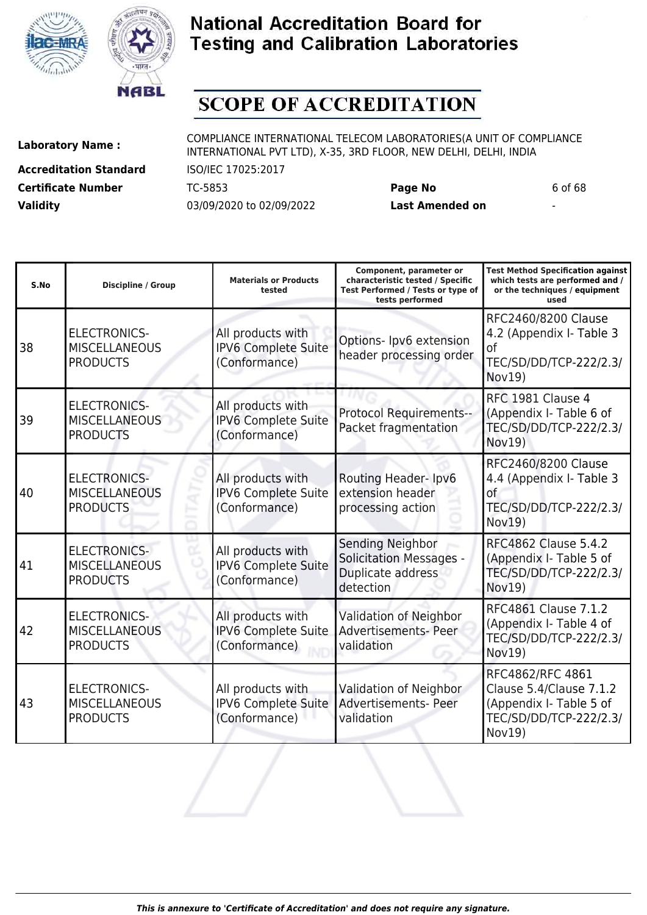



# **SCOPE OF ACCREDITATION**

**Accreditation Standard** ISO/IEC 17025:2017 **Certificate Number** TC-5853 **Page No** 6 of 68 **Validity** 03/09/2020 to 02/09/2022 **Last Amended on** -

**Laboratory Name :** COMPLIANCE INTERNATIONAL TELECOM LABORATORIES(A UNIT OF COMPLIANCE INTERNATIONAL PVT LTD), X-35, 3RD FLOOR, NEW DELHI, DELHI, INDIA

| S.No | <b>Discipline / Group</b>                                      | <b>Materials or Products</b><br>tested                    | Component, parameter or<br>characteristic tested / Specific<br>Test Performed / Tests or type of<br>tests performed | <b>Test Method Specification against</b><br>which tests are performed and /<br>or the techniques / equipment<br>used |
|------|----------------------------------------------------------------|-----------------------------------------------------------|---------------------------------------------------------------------------------------------------------------------|----------------------------------------------------------------------------------------------------------------------|
| 38   | <b>ELECTRONICS-</b><br><b>MISCELLANEOUS</b><br><b>PRODUCTS</b> | All products with<br>IPV6 Complete Suite<br>(Conformance) | Options- Ipv6 extension<br>header processing order                                                                  | RFC2460/8200 Clause<br>4.2 (Appendix I- Table 3<br>οf<br>TEC/SD/DD/TCP-222/2.3/<br>Nov19)                            |
| 39   | <b>ELECTRONICS-</b><br><b>MISCELLANEOUS</b><br><b>PRODUCTS</b> | All products with<br>IPV6 Complete Suite<br>(Conformance) | <b>Protocol Requirements--</b><br>Packet fragmentation                                                              | RFC 1981 Clause 4<br>(Appendix I- Table 6 of<br>TEC/SD/DD/TCP-222/2.3/<br>Nov19)                                     |
| 40   | <b>ELECTRONICS-</b><br><b>MISCELLANEOUS</b><br><b>PRODUCTS</b> | All products with<br>IPV6 Complete Suite<br>(Conformance) | Routing Header-Ipv6<br>extension header<br>processing action                                                        | RFC2460/8200 Clause<br>4.4 (Appendix I- Table 3<br>οf<br>TEC/SD/DD/TCP-222/2.3/<br><b>Nov19)</b>                     |
| 41   | <b>ELECTRONICS-</b><br><b>MISCELLANEOUS</b><br><b>PRODUCTS</b> | All products with<br>IPV6 Complete Suite<br>(Conformance) | Sending Neighbor<br><b>Solicitation Messages -</b><br>Duplicate address<br>detection                                | <b>RFC4862 Clause 5.4.2</b><br>(Appendix I- Table 5 of<br>TEC/SD/DD/TCP-222/2.3/<br>Nov19)                           |
| 42   | <b>ELECTRONICS-</b><br><b>MISCELLANEOUS</b><br><b>PRODUCTS</b> | All products with<br>IPV6 Complete Suite<br>(Conformance) | <b>Validation of Neighbor</b><br>Advertisements- Peer<br>validation                                                 | <b>RFC4861 Clause 7.1.2</b><br>(Appendix I- Table 4 of<br>TEC/SD/DD/TCP-222/2.3/<br><b>Nov19)</b>                    |
| 43   | <b>ELECTRONICS-</b><br><b>MISCELLANEOUS</b><br><b>PRODUCTS</b> | All products with<br>IPV6 Complete Suite<br>(Conformance) | <b>Validation of Neighbor</b><br><b>Advertisements- Peer</b><br>validation                                          | RFC4862/RFC 4861<br>Clause 5.4/Clause 7.1.2<br>(Appendix I- Table 5 of<br>TEC/SD/DD/TCP-222/2.3/<br>Nov19)           |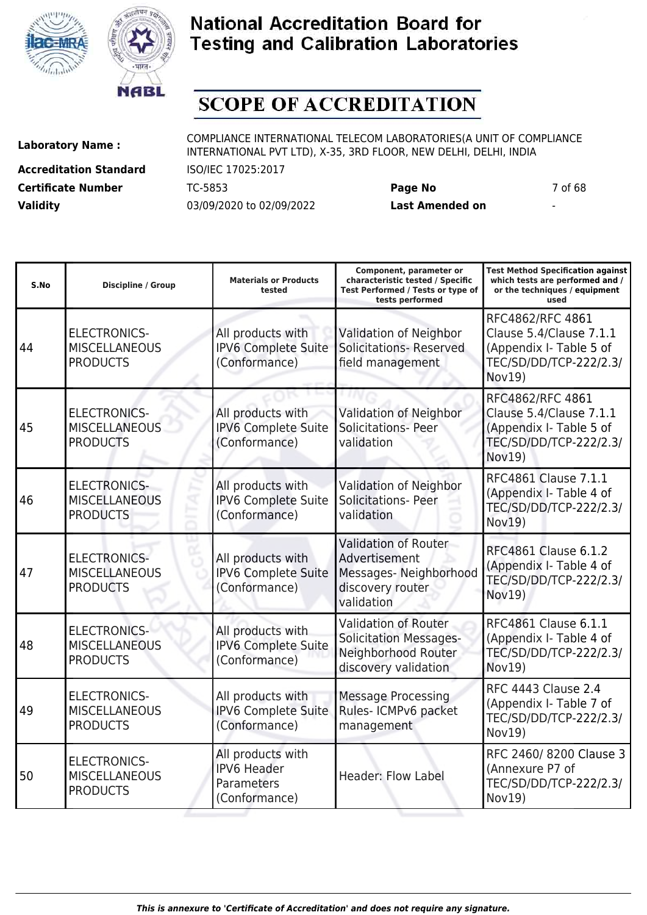



# **SCOPE OF ACCREDITATION**

**Accreditation Standard** ISO/IEC 17025:2017 **Certificate Number** TC-5853 **Page No** 7 of 68 **Validity** 03/09/2020 to 02/09/2022 **Last Amended on** -

| S.No | <b>Discipline / Group</b>                                      | <b>Materials or Products</b><br>tested                                 | Component, parameter or<br>characteristic tested / Specific<br>Test Performed / Tests or type of<br>tests performed | Test Method Specification against<br>which tests are performed and /<br>or the techniques / equipment<br>used     |
|------|----------------------------------------------------------------|------------------------------------------------------------------------|---------------------------------------------------------------------------------------------------------------------|-------------------------------------------------------------------------------------------------------------------|
| 44   | <b>ELECTRONICS-</b><br><b>MISCELLANEOUS</b><br><b>PRODUCTS</b> | All products with<br>IPV6 Complete Suite<br>(Conformance)              | Validation of Neighbor<br><b>Solicitations- Reserved</b><br>field management                                        | RFC4862/RFC 4861<br>Clause 5.4/Clause 7.1.1<br>(Appendix I- Table 5 of<br>TEC/SD/DD/TCP-222/2.3/<br>Nov19)        |
| 45   | <b>ELECTRONICS-</b><br><b>MISCELLANEOUS</b><br><b>PRODUCTS</b> | All products with<br><b>IPV6 Complete Suite</b><br>(Conformance)       | Validation of Neighbor<br><b>Solicitations- Peer</b><br>validation                                                  | RFC4862/RFC 4861<br>Clause 5.4/Clause 7.1.1<br>(Appendix I- Table 5 of<br>TEC/SD/DD/TCP-222/2.3/<br><b>Nov19)</b> |
| 46   | <b>ELECTRONICS-</b><br><b>MISCELLANEOUS</b><br><b>PRODUCTS</b> | All products with<br>IPV6 Complete Suite<br>(Conformance)              | Validation of Neighbor<br><b>Solicitations- Peer</b><br>validation                                                  | RFC4861 Clause 7.1.1<br>(Appendix I- Table 4 of<br>TEC/SD/DD/TCP-222/2.3/<br><b>Nov19)</b>                        |
| 47   | <b>ELECTRONICS-</b><br><b>MISCELLANEOUS</b><br><b>PRODUCTS</b> | All products with<br><b>IPV6 Complete Suite</b><br>(Conformance)       | <b>Validation of Router</b><br>Advertisement<br>Messages-Neighborhood<br>discovery router<br>validation             | RFC4861 Clause 6.1.2<br>(Appendix I- Table 4 of<br>TEC/SD/DD/TCP-222/2.3/<br>Nov19)                               |
| 48   | <b>ELECTRONICS-</b><br><b>MISCELLANEOUS</b><br><b>PRODUCTS</b> | All products with<br><b>IPV6 Complete Suite</b><br>(Conformance)       | <b>Validation of Router</b><br><b>Solicitation Messages-</b><br>Neighborhood Router<br>discovery validation         | RFC4861 Clause 6.1.1<br>(Appendix I- Table 4 of<br>TEC/SD/DD/TCP-222/2.3/<br><b>Nov19)</b>                        |
| 49   | <b>ELECTRONICS-</b><br><b>MISCELLANEOUS</b><br><b>PRODUCTS</b> | All products with<br><b>IPV6 Complete Suite</b><br>(Conformance)       | <b>Message Processing</b><br>Rules- ICMPv6 packet<br>management                                                     | <b>RFC 4443 Clause 2.4</b><br>(Appendix I- Table 7 of<br>TEC/SD/DD/TCP-222/2.3/<br>Nov19)                         |
| 50   | <b>ELECTRONICS-</b><br><b>MISCELLANEOUS</b><br><b>PRODUCTS</b> | All products with<br><b>IPV6 Header</b><br>Parameters<br>(Conformance) | <b>Header: Flow Label</b>                                                                                           | RFC 2460/8200 Clause 3<br>(Annexure P7 of<br>TEC/SD/DD/TCP-222/2.3/<br>Nov19)                                     |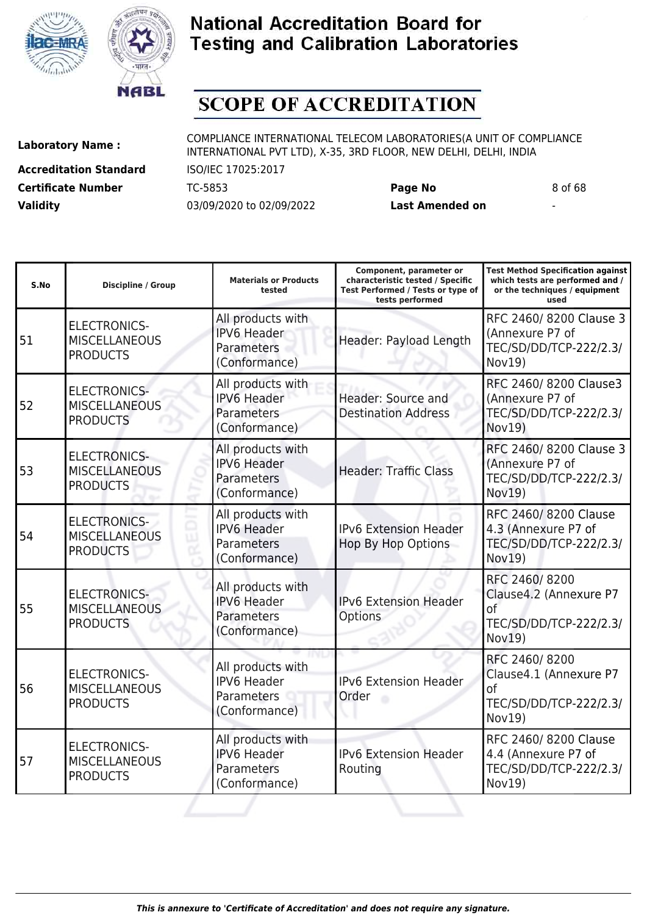



# **SCOPE OF ACCREDITATION**

**Accreditation Standard** ISO/IEC 17025:2017 **Certificate Number** TC-5853 **Page No** 8 of 68 **Validity** 03/09/2020 to 02/09/2022 **Last Amended on** -

**Laboratory Name :** COMPLIANCE INTERNATIONAL TELECOM LABORATORIES(A UNIT OF COMPLIANCE INTERNATIONAL PVT LTD), X-35, 3RD FLOOR, NEW DELHI, DELHI, INDIA

**Test Method Specification against**

| S.No | <b>Discipline / Group</b>                                      | <b>Materials or Products</b><br>tested                                 | characteristic tested / Specific<br>Test Performed / Tests or type of<br>tests performed | which tests are performed and /<br>or the techniques / equipment<br>used          |
|------|----------------------------------------------------------------|------------------------------------------------------------------------|------------------------------------------------------------------------------------------|-----------------------------------------------------------------------------------|
| 51   | <b>ELECTRONICS-</b><br><b>MISCELLANEOUS</b><br><b>PRODUCTS</b> | All products with<br><b>IPV6 Header</b><br>Parameters<br>(Conformance) | Header: Payload Length                                                                   | RFC 2460/8200 Clause 3<br>(Annexure P7 of<br>TEC/SD/DD/TCP-222/2.3/<br>Nov19)     |
| 52   | <b>ELECTRONICS-</b><br><b>MISCELLANEOUS</b><br><b>PRODUCTS</b> | All products with<br><b>IPV6 Header</b><br>Parameters<br>(Conformance) | Header: Source and<br><b>Destination Address</b>                                         | RFC 2460/8200 Clause3<br>(Annexure P7 of<br>TEC/SD/DD/TCP-222/2.3/<br>Nov19)      |
| 53   | <b>ELECTRONICS-</b><br><b>MISCELLANEOUS</b><br><b>PRODUCTS</b> | All products with<br><b>IPV6 Header</b><br>Parameters<br>(Conformance) | <b>Header: Traffic Class</b>                                                             | RFC 2460/8200 Clause 3<br>(Annexure P7 of<br>TEC/SD/DD/TCP-222/2.3/<br>Nov19)     |
| 54   | <b>ELECTRONICS-</b><br><b>MISCELLANEOUS</b><br><b>PRODUCTS</b> | All products with<br><b>IPV6 Header</b><br>Parameters<br>(Conformance) | <b>IPv6 Extension Header</b><br><b>Hop By Hop Options</b>                                | RFC 2460/8200 Clause<br>4.3 (Annexure P7 of<br>TEC/SD/DD/TCP-222/2.3/<br>Nov19)   |
| 55   | <b>ELECTRONICS-</b><br><b>MISCELLANEOUS</b><br><b>PRODUCTS</b> | All products with<br><b>IPV6 Header</b><br>Parameters<br>(Conformance) | <b>IPv6 Extension Header</b><br><b>Options</b>                                           | RFC 2460/8200<br>Clause4.2 (Annexure P7<br>of<br>TEC/SD/DD/TCP-222/2.3/<br>Nov19) |
| 56   | <b>ELECTRONICS-</b><br><b>MISCELLANEOUS</b><br><b>PRODUCTS</b> | All products with<br><b>IPV6 Header</b><br>Parameters<br>(Conformance) | <b>IPv6 Extension Header</b><br>Order                                                    | RFC 2460/8200<br>Clause4.1 (Annexure P7<br>of<br>TEC/SD/DD/TCP-222/2.3/<br>Nov19) |
| 57   | <b>ELECTRONICS-</b><br><b>MISCELLANEOUS</b><br><b>PRODUCTS</b> | All products with<br><b>IPV6 Header</b><br>Parameters<br>(Conformance) | IPv6 Extension Header<br>Routing                                                         | RFC 2460/8200 Clause<br>4.4 (Annexure P7 of<br>TEC/SD/DD/TCP-222/2.3/<br>Nov19)   |
|      |                                                                |                                                                        |                                                                                          |                                                                                   |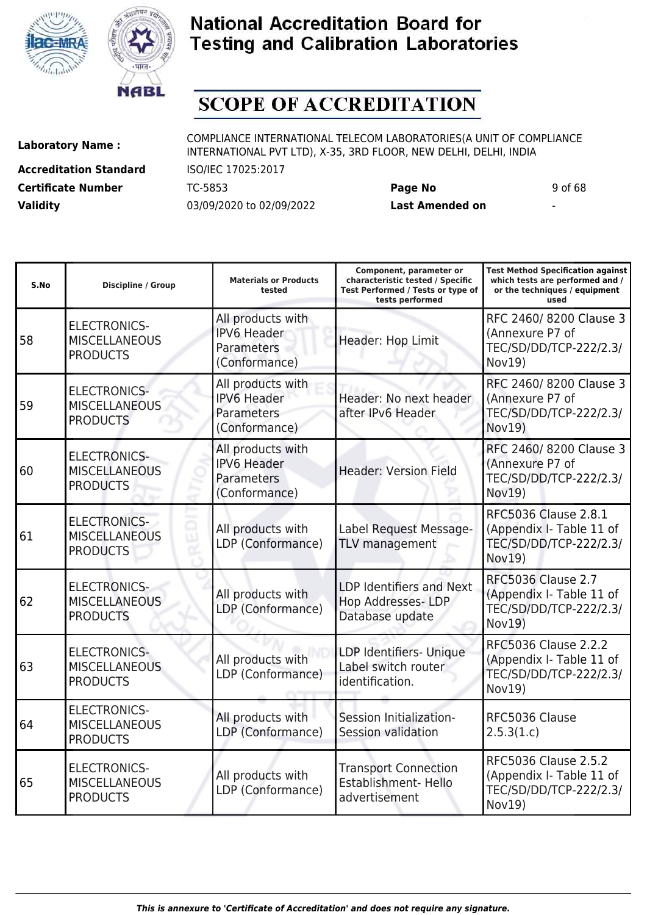



# **SCOPE OF ACCREDITATION**

**Accreditation Standard** ISO/IEC 17025:2017 **Certificate Number** TC-5853 **Page No** 9 of 68 **Validity** 03/09/2020 to 02/09/2022 **Last Amended on** -

**Laboratory Name :** COMPLIANCE INTERNATIONAL TELECOM LABORATORIES(A UNIT OF COMPLIANCE INTERNATIONAL PVT LTD), X-35, 3RD FLOOR, NEW DELHI, DELHI, INDIA

| S.No | <b>Discipline / Group</b>                                      | <b>Materials or Products</b><br>tested                                 | Component, parameter or<br>characteristic tested / Specific<br>Test Performed / Tests or type of<br>tests performed | <b>Test Method Specification against</b><br>which tests are performed and /<br>or the techniques / equipment<br>used |
|------|----------------------------------------------------------------|------------------------------------------------------------------------|---------------------------------------------------------------------------------------------------------------------|----------------------------------------------------------------------------------------------------------------------|
| 58   | <b>ELECTRONICS-</b><br><b>MISCELLANEOUS</b><br><b>PRODUCTS</b> | All products with<br><b>IPV6 Header</b><br>Parameters<br>(Conformance) | Header: Hop Limit                                                                                                   | RFC 2460/8200 Clause 3<br>(Annexure P7 of<br>TEC/SD/DD/TCP-222/2.3/<br>Nov19)                                        |
| 59   | <b>ELECTRONICS-</b><br><b>MISCELLANEOUS</b><br><b>PRODUCTS</b> | All products with<br><b>IPV6 Header</b><br>Parameters<br>(Conformance) | Header: No next header<br>after IPv6 Header                                                                         | RFC 2460/8200 Clause 3<br>(Annexure P7 of<br>TEC/SD/DD/TCP-222/2.3/<br>Nov19)                                        |
| 60   | <b>ELECTRONICS-</b><br><b>MISCELLANEOUS</b><br><b>PRODUCTS</b> | All products with<br><b>IPV6 Header</b><br>Parameters<br>(Conformance) | <b>Header: Version Field</b>                                                                                        | RFC 2460/8200 Clause 3<br>(Annexure P7 of<br>TEC/SD/DD/TCP-222/2.3/<br>Nov19)                                        |
| 61   | <b>ELECTRONICS-</b><br><b>MISCELLANEOUS</b><br><b>PRODUCTS</b> | All products with<br>LDP (Conformance)                                 | Label Request Message-<br>TLV management                                                                            | <b>RFC5036 Clause 2.8.1</b><br>(Appendix I- Table 11 of<br>TEC/SD/DD/TCP-222/2.3/<br>Nov19)                          |
| 62   | <b>ELECTRONICS-</b><br><b>MISCELLANEOUS</b><br><b>PRODUCTS</b> | All products with<br>LDP (Conformance)                                 | LDP Identifiers and Next<br>Hop Addresses-LDP<br>Database update                                                    | <b>RFC5036 Clause 2.7</b><br>(Appendix I- Table 11 of<br>TEC/SD/DD/TCP-222/2.3/<br>Nov19)                            |
| 63   | <b>ELECTRONICS-</b><br><b>MISCELLANEOUS</b><br><b>PRODUCTS</b> | All products with<br>LDP (Conformance)                                 | LDP Identifiers- Unique<br>Label switch router<br>identification.                                                   | <b>RFC5036 Clause 2.2.2</b><br>(Appendix I- Table 11 of<br>TEC/SD/DD/TCP-222/2.3/<br>Nov19)                          |
| 64   | <b>ELECTRONICS-</b><br><b>MISCELLANEOUS</b><br><b>PRODUCTS</b> | All products with<br>LDP (Conformance)                                 | Session Initialization-<br>Session validation                                                                       | RFC5036 Clause<br>2.5.3(1.c)                                                                                         |
| 65   | <b>ELECTRONICS-</b><br><b>MISCELLANEOUS</b><br><b>PRODUCTS</b> | All products with<br>LDP (Conformance)                                 | <b>Transport Connection</b><br>Establishment- Hello<br>advertisement                                                | <b>RFC5036 Clause 2.5.2</b><br>(Appendix I- Table 11 of<br>TEC/SD/DD/TCP-222/2.3/<br>Nov19)                          |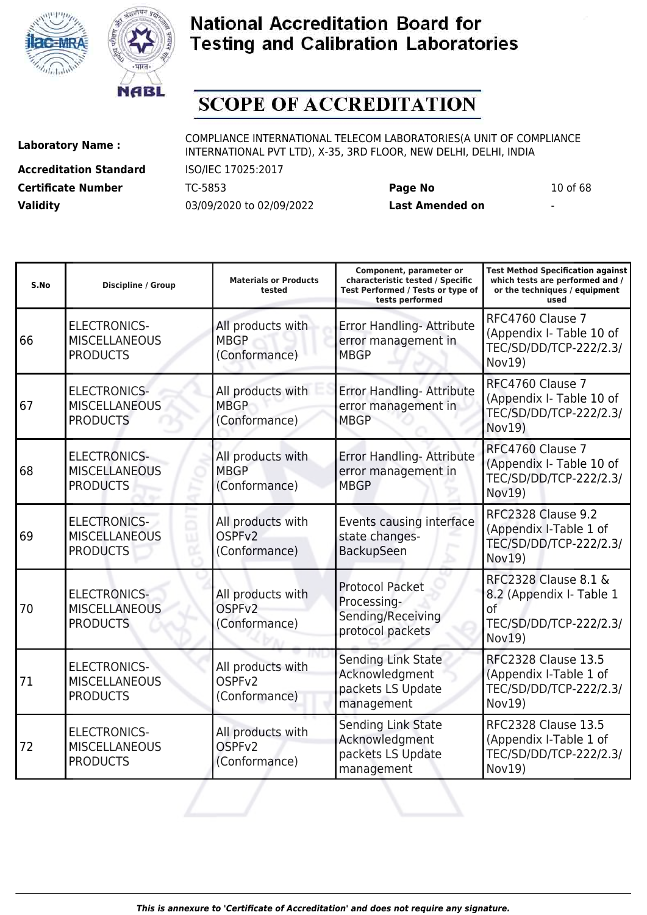



# **SCOPE OF ACCREDITATION**

**Accreditation Standard** ISO/IEC 17025:2017 **Certificate Number** TC-5853 **Page No** 10 of 68 **Validity** 03/09/2020 to 02/09/2022 **Last Amended on** -

| S.No | <b>Discipline / Group</b>                                      | <b>Materials or Products</b><br>tested                   | Component, parameter or<br>characteristic tested / Specific<br>Test Performed / Tests or type of<br>tests performed | <b>Test Method Specification against</b><br>which tests are performed and /<br>or the techniques / equipment<br>used |
|------|----------------------------------------------------------------|----------------------------------------------------------|---------------------------------------------------------------------------------------------------------------------|----------------------------------------------------------------------------------------------------------------------|
| 66   | <b>ELECTRONICS-</b><br><b>MISCELLANEOUS</b><br><b>PRODUCTS</b> | All products with<br><b>MBGP</b><br>(Conformance)        | Error Handling- Attribute<br>error management in<br><b>MBGP</b>                                                     | RFC4760 Clause 7<br>(Appendix I- Table 10 of<br>TEC/SD/DD/TCP-222/2.3/<br>Nov19)                                     |
| 67   | <b>ELECTRONICS-</b><br><b>MISCELLANEOUS</b><br><b>PRODUCTS</b> | All products with<br><b>MBGP</b><br>(Conformance)        | Error Handling- Attribute<br>error management in<br><b>MBGP</b>                                                     | RFC4760 Clause 7<br>(Appendix I- Table 10 of<br>TEC/SD/DD/TCP-222/2.3/<br><b>Nov19)</b>                              |
| 68   | <b>ELECTRONICS-</b><br><b>MISCELLANEOUS</b><br><b>PRODUCTS</b> | All products with<br><b>MBGP</b><br>(Conformance)        | Error Handling- Attribute<br>error management in<br><b>MBGP</b>                                                     | RFC4760 Clause 7<br>(Appendix I- Table 10 of<br>TEC/SD/DD/TCP-222/2.3/<br>Nov19)                                     |
| 69   | <b>ELECTRONICS-</b><br><b>MISCELLANEOUS</b><br><b>PRODUCTS</b> | All products with<br>OSPF <sub>v2</sub><br>(Conformance) | Events causing interface<br>state changes-<br>BackupSeen                                                            | RFC2328 Clause 9.2<br>(Appendix I-Table 1 of<br>TEC/SD/DD/TCP-222/2.3/<br>Nov19)                                     |
| 70   | <b>ELECTRONICS-</b><br><b>MISCELLANEOUS</b><br><b>PRODUCTS</b> | All products with<br>OSPF <sub>v2</sub><br>(Conformance) | <b>Protocol Packet</b><br>Processing-<br>Sending/Receiving<br>protocol packets                                      | <b>RFC2328 Clause 8.1 &amp;</b><br>8.2 (Appendix I- Table 1<br>of<br>TEC/SD/DD/TCP-222/2.3/<br>Nov19                 |
| 71   | <b>ELECTRONICS-</b><br><b>MISCELLANEOUS</b><br><b>PRODUCTS</b> | All products with<br>OSPF <sub>v2</sub><br>(Conformance) | Sending Link State<br>Acknowledgment<br>packets LS Update<br>management                                             | <b>RFC2328 Clause 13.5</b><br>(Appendix I-Table 1 of<br>TEC/SD/DD/TCP-222/2.3/<br>Nov19)                             |
| 72   | <b>ELECTRONICS-</b><br><b>MISCELLANEOUS</b><br><b>PRODUCTS</b> | All products with<br>OSPF <sub>v2</sub><br>(Conformance) | Sending Link State<br>Acknowledgment<br>packets LS Update<br>management                                             | <b>RFC2328 Clause 13.5</b><br>(Appendix I-Table 1 of<br>TEC/SD/DD/TCP-222/2.3/<br>Nov19)                             |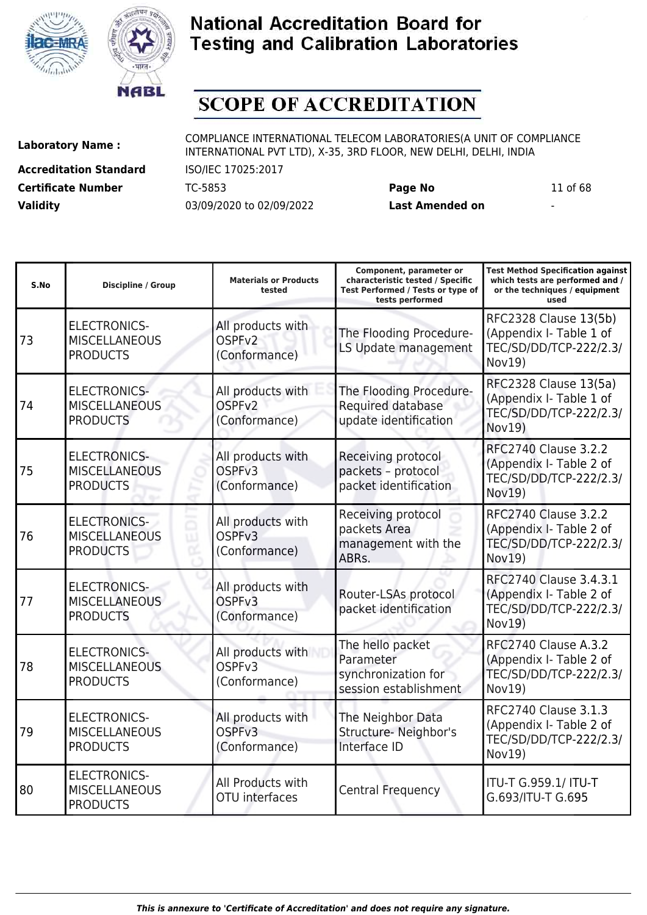



# **SCOPE OF ACCREDITATION**

**Accreditation Standard** ISO/IEC 17025:2017 **Certificate Number** TC-5853 **Page No** 11 of 68 **Validity** 03/09/2020 to 02/09/2022 **Last Amended on** -

| S.No | <b>Discipline / Group</b>                                      | <b>Materials or Products</b><br>tested                   | Component, parameter or<br>characteristic tested / Specific<br>Test Performed / Tests or type of<br>tests performed | <b>Test Method Specification against</b><br>which tests are performed and /<br>or the techniques / equipment<br>used |
|------|----------------------------------------------------------------|----------------------------------------------------------|---------------------------------------------------------------------------------------------------------------------|----------------------------------------------------------------------------------------------------------------------|
| 73   | <b>ELECTRONICS-</b><br><b>MISCELLANEOUS</b><br><b>PRODUCTS</b> | All products with<br>OSPF <sub>V2</sub><br>(Conformance) | The Flooding Procedure-<br>LS Update management                                                                     | RFC2328 Clause 13(5b)<br>(Appendix I- Table 1 of<br>TEC/SD/DD/TCP-222/2.3/<br>Nov19)                                 |
| 74   | <b>ELECTRONICS-</b><br><b>MISCELLANEOUS</b><br><b>PRODUCTS</b> | All products with<br>OSPF <sub>v2</sub><br>(Conformance) | The Flooding Procedure-<br>Required database<br>update identification                                               | RFC2328 Clause 13(5a)<br>(Appendix I- Table 1 of<br>TEC/SD/DD/TCP-222/2.3/<br>Nov19)                                 |
| 75   | <b>ELECTRONICS-</b><br><b>MISCELLANEOUS</b><br><b>PRODUCTS</b> | All products with<br>OSPF <sub>V3</sub><br>(Conformance) | Receiving protocol<br>packets - protocol<br>packet identification                                                   | <b>RFC2740 Clause 3.2.2</b><br>(Appendix I- Table 2 of<br>TEC/SD/DD/TCP-222/2.3/<br>Nov19)                           |
| 76   | <b>ELECTRONICS-</b><br><b>MISCELLANEOUS</b><br><b>PRODUCTS</b> | All products with<br>OSPF <sub>v3</sub><br>(Conformance) | Receiving protocol<br>packets Area<br>management with the<br>ABRs.                                                  | <b>RFC2740 Clause 3.2.2</b><br>(Appendix I- Table 2 of<br>TEC/SD/DD/TCP-222/2.3/<br><b>Nov19)</b>                    |
| 77   | <b>ELECTRONICS-</b><br><b>MISCELLANEOUS</b><br><b>PRODUCTS</b> | All products with<br>OSPF <sub>v3</sub><br>(Conformance) | Router-LSAs protocol<br>packet identification                                                                       | RFC2740 Clause 3.4.3.1<br>(Appendix I- Table 2 of<br>TEC/SD/DD/TCP-222/2.3/<br>Nov19)                                |
| 78   | <b>ELECTRONICS-</b><br><b>MISCELLANEOUS</b><br><b>PRODUCTS</b> | All products with<br>OSPF <sub>v3</sub><br>(Conformance) | The hello packet<br>Parameter<br>synchronization for<br>session establishment                                       | RFC2740 Clause A.3.2<br>(Appendix I- Table 2 of<br>TEC/SD/DD/TCP-222/2.3/<br>Nov19)                                  |
| 79   | <b>ELECTRONICS-</b><br><b>MISCELLANEOUS</b><br><b>PRODUCTS</b> | All products with<br>OSPF <sub>v3</sub><br>(Conformance) | The Neighbor Data<br>Structure- Neighbor's<br>Interface ID                                                          | RFC2740 Clause 3.1.3<br>(Appendix I- Table 2 of<br>TEC/SD/DD/TCP-222/2.3/<br>Nov19)                                  |
| 80   | <b>ELECTRONICS-</b><br><b>MISCELLANEOUS</b><br><b>PRODUCTS</b> | All Products with<br><b>OTU</b> interfaces               | <b>Central Frequency</b>                                                                                            | ITU-T G.959.1/ ITU-T<br>G.693/ITU-T G.695                                                                            |
|      |                                                                |                                                          |                                                                                                                     |                                                                                                                      |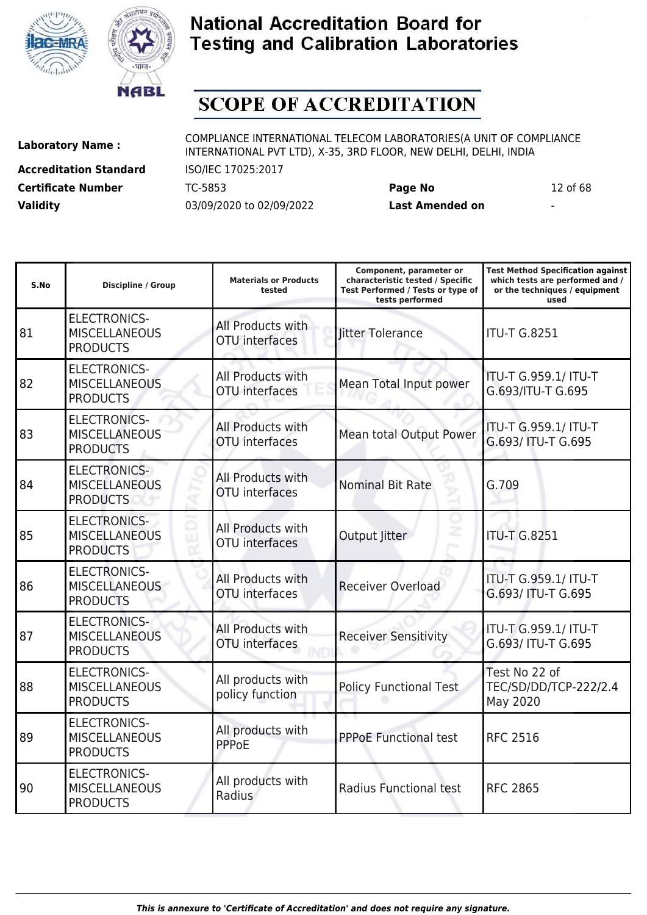



# **SCOPE OF ACCREDITATION**

ı

**Accreditation Standard** ISO/IEC 17025:2017 **Certificate Number** TC-5853 **Page No** 12 of 68 **Validity** 03/09/2020 to 02/09/2022 **Last Amended on** -

**Laboratory Name :** COMPLIANCE INTERNATIONAL TELECOM LABORATORIES(A UNIT OF COMPLIANCE INTERNATIONAL PVT LTD), X-35, 3RD FLOOR, NEW DELHI, DELHI, INDIA

**Component, parameter or**

**Test Method Specification against**

| S.No | <b>Discipline / Group</b>                                      | <b>Materials or Products</b><br>tested     | characteristic tested / Specific<br>Test Performed / Tests or type of<br>tests performed | which tests are performed and /<br>or the techniques / equipment<br>used |
|------|----------------------------------------------------------------|--------------------------------------------|------------------------------------------------------------------------------------------|--------------------------------------------------------------------------|
| 81   | <b>ELECTRONICS-</b><br><b>MISCELLANEOUS</b><br><b>PRODUCTS</b> | All Products with<br><b>OTU</b> interfaces | litter Tolerance                                                                         | <b>ITU-T G.8251</b>                                                      |
| 82   | <b>ELECTRONICS-</b><br><b>MISCELLANEOUS</b><br><b>PRODUCTS</b> | All Products with<br>OTU interfaces        | Mean Total Input power                                                                   | ITU-T G.959.1/ ITU-T<br>G.693/ITU-T G.695                                |
| 83   | <b>ELECTRONICS-</b><br><b>MISCELLANEOUS</b><br><b>PRODUCTS</b> | All Products with<br>OTU interfaces        | Mean total Output Power                                                                  | ITU-T G.959.1/ ITU-T<br>G.693/ ITU-T G.695                               |
| 84   | <b>ELECTRONICS-</b><br><b>MISCELLANEOUS</b><br><b>PRODUCTS</b> | All Products with<br><b>OTU</b> interfaces | <b>Nominal Bit Rate</b>                                                                  | G.709                                                                    |
| 85   | <b>ELECTRONICS-</b><br><b>MISCELLANEOUS</b><br><b>PRODUCTS</b> | All Products with<br>OTU interfaces        | Output Jitter                                                                            | <b>ITU-T G.8251</b>                                                      |
| 86   | <b>ELECTRONICS-</b><br><b>MISCELLANEOUS</b><br><b>PRODUCTS</b> | All Products with<br>OTU interfaces        | <b>Receiver Overload</b>                                                                 | ITU-T G.959.1/ ITU-T<br>G.693/ ITU-T G.695                               |
| 87   | <b>ELECTRONICS-</b><br><b>MISCELLANEOUS</b><br><b>PRODUCTS</b> | All Products with<br><b>OTU</b> interfaces | <b>Receiver Sensitivity</b>                                                              | ITU-T G.959.1/ ITU-T<br>G.693/ ITU-T G.695                               |
| 88   | <b>ELECTRONICS-</b><br><b>MISCELLANEOUS</b><br><b>PRODUCTS</b> | All products with<br>policy function       | <b>Policy Functional Test</b>                                                            | Test No 22 of<br>TEC/SD/DD/TCP-222/2.4<br>May 2020                       |
| 89   | <b>ELECTRONICS-</b><br><b>MISCELLANEOUS</b><br><b>PRODUCTS</b> | All products with<br><b>PPPoE</b>          | <b>PPPoE Functional test</b>                                                             | <b>RFC 2516</b>                                                          |
| 90   | <b>ELECTRONICS-</b><br><b>MISCELLANEOUS</b><br><b>PRODUCTS</b> | All products with<br>Radius                | Radius Functional test                                                                   | <b>RFC 2865</b>                                                          |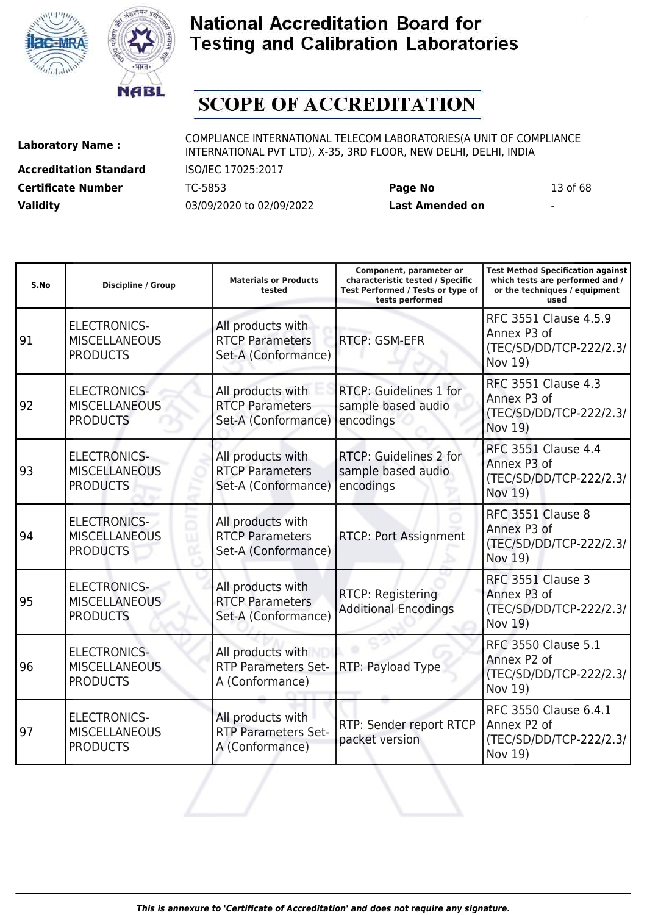



# **SCOPE OF ACCREDITATION**

**Accreditation Standard** ISO/IEC 17025:2017 **Certificate Number** TC-5853 **Page No** 13 of 68 **Validity** 03/09/2020 to 02/09/2022 **Last Amended on** -

**Laboratory Name :** COMPLIANCE INTERNATIONAL TELECOM LABORATORIES(A UNIT OF COMPLIANCE INTERNATIONAL PVT LTD), X-35, 3RD FLOOR, NEW DELHI, DELHI, INDIA

**Component, parameter or**

**Test Method Specification against**

| S.No | <b>Discipline / Group</b>                                      | <b>Materials or Products</b><br>tested                             | characteristic tested / Specific<br>Test Performed / Tests or type of<br>tests performed | which tests are performed and /<br>or the techniques / equipment<br>used        |
|------|----------------------------------------------------------------|--------------------------------------------------------------------|------------------------------------------------------------------------------------------|---------------------------------------------------------------------------------|
| 91   | <b>ELECTRONICS-</b><br><b>MISCELLANEOUS</b><br><b>PRODUCTS</b> | All products with<br><b>RTCP Parameters</b><br>Set-A (Conformance) | RTCP: GSM-EFR                                                                            | RFC 3551 Clause 4.5.9<br>Annex P3 of<br>(TEC/SD/DD/TCP-222/2.3/<br>Nov 19)      |
| 92   | <b>ELECTRONICS-</b><br><b>MISCELLANEOUS</b><br><b>PRODUCTS</b> | All products with<br><b>RTCP Parameters</b><br>Set-A (Conformance) | RTCP: Guidelines 1 for<br>sample based audio<br>encodings                                | <b>RFC 3551 Clause 4.3</b><br>Annex P3 of<br>(TEC/SD/DD/TCP-222/2.3/<br>Nov 19) |
| 93   | <b>ELECTRONICS-</b><br><b>MISCELLANEOUS</b><br><b>PRODUCTS</b> | All products with<br><b>RTCP Parameters</b><br>Set-A (Conformance) | RTCP: Guidelines 2 for<br>sample based audio<br>encodings                                | <b>RFC 3551 Clause 4.4</b><br>Annex P3 of<br>(TEC/SD/DD/TCP-222/2.3/<br>Nov 19) |
| 94   | <b>ELECTRONICS-</b><br><b>MISCELLANEOUS</b><br><b>PRODUCTS</b> | All products with<br><b>RTCP Parameters</b><br>Set-A (Conformance) | <b>RTCP: Port Assignment</b>                                                             | RFC 3551 Clause 8<br>Annex P3 of<br>(TEC/SD/DD/TCP-222/2.3/<br>Nov 19)          |
| 95   | <b>ELECTRONICS-</b><br><b>MISCELLANEOUS</b><br><b>PRODUCTS</b> | All products with<br><b>RTCP Parameters</b><br>Set-A (Conformance) | RTCP: Registering<br><b>Additional Encodings</b>                                         | RFC 3551 Clause 3<br>Annex P3 of<br>(TEC/SD/DD/TCP-222/2.3/<br>Nov 19)          |
| 96   | <b>ELECTRONICS-</b><br><b>MISCELLANEOUS</b><br><b>PRODUCTS</b> | All products with<br><b>RTP Parameters Set-</b><br>A (Conformance) | RTP: Payload Type                                                                        | <b>RFC 3550 Clause 5.1</b><br>Annex P2 of<br>(TEC/SD/DD/TCP-222/2.3/<br>Nov 19) |
| 97   | <b>ELECTRONICS-</b><br><b>MISCELLANEOUS</b><br><b>PRODUCTS</b> | All products with<br><b>RTP Parameters Set-</b><br>A (Conformance) | RTP: Sender report RTCP<br>packet version                                                | RFC 3550 Clause 6.4.1<br>Annex P2 of<br>(TEC/SD/DD/TCP-222/2.3/<br>Nov 19)      |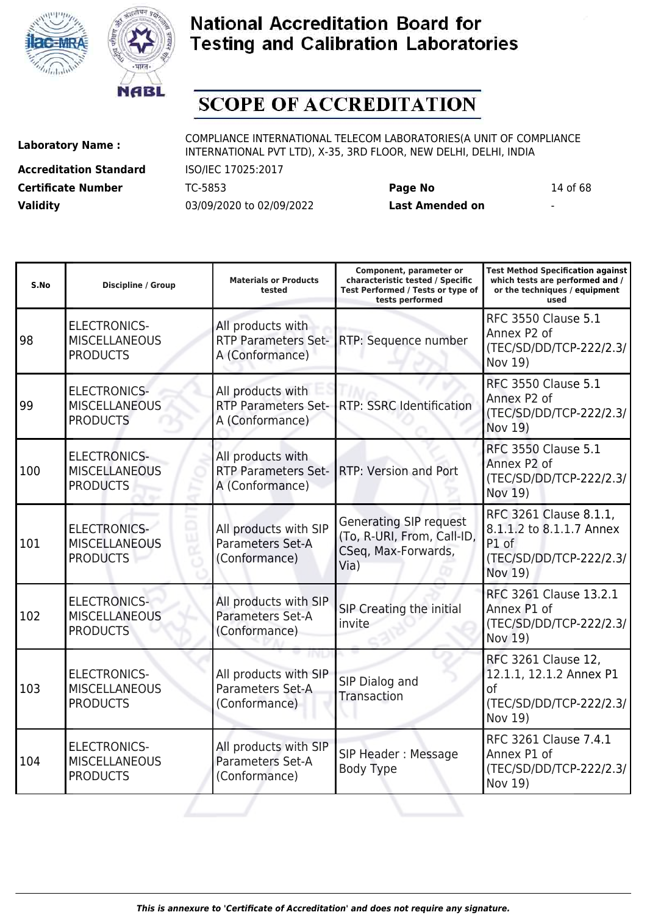



# **SCOPE OF ACCREDITATION**

**Accreditation Standard** ISO/IEC 17025:2017 **Certificate Number** TC-5853 **Page No** 14 of 68 **Validity** 03/09/2020 to 02/09/2022 **Last Amended on** -

**Laboratory Name :** COMPLIANCE INTERNATIONAL TELECOM LABORATORIES(A UNIT OF COMPLIANCE INTERNATIONAL PVT LTD), X-35, 3RD FLOOR, NEW DELHI, DELHI, INDIA

**Test Method Specification against**

| S.No | <b>Discipline / Group</b>                                      | <b>Materials or Products</b><br>tested                             | characteristic tested / Specific<br>Test Performed / Tests or type of<br>tests performed   | which tests are performed and /<br>or the techniques / equipment<br>used                          |
|------|----------------------------------------------------------------|--------------------------------------------------------------------|--------------------------------------------------------------------------------------------|---------------------------------------------------------------------------------------------------|
| 98   | <b>ELECTRONICS-</b><br><b>MISCELLANEOUS</b><br><b>PRODUCTS</b> | All products with<br><b>RTP Parameters Set-</b><br>A (Conformance) | RTP: Sequence number                                                                       | <b>RFC 3550 Clause 5.1</b><br>Annex P2 of<br>(TEC/SD/DD/TCP-222/2.3/<br>Nov 19)                   |
| 99   | <b>ELECTRONICS-</b><br><b>MISCELLANEOUS</b><br><b>PRODUCTS</b> | All products with<br><b>RTP Parameters Set-</b><br>A (Conformance) | <b>RTP: SSRC Identification</b>                                                            | <b>RFC 3550 Clause 5.1</b><br>Annex P2 of<br>(TEC/SD/DD/TCP-222/2.3/<br><b>Nov 19)</b>            |
| 100  | <b>ELECTRONICS-</b><br><b>MISCELLANEOUS</b><br><b>PRODUCTS</b> | All products with<br><b>RTP Parameters Set-</b><br>A (Conformance) | RTP: Version and Port                                                                      | <b>RFC 3550 Clause 5.1</b><br>Annex P2 of<br>(TEC/SD/DD/TCP-222/2.3/<br>Nov 19)                   |
| 101  | <b>ELECTRONICS-</b><br><b>MISCELLANEOUS</b><br><b>PRODUCTS</b> | All products with SIP<br>Parameters Set-A<br>(Conformance)         | <b>Generating SIP request</b><br>(To, R-URI, From, Call-ID,<br>CSeq, Max-Forwards,<br>Via) | RFC 3261 Clause 8.1.1,<br>8.1.1.2 to 8.1.1.7 Annex<br>P1 of<br>(TEC/SD/DD/TCP-222/2.3/<br>Nov 19) |
| 102  | <b>ELECTRONICS-</b><br><b>MISCELLANEOUS</b><br><b>PRODUCTS</b> | All products with SIP<br>Parameters Set-A<br>(Conformance)         | SIP Creating the initial<br>invite                                                         | RFC 3261 Clause 13.2.1<br>Annex P1 of<br>(TEC/SD/DD/TCP-222/2.3/<br>Nov 19)                       |
| 103  | <b>ELECTRONICS-</b><br><b>MISCELLANEOUS</b><br><b>PRODUCTS</b> | All products with SIP<br>Parameters Set-A<br>(Conformance)         | SIP Dialog and<br>Transaction                                                              | RFC 3261 Clause 12,<br>12.1.1, 12.1.2 Annex P1<br>of<br>(TEC/SD/DD/TCP-222/2.3/<br>Nov 19)        |
| 104  | <b>ELECTRONICS-</b><br><b>MISCELLANEOUS</b><br><b>PRODUCTS</b> | All products with SIP<br>Parameters Set-A<br>(Conformance)         | SIP Header: Message<br><b>Body Type</b>                                                    | RFC 3261 Clause 7.4.1<br>Annex P1 of<br>(TEC/SD/DD/TCP-222/2.3/<br>Nov 19)                        |
|      |                                                                |                                                                    |                                                                                            |                                                                                                   |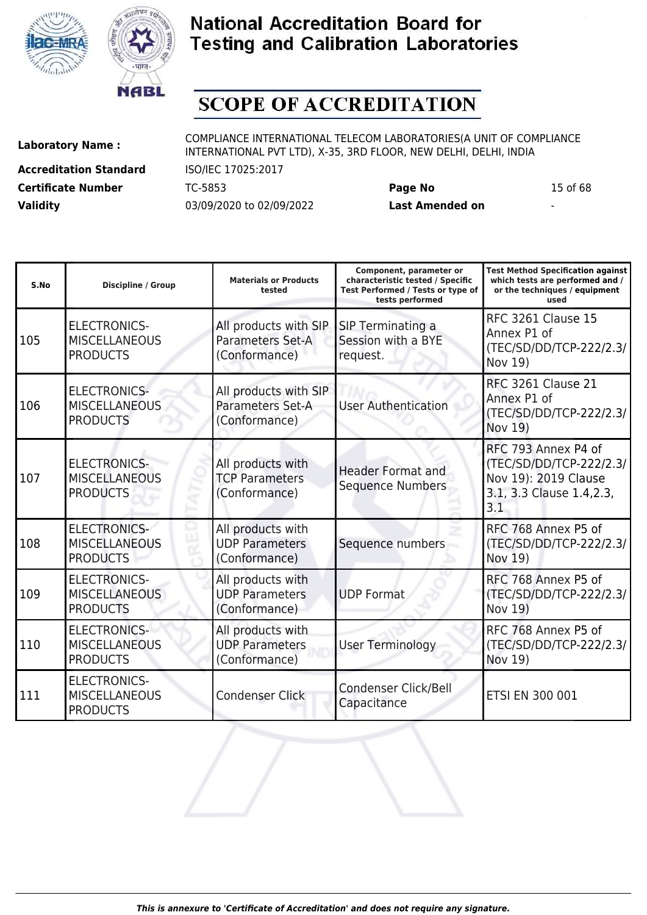



# **SCOPE OF ACCREDITATION**

**Accreditation Standard** ISO/IEC 17025:2017 **Certificate Number** TC-5853 **Page No** 15 of 68 **Validity** 03/09/2020 to 02/09/2022 **Last Amended on** -

**Laboratory Name :** COMPLIANCE INTERNATIONAL TELECOM LABORATORIES(A UNIT OF COMPLIANCE INTERNATIONAL PVT LTD), X-35, 3RD FLOOR, NEW DELHI, DELHI, INDIA

| S.No | <b>Discipline / Group</b>                                      | <b>Materials or Products</b><br>tested                      | Component, parameter or<br>characteristic tested / Specific<br>Test Performed / Tests or type of<br>tests performed | <b>Test Method Specification against</b><br>which tests are performed and /<br>or the techniques / equipment<br>used |
|------|----------------------------------------------------------------|-------------------------------------------------------------|---------------------------------------------------------------------------------------------------------------------|----------------------------------------------------------------------------------------------------------------------|
| 105  | <b>ELECTRONICS-</b><br><b>MISCELLANEOUS</b><br><b>PRODUCTS</b> | All products with SIP<br>Parameters Set-A<br>(Conformance)  | SIP Terminating a<br>Session with a BYE<br>request.                                                                 | <b>RFC 3261 Clause 15</b><br>Annex P1 of<br>(TEC/SD/DD/TCP-222/2.3/<br>Nov 19)                                       |
| 106  | <b>ELECTRONICS-</b><br><b>MISCELLANEOUS</b><br><b>PRODUCTS</b> | All products with SIP<br>Parameters Set-A<br>(Conformance)  | <b>User Authentication</b>                                                                                          | <b>RFC 3261 Clause 21</b><br>Annex P1 of<br>(TEC/SD/DD/TCP-222/2.3/<br>Nov 19)                                       |
| 107  | <b>ELECTRONICS-</b><br><b>MISCELLANEOUS</b><br><b>PRODUCTS</b> | All products with<br><b>TCP Parameters</b><br>(Conformance) | <b>Header Format and</b><br><b>Sequence Numbers</b>                                                                 | RFC 793 Annex P4 of<br>(TEC/SD/DD/TCP-222/2.3/<br>Nov 19): 2019 Clause<br>3.1, 3.3 Clause 1.4, 2.3,<br>3.1           |
| 108  | <b>ELECTRONICS-</b><br><b>MISCELLANEOUS</b><br><b>PRODUCTS</b> | All products with<br><b>UDP Parameters</b><br>(Conformance) | Sequence numbers                                                                                                    | RFC 768 Annex P5 of<br>(TEC/SD/DD/TCP-222/2.3/<br>Nov 19)                                                            |
| 109  | <b>ELECTRONICS-</b><br><b>MISCELLANEOUS</b><br><b>PRODUCTS</b> | All products with<br><b>UDP Parameters</b><br>(Conformance) | <b>UDP Format</b>                                                                                                   | RFC 768 Annex P5 of<br>(TEC/SD/DD/TCP-222/2.3/<br>Nov 19)                                                            |
| 110  | <b>ELECTRONICS-</b><br><b>MISCELLANEOUS</b><br><b>PRODUCTS</b> | All products with<br><b>UDP Parameters</b><br>(Conformance) | <b>User Terminology</b>                                                                                             | RFC 768 Annex P5 of<br>(TEC/SD/DD/TCP-222/2.3/<br>Nov 19)                                                            |
| 111  | <b>ELECTRONICS-</b><br><b>MISCELLANEOUS</b><br><b>PRODUCTS</b> | <b>Condenser Click</b>                                      | Condenser Click/Bell<br>Capacitance                                                                                 | <b>ETSI EN 300 001</b>                                                                                               |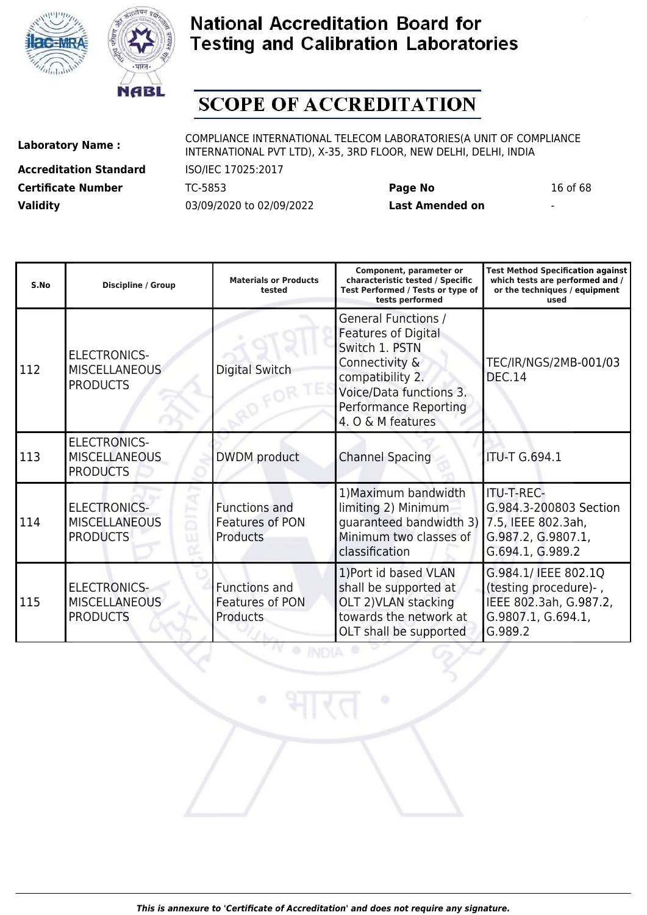



# **SCOPE OF ACCREDITATION**

**Accreditation Standard** ISO/IEC 17025:2017 **Certificate Number** TC-5853 **Page No** 16 of 68 **Validity** 03/09/2020 to 02/09/2022 **Last Amended on** -

| S.No | <b>Discipline / Group</b>                                      | <b>Materials or Products</b><br>tested              | Component, parameter or<br>characteristic tested / Specific<br>Test Performed / Tests or type of<br>tests performed                                                                       | <b>Test Method Specification against</b><br>which tests are performed and /<br>or the techniques / equipment<br>used |
|------|----------------------------------------------------------------|-----------------------------------------------------|-------------------------------------------------------------------------------------------------------------------------------------------------------------------------------------------|----------------------------------------------------------------------------------------------------------------------|
| 112  | <b>ELECTRONICS-</b><br><b>MISCELLANEOUS</b><br><b>PRODUCTS</b> | <b>Digital Switch</b>                               | <b>General Functions /</b><br><b>Features of Digital</b><br>Switch 1. PSTN<br>Connectivity &<br>compatibility 2.<br>Voice/Data functions 3.<br>Performance Reporting<br>4. O & M features | TEC/IR/NGS/2MB-001/03<br><b>DEC.14</b>                                                                               |
| 113  | <b>ELECTRONICS-</b><br><b>MISCELLANEOUS</b><br><b>PRODUCTS</b> | DWDM product                                        | <b>Channel Spacing</b>                                                                                                                                                                    | <b>ITU-T G.694.1</b>                                                                                                 |
| 114  | <b>ELECTRONICS-</b><br><b>MISCELLANEOUS</b><br><b>PRODUCTS</b> | <b>Functions and</b><br>Features of PON<br>Products | 1) Maximum bandwidth<br>limiting 2) Minimum<br>quaranteed bandwidth 3) 7.5, IEEE 802.3ah,<br>Minimum two classes of<br>classification                                                     | ITU-T-REC-<br>G.984.3-200803 Section<br>G.987.2, G.9807.1,<br>G.694.1, G.989.2                                       |
| 115  | <b>ELECTRONICS-</b><br><b>MISCELLANEOUS</b><br><b>PRODUCTS</b> | Functions and<br>Features of PON<br><b>Products</b> | 1)Port id based VLAN<br>shall be supported at<br>OLT 2) VLAN stacking<br>towards the network at<br>OLT shall be supported                                                                 | G.984.1/ IEEE 802.1Q<br>(testing procedure)-,<br>IEEE 802.3ah, G.987.2,<br>G.9807.1, G.694.1,<br>G.989.2             |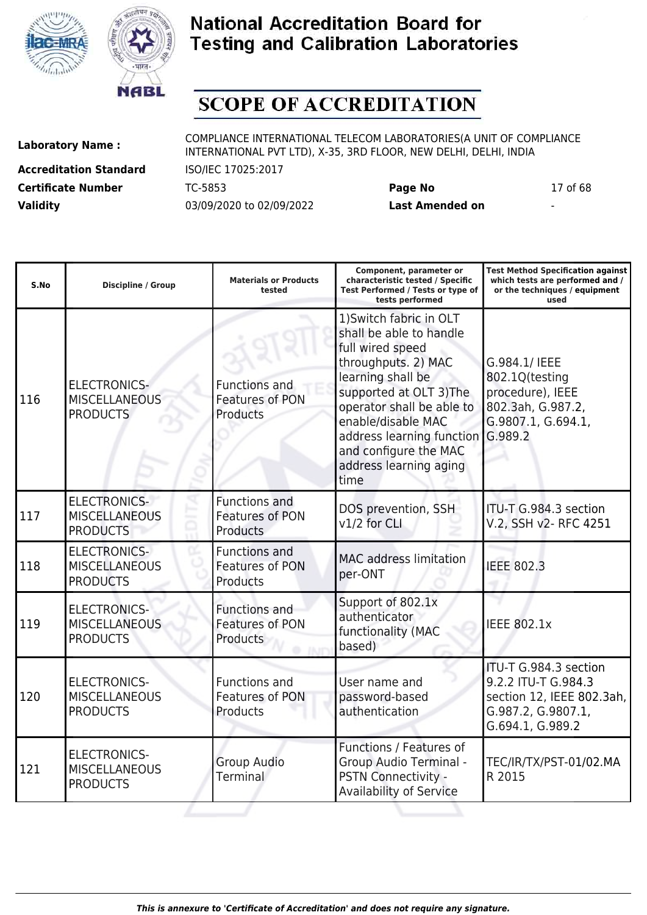



# **SCOPE OF ACCREDITATION**

**Accreditation Standard** ISO/IEC 17025:2017 **Certificate Number** TC-5853 **Page No** 17 of 68 **Validity** 03/09/2020 to 02/09/2022 **Last Amended on** -

| S.No | <b>Discipline / Group</b>                                      | <b>Materials or Products</b><br>tested                            | Component, parameter or<br>characteristic tested / Specific<br>Test Performed / Tests or type of<br>tests performed                                                                                                                                                                              | <b>Test Method Specification against</b><br>which tests are performed and /<br>or the techniques / equipment<br>used |
|------|----------------------------------------------------------------|-------------------------------------------------------------------|--------------------------------------------------------------------------------------------------------------------------------------------------------------------------------------------------------------------------------------------------------------------------------------------------|----------------------------------------------------------------------------------------------------------------------|
| 116  | <b>ELECTRONICS-</b><br><b>MISCELLANEOUS</b><br><b>PRODUCTS</b> | Functions and<br><b>Features of PON</b><br>Products               | 1) Switch fabric in OLT<br>shall be able to handle<br>full wired speed<br>throughputs. 2) MAC<br>learning shall be<br>supported at OLT 3) The<br>operator shall be able to<br>enable/disable MAC<br>address learning function G.989.2<br>and configure the MAC<br>address learning aging<br>time | G.984.1/ IEEE<br>802.1Q(testing<br>procedure), IEEE<br>802.3ah, G.987.2,<br>G.9807.1, G.694.1,                       |
| 117  | <b>ELECTRONICS-</b><br><b>MISCELLANEOUS</b><br><b>PRODUCTS</b> | Functions and<br><b>Features of PON</b><br><b>Products</b>        | DOS prevention, SSH<br>v1/2 for CLI                                                                                                                                                                                                                                                              | ITU-T G.984.3 section<br>V.2, SSH v2- RFC 4251                                                                       |
| 118  | <b>ELECTRONICS-</b><br><b>MISCELLANEOUS</b><br><b>PRODUCTS</b> | <b>Functions and</b><br>Features of PON<br>Products               | <b>MAC</b> address limitation<br>per-ONT                                                                                                                                                                                                                                                         | <b>IEEE 802.3</b>                                                                                                    |
| 119  | <b>ELECTRONICS-</b><br><b>MISCELLANEOUS</b><br><b>PRODUCTS</b> | <b>Functions and</b><br><b>Features of PON</b><br><b>Products</b> | Support of 802.1x<br>authenticator<br>functionality (MAC<br>based)                                                                                                                                                                                                                               | <b>IEEE 802.1x</b>                                                                                                   |
| 120  | <b>ELECTRONICS-</b><br><b>MISCELLANEOUS</b><br><b>PRODUCTS</b> | <b>Functions and</b><br>Features of PON<br>Products               | User name and<br>password-based<br>authentication                                                                                                                                                                                                                                                | ITU-T G.984.3 section<br>9.2.2 ITU-T G.984.3<br>section 12, IEEE 802.3ah,<br>G.987.2, G.9807.1,<br>G.694.1, G.989.2  |
| 121  | <b>ELECTRONICS-</b><br><b>MISCELLANEOUS</b><br><b>PRODUCTS</b> | <b>Group Audio</b><br>Terminal                                    | Functions / Features of<br>Group Audio Terminal -<br>PSTN Connectivity -<br>Availability of Service                                                                                                                                                                                              | TEC/IR/TX/PST-01/02.MA<br>R 2015                                                                                     |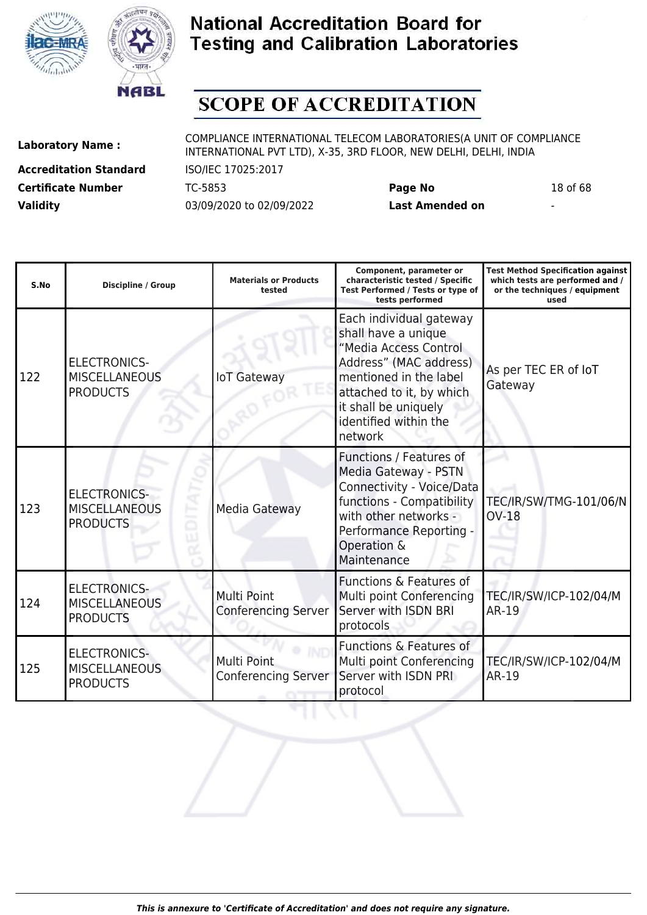



# **SCOPE OF ACCREDITATION**

**Accreditation Standard** ISO/IEC 17025:2017 **Certificate Number** TC-5853 **Page No** 18 of 68 **Validity** 03/09/2020 to 02/09/2022 **Last Amended on** -

**Laboratory Name :** COMPLIANCE INTERNATIONAL TELECOM LABORATORIES(A UNIT OF COMPLIANCE INTERNATIONAL PVT LTD), X-35, 3RD FLOOR, NEW DELHI, DELHI, INDIA

| S.No | <b>Discipline / Group</b>                                      | <b>Materials or Products</b><br>tested    | Component, parameter or<br>characteristic tested / Specific<br>Test Performed / Tests or type of<br>tests performed                                                                                                 | <b>Test Method Specification against</b><br>which tests are performed and /<br>or the techniques / equipment<br>used |
|------|----------------------------------------------------------------|-------------------------------------------|---------------------------------------------------------------------------------------------------------------------------------------------------------------------------------------------------------------------|----------------------------------------------------------------------------------------------------------------------|
| 122  | <b>ELECTRONICS-</b><br><b>MISCELLANEOUS</b><br><b>PRODUCTS</b> | <b>IoT Gateway</b>                        | Each individual gateway<br>shall have a unique<br>"Media Access Control<br>Address" (MAC address)<br>mentioned in the label<br>attached to it, by which<br>it shall be uniquely<br>identified within the<br>network | As per TEC ER of IoT<br>Gateway                                                                                      |
| 123  | <b>ELECTRONICS-</b><br><b>MISCELLANEOUS</b><br><b>PRODUCTS</b> | Media Gateway                             | Functions / Features of<br>Media Gateway - PSTN<br>Connectivity - Voice/Data<br>functions - Compatibility<br>with other networks -<br>Performance Reporting -<br>Operation &<br>Maintenance                         | TEC/IR/SW/TMG-101/06/N<br><b>OV-18</b>                                                                               |
| 124  | <b>ELECTRONICS-</b><br><b>MISCELLANEOUS</b><br><b>PRODUCTS</b> | Multi Point<br><b>Conferencing Server</b> | Functions & Features of<br>Multi point Conferencing<br>Server with ISDN BRI<br>protocols                                                                                                                            | TEC/IR/SW/ICP-102/04/M<br>AR-19                                                                                      |
| 125  | <b>ELECTRONICS-</b><br><b>MISCELLANEOUS</b><br><b>PRODUCTS</b> | Multi Point<br><b>Conferencing Server</b> | <b>Functions &amp; Features of</b><br>Multi point Conferencing<br>Server with ISDN PRI<br>protocol                                                                                                                  | TEC/IR/SW/ICP-102/04/M<br>AR-19                                                                                      |

**DZIP**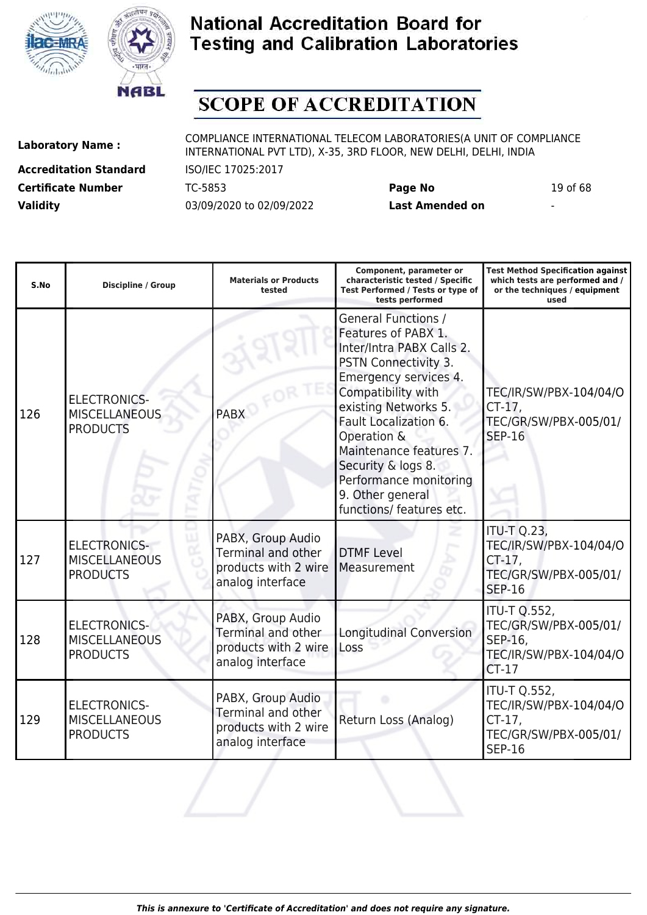



# **SCOPE OF ACCREDITATION**

**Accreditation Standard** ISO/IEC 17025:2017 **Certificate Number** TC-5853 **Page No** 19 of 68 **Validity** 03/09/2020 to 02/09/2022 **Last Amended on** -

| S.No | Discipline / Group                                             | <b>Materials or Products</b><br>tested                                                     | Component, parameter or<br>characteristic tested / Specific<br>Test Performed / Tests or type of<br>tests performed                                                                                                                                                                                                                              | <b>Test Method Specification against</b><br>which tests are performed and /<br>or the techniques / equipment<br>used |
|------|----------------------------------------------------------------|--------------------------------------------------------------------------------------------|--------------------------------------------------------------------------------------------------------------------------------------------------------------------------------------------------------------------------------------------------------------------------------------------------------------------------------------------------|----------------------------------------------------------------------------------------------------------------------|
| 126  | <b>ELECTRONICS-</b><br><b>MISCELLANEOUS</b><br><b>PRODUCTS</b> | <b>PABX</b>                                                                                | <b>General Functions /</b><br>Features of PABX 1.<br>Inter/Intra PABX Calls 2.<br>PSTN Connectivity 3.<br>Emergency services 4.<br>Compatibility with<br>existing Networks 5.<br>Fault Localization 6.<br>Operation &<br>Maintenance features 7.<br>Security & logs 8.<br>Performance monitoring<br>9. Other general<br>functions/ features etc. | TEC/IR/SW/PBX-104/04/O<br>$CT-17$<br>TEC/GR/SW/PBX-005/01/<br><b>SEP-16</b>                                          |
| 127  | <b>ELECTRONICS-</b><br><b>MISCELLANEOUS</b><br><b>PRODUCTS</b> | PABX, Group Audio<br><b>Terminal and other</b><br>products with 2 wire<br>analog interface | <b>DTMF Level</b><br>Measurement                                                                                                                                                                                                                                                                                                                 | <b>ITU-T Q.23,</b><br>TEC/IR/SW/PBX-104/04/O<br>$CT-17$ ,<br>TEC/GR/SW/PBX-005/01/<br><b>SEP-16</b>                  |
| 128  | <b>ELECTRONICS-</b><br><b>MISCELLANEOUS</b><br><b>PRODUCTS</b> | PABX, Group Audio<br>Terminal and other<br>products with 2 wire<br>analog interface        | <b>Longitudinal Conversion</b><br>Loss                                                                                                                                                                                                                                                                                                           | <b>ITU-T Q.552,</b><br>TEC/GR/SW/PBX-005/01/<br>SEP-16,<br>TEC/IR/SW/PBX-104/04/O<br>$CT-17$                         |
| 129  | <b>ELECTRONICS-</b><br><b>MISCELLANEOUS</b><br><b>PRODUCTS</b> | PABX, Group Audio<br>Terminal and other<br>products with 2 wire<br>analog interface        | Return Loss (Analog)                                                                                                                                                                                                                                                                                                                             | <b>ITU-T Q.552,</b><br>TEC/IR/SW/PBX-104/04/O<br>$CT-17$ ,<br>TEC/GR/SW/PBX-005/01/<br><b>SEP-16</b>                 |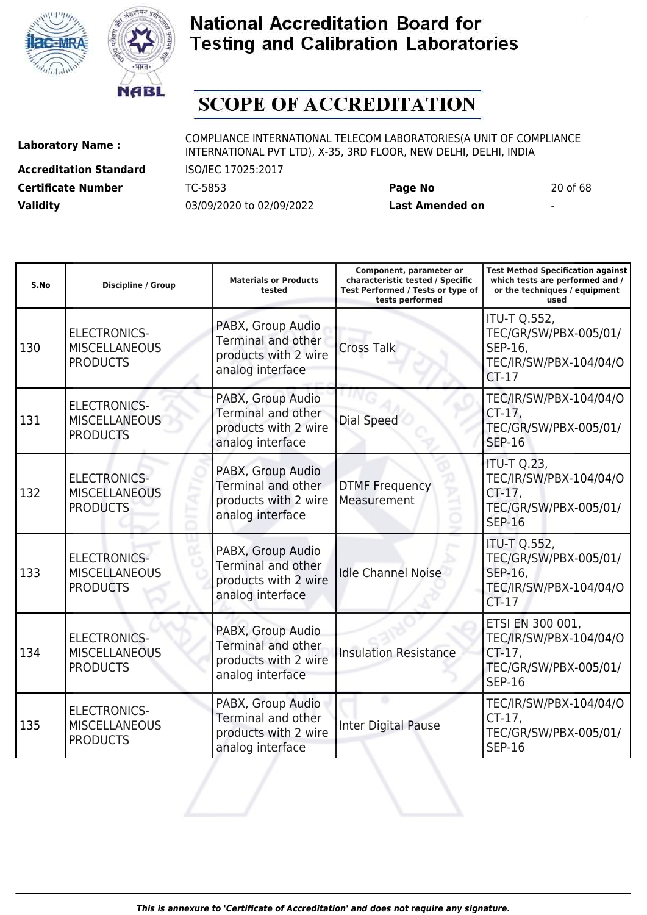



# **SCOPE OF ACCREDITATION**

ı

**Accreditation Standard** ISO/IEC 17025:2017 **Certificate Number** TC-5853 **Page No** 20 of 68 **Validity** 03/09/2020 to 02/09/2022 **Last Amended on** -

**Laboratory Name :** COMPLIANCE INTERNATIONAL TELECOM LABORATORIES(A UNIT OF COMPLIANCE INTERNATIONAL PVT LTD), X-35, 3RD FLOOR, NEW DELHI, DELHI, INDIA

**Test Method Specification against**

| S.No | <b>Discipline / Group</b>                                      | <b>Materials or Products</b><br>tested                                                     | characteristic tested / Specific<br>Test Performed / Tests or type of<br>tests performed | which tests are performed and /<br>or the techniques / equipment<br>used                          |
|------|----------------------------------------------------------------|--------------------------------------------------------------------------------------------|------------------------------------------------------------------------------------------|---------------------------------------------------------------------------------------------------|
| 130  | <b>ELECTRONICS-</b><br><b>MISCELLANEOUS</b><br><b>PRODUCTS</b> | PABX, Group Audio<br><b>Terminal and other</b><br>products with 2 wire<br>analog interface | <b>Cross Talk</b>                                                                        | <b>ITU-T Q.552,</b><br>TEC/GR/SW/PBX-005/01/<br>SEP-16,<br>TEC/IR/SW/PBX-104/04/O<br>$CT-17$      |
| 131  | <b>ELECTRONICS-</b><br><b>MISCELLANEOUS</b><br><b>PRODUCTS</b> | PABX, Group Audio<br>Terminal and other<br>products with 2 wire<br>analog interface        | Dial Speed                                                                               | TEC/IR/SW/PBX-104/04/O<br>$CT-17$ ,<br>TEC/GR/SW/PBX-005/01/<br><b>SEP-16</b>                     |
| 132  | <b>ELECTRONICS-</b><br><b>MISCELLANEOUS</b><br><b>PRODUCTS</b> | PABX, Group Audio<br>Terminal and other<br>products with 2 wire<br>analog interface        | <b>DTMF Frequency</b><br>Measurement                                                     | <b>ITU-T Q.23,</b><br>TEC/IR/SW/PBX-104/04/O<br>CT-17,<br>TEC/GR/SW/PBX-005/01/<br><b>SEP-16</b>  |
| 133  | <b>ELECTRONICS-</b><br><b>MISCELLANEOUS</b><br><b>PRODUCTS</b> | PABX, Group Audio<br>Terminal and other<br>products with 2 wire<br>analog interface        | <b>Idle Channel Noise</b>                                                                | <b>ITU-T Q.552,</b><br>TEC/GR/SW/PBX-005/01/<br>SEP-16,<br>TEC/IR/SW/PBX-104/04/O<br>$CT-17$      |
| 134  | <b>ELECTRONICS-</b><br><b>MISCELLANEOUS</b><br><b>PRODUCTS</b> | PABX, Group Audio<br>Terminal and other<br>products with 2 wire<br>analog interface        | <b>Insulation Resistance</b>                                                             | ETSI EN 300 001,<br>TEC/IR/SW/PBX-104/04/O<br>$CT-17$ ,<br>TEC/GR/SW/PBX-005/01/<br><b>SEP-16</b> |
| 135  | <b>ELECTRONICS-</b><br><b>MISCELLANEOUS</b><br><b>PRODUCTS</b> | PABX, Group Audio<br>Terminal and other<br>products with 2 wire<br>analog interface        | <b>Inter Digital Pause</b>                                                               | TEC/IR/SW/PBX-104/04/O<br>$CT-17$ ,<br>TEC/GR/SW/PBX-005/01/<br><b>SEP-16</b>                     |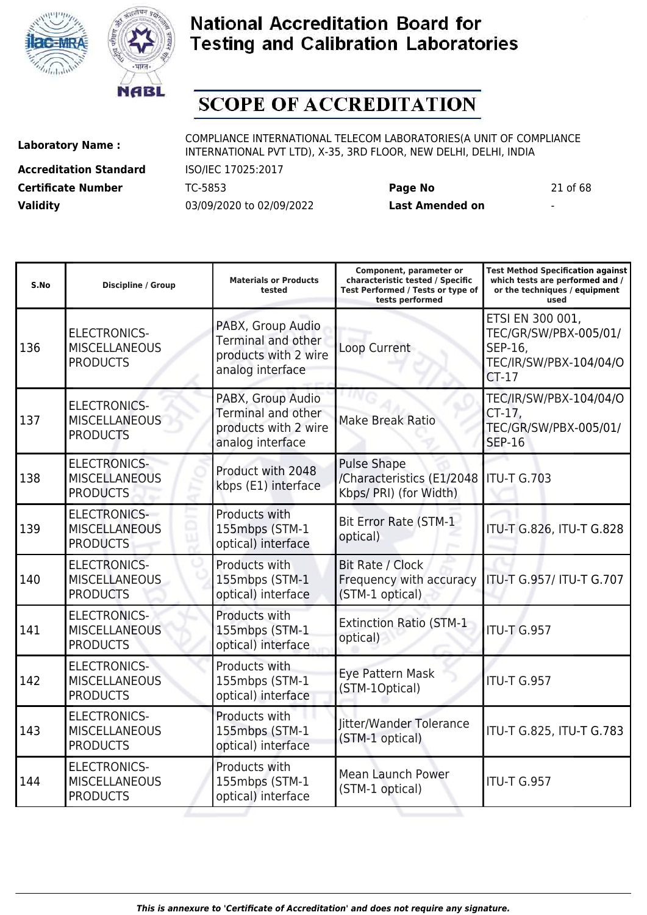



# **SCOPE OF ACCREDITATION**

**Accreditation Standard** ISO/IEC 17025:2017 **Certificate Number** TC-5853 **Page No** 21 of 68 **Validity** 03/09/2020 to 02/09/2022 **Last Amended on** -

**Laboratory Name :** COMPLIANCE INTERNATIONAL TELECOM LABORATORIES(A UNIT OF COMPLIANCE INTERNATIONAL PVT LTD), X-35, 3RD FLOOR, NEW DELHI, DELHI, INDIA

**Component, parameter or**

**Test Method Specification against**

| S.No | <b>Discipline / Group</b>                                      | <b>Materials or Products</b><br>tested                                                     | characteristic tested / Specific<br>Test Performed / Tests or type of<br>tests performed | which tests are performed and /<br>or the techniques / equipment<br>used                  |
|------|----------------------------------------------------------------|--------------------------------------------------------------------------------------------|------------------------------------------------------------------------------------------|-------------------------------------------------------------------------------------------|
| 136  | <b>ELECTRONICS-</b><br><b>MISCELLANEOUS</b><br><b>PRODUCTS</b> | PABX, Group Audio<br><b>Terminal and other</b><br>products with 2 wire<br>analog interface | Loop Current                                                                             | ETSI EN 300 001,<br>TEC/GR/SW/PBX-005/01/<br>SEP-16,<br>TEC/IR/SW/PBX-104/04/O<br>$CT-17$ |
| 137  | <b>ELECTRONICS-</b><br><b>MISCELLANEOUS</b><br><b>PRODUCTS</b> | PABX, Group Audio<br>Terminal and other<br>products with 2 wire<br>analog interface        | <b>Make Break Ratio</b>                                                                  | TEC/IR/SW/PBX-104/04/O<br>$CT-17$ ,<br>TEC/GR/SW/PBX-005/01/<br><b>SEP-16</b>             |
| 138  | <b>ELECTRONICS-</b><br><b>MISCELLANEOUS</b><br><b>PRODUCTS</b> | Product with 2048<br>kbps (E1) interface                                                   | <b>Pulse Shape</b><br>/Characteristics (E1/2048<br>Kbps/ PRI) (for Width)                | <b>ITU-T G.703</b>                                                                        |
| 139  | <b>ELECTRONICS-</b><br><b>MISCELLANEOUS</b><br><b>PRODUCTS</b> | Products with<br>155mbps (STM-1<br>optical) interface                                      | <b>Bit Error Rate (STM-1</b><br>optical)                                                 | ITU-T G.826, ITU-T G.828                                                                  |
| 140  | <b>ELECTRONICS-</b><br><b>MISCELLANEOUS</b><br><b>PRODUCTS</b> | Products with<br>155mbps (STM-1<br>optical) interface                                      | Bit Rate / Clock<br>Frequency with accuracy<br>(STM-1 optical)                           | ITU-T G.957/ ITU-T G.707                                                                  |
| 141  | <b>ELECTRONICS-</b><br><b>MISCELLANEOUS</b><br><b>PRODUCTS</b> | Products with<br>155mbps (STM-1<br>optical) interface                                      | <b>Extinction Ratio (STM-1</b><br>optical)                                               | <b>ITU-T G.957</b>                                                                        |
| 142  | <b>ELECTRONICS-</b><br><b>MISCELLANEOUS</b><br><b>PRODUCTS</b> | Products with<br>155mbps (STM-1<br>optical) interface                                      | Eye Pattern Mask<br>(STM-1Optical)                                                       | ITU-T G.957                                                                               |
| 143  | <b>ELECTRONICS-</b><br><b>MISCELLANEOUS</b><br><b>PRODUCTS</b> | Products with<br>155mbps (STM-1<br>optical) interface                                      | Jitter/Wander Tolerance<br>(STM-1 optical)                                               | ITU-T G.825, ITU-T G.783                                                                  |
| 144  | <b>ELECTRONICS-</b><br><b>MISCELLANEOUS</b><br><b>PRODUCTS</b> | Products with<br>155mbps (STM-1<br>optical) interface                                      | <b>Mean Launch Power</b><br>(STM-1 optical)                                              | <b>ITU-T G.957</b>                                                                        |
|      |                                                                |                                                                                            |                                                                                          |                                                                                           |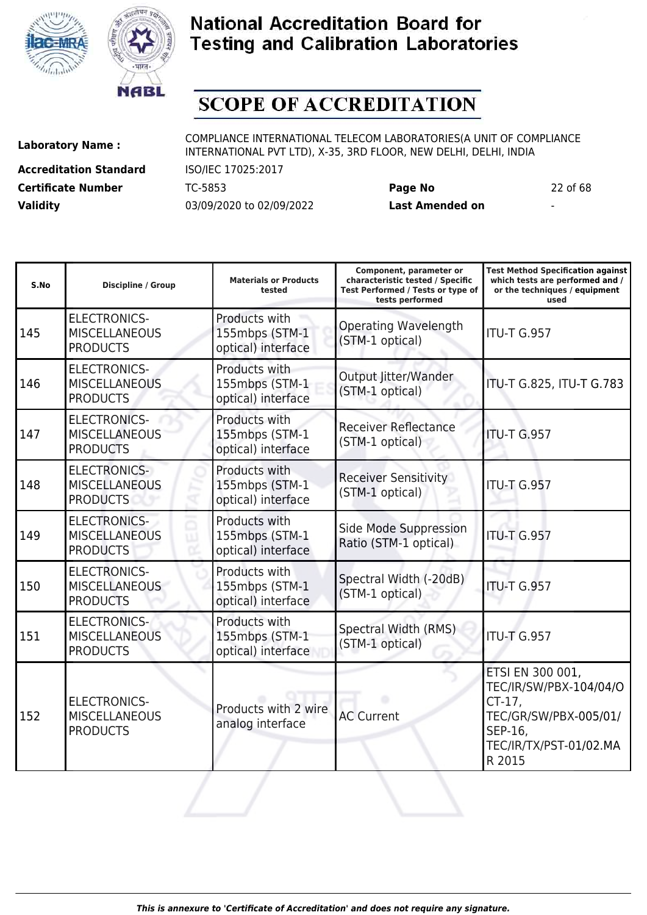



# **SCOPE OF ACCREDITATION**

ı

**Accreditation Standard** ISO/IEC 17025:2017 **Certificate Number** TC-5853 **Page No** 22 of 68 **Validity** 03/09/2020 to 02/09/2022 **Last Amended on** -

**Laboratory Name :** COMPLIANCE INTERNATIONAL TELECOM LABORATORIES(A UNIT OF COMPLIANCE INTERNATIONAL PVT LTD), X-35, 3RD FLOOR, NEW DELHI, DELHI, INDIA

ı

**Test Method Specification against**

| S.No | <b>Discipline / Group</b>                                      | <b>Materials or Products</b><br>tested                | characteristic tested / Specific<br>Test Performed / Tests or type of<br>tests performed | which tests are performed and /<br>or the techniques / equipment<br>used                                                        |
|------|----------------------------------------------------------------|-------------------------------------------------------|------------------------------------------------------------------------------------------|---------------------------------------------------------------------------------------------------------------------------------|
| 145  | <b>ELECTRONICS-</b><br><b>MISCELLANEOUS</b><br><b>PRODUCTS</b> | Products with<br>155mbps (STM-1<br>optical) interface | <b>Operating Wavelength</b><br>(STM-1 optical)                                           | <b>ITU-T G.957</b>                                                                                                              |
| 146  | <b>ELECTRONICS-</b><br><b>MISCELLANEOUS</b><br><b>PRODUCTS</b> | Products with<br>155mbps (STM-1<br>optical) interface | Output Jitter/Wander<br>(STM-1 optical)                                                  | ITU-T G.825, ITU-T G.783                                                                                                        |
| 147  | <b>ELECTRONICS-</b><br><b>MISCELLANEOUS</b><br><b>PRODUCTS</b> | Products with<br>155mbps (STM-1<br>optical) interface | <b>Receiver Reflectance</b><br>(STM-1 optical)                                           | <b>ITU-T G.957</b>                                                                                                              |
| 148  | <b>ELECTRONICS-</b><br><b>MISCELLANEOUS</b><br><b>PRODUCTS</b> | Products with<br>155mbps (STM-1<br>optical) interface | <b>Receiver Sensitivity</b><br>(STM-1 optical)                                           | <b>ITU-T G.957</b>                                                                                                              |
| 149  | <b>ELECTRONICS-</b><br><b>MISCELLANEOUS</b><br><b>PRODUCTS</b> | Products with<br>155mbps (STM-1<br>optical) interface | Side Mode Suppression<br>Ratio (STM-1 optical)                                           | <b>ITU-T G.957</b>                                                                                                              |
| 150  | <b>ELECTRONICS-</b><br><b>MISCELLANEOUS</b><br><b>PRODUCTS</b> | Products with<br>155mbps (STM-1<br>optical) interface | Spectral Width (-20dB)<br>(STM-1 optical)                                                | <b>ITU-T G.957</b>                                                                                                              |
| 151  | <b>ELECTRONICS-</b><br><b>MISCELLANEOUS</b><br><b>PRODUCTS</b> | Products with<br>155mbps (STM-1<br>optical) interface | Spectral Width (RMS)<br>(STM-1 optical)                                                  | <b>ITU-T G.957</b>                                                                                                              |
| 152  | <b>ELECTRONICS-</b><br><b>MISCELLANEOUS</b><br><b>PRODUCTS</b> | Products with 2 wire<br>analog interface              | <b>AC Current</b>                                                                        | ETSI EN 300 001,<br>TEC/IR/SW/PBX-104/04/O<br>$CT-17$ ,<br>TEC/GR/SW/PBX-005/01/<br>SEP-16,<br>TEC/IR/TX/PST-01/02.MA<br>R 2015 |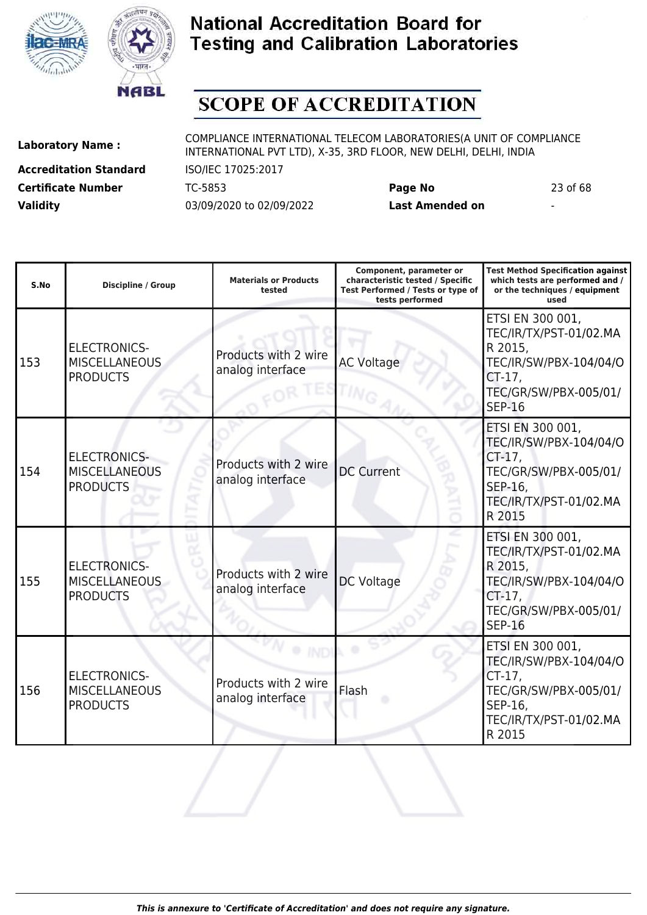



# **SCOPE OF ACCREDITATION**

**Accreditation Standard** ISO/IEC 17025:2017 **Certificate Number** TC-5853 **Page No** 23 of 68 **Validity** 03/09/2020 to 02/09/2022 **Last Amended on** -

| S.No | <b>Discipline / Group</b>                                      | <b>Materials or Products</b><br>tested   | Component, parameter or<br>characteristic tested / Specific<br>Test Performed / Tests or type of<br>tests performed | <b>Test Method Specification against</b><br>which tests are performed and /<br>or the techniques / equipment<br>used                   |
|------|----------------------------------------------------------------|------------------------------------------|---------------------------------------------------------------------------------------------------------------------|----------------------------------------------------------------------------------------------------------------------------------------|
| 153  | <b>ELECTRONICS-</b><br><b>MISCELLANEOUS</b><br><b>PRODUCTS</b> | Products with 2 wire<br>analog interface | <b>AC Voltage</b>                                                                                                   | ETSI EN 300 001,<br>TEC/IR/TX/PST-01/02.MA<br>R 2015,<br>TEC/IR/SW/PBX-104/04/O<br>$CT-17$ ,<br>TEC/GR/SW/PBX-005/01/<br><b>SEP-16</b> |
| 154  | <b>ELECTRONICS-</b><br><b>MISCELLANEOUS</b><br><b>PRODUCTS</b> | Products with 2 wire<br>analog interface | <b>DC Current</b>                                                                                                   | ETSI EN 300 001,<br>TEC/IR/SW/PBX-104/04/O<br>CT-17,<br>TEC/GR/SW/PBX-005/01/<br>SEP-16,<br>TEC/IR/TX/PST-01/02.MA<br>R 2015           |
| 155  | <b>ELECTRONICS-</b><br><b>MISCELLANEOUS</b><br><b>PRODUCTS</b> | Products with 2 wire<br>analog interface | DC Voltage                                                                                                          | ETSI EN 300 001,<br>TEC/IR/TX/PST-01/02.MA<br>R 2015,<br>TEC/IR/SW/PBX-104/04/O<br>$CT-17$ ,<br>TEC/GR/SW/PBX-005/01/<br><b>SEP-16</b> |
| 156  | <b>ELECTRONICS-</b><br><b>MISCELLANEOUS</b><br><b>PRODUCTS</b> | Products with 2 wire<br>analog interface | Flash                                                                                                               | ETSI EN 300 001,<br>TEC/IR/SW/PBX-104/04/O<br>CT-17,<br>TEC/GR/SW/PBX-005/01/<br>SEP-16,<br>TEC/IR/TX/PST-01/02.MA<br>R 2015           |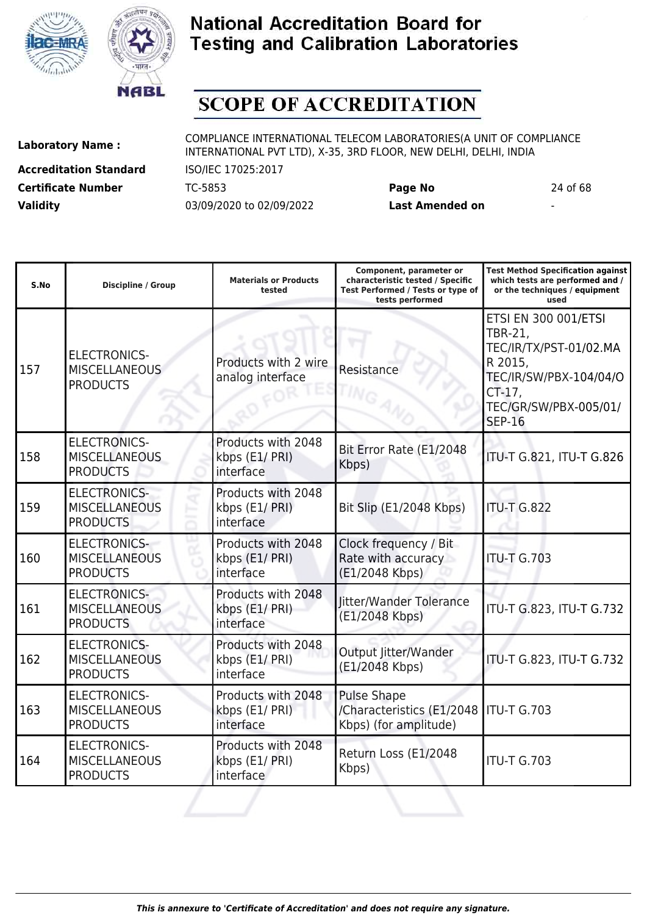



# **SCOPE OF ACCREDITATION**

**Accreditation Standard** ISO/IEC 17025:2017 **Certificate Number** TC-5853 **Page No** 24 of 68 **Validity** 03/09/2020 to 02/09/2022 **Last Amended on** -

**Laboratory Name :** COMPLIANCE INTERNATIONAL TELECOM LABORATORIES(A UNIT OF COMPLIANCE INTERNATIONAL PVT LTD), X-35, 3RD FLOOR, NEW DELHI, DELHI, INDIA

**Test Method Specification against**

| S.No | Discipline / Group                                             | <b>Materials or Products</b><br>tested            | characteristic tested / Specific<br>Test Performed / Tests or type of<br>tests performed | which tests are performed and /<br>or the techniques / equipment<br>used                                                                                         |
|------|----------------------------------------------------------------|---------------------------------------------------|------------------------------------------------------------------------------------------|------------------------------------------------------------------------------------------------------------------------------------------------------------------|
| 157  | <b>ELECTRONICS-</b><br><b>MISCELLANEOUS</b><br><b>PRODUCTS</b> | Products with 2 wire<br>analog interface          | Resistance                                                                               | <b>ETSI EN 300 001/ETSI</b><br><b>TBR-21,</b><br>TEC/IR/TX/PST-01/02.MA<br>R 2015,<br>TEC/IR/SW/PBX-104/04/O<br>CT-17,<br>TEC/GR/SW/PBX-005/01/<br><b>SEP-16</b> |
| 158  | <b>ELECTRONICS-</b><br><b>MISCELLANEOUS</b><br><b>PRODUCTS</b> | Products with 2048<br>kbps (E1/ PRI)<br>interface | Bit Error Rate (E1/2048<br>Kbps)                                                         | ITU-T G.821, ITU-T G.826                                                                                                                                         |
| 159  | <b>ELECTRONICS-</b><br><b>MISCELLANEOUS</b><br><b>PRODUCTS</b> | Products with 2048<br>kbps (E1/ PRI)<br>interface | Bit Slip (E1/2048 Kbps)                                                                  | <b>ITU-T G.822</b>                                                                                                                                               |
| 160  | <b>ELECTRONICS-</b><br><b>MISCELLANEOUS</b><br><b>PRODUCTS</b> | Products with 2048<br>kbps (E1/ PRI)<br>interface | Clock frequency / Bit<br>Rate with accuracy<br>(E1/2048 Kbps)                            | <b>ITU-T G.703</b>                                                                                                                                               |
| 161  | <b>ELECTRONICS-</b><br><b>MISCELLANEOUS</b><br><b>PRODUCTS</b> | Products with 2048<br>kbps (E1/ PRI)<br>interface | Jitter/Wander Tolerance<br>(E1/2048 Kbps)                                                | ITU-T G.823, ITU-T G.732                                                                                                                                         |
| 162  | <b>ELECTRONICS-</b><br><b>MISCELLANEOUS</b><br><b>PRODUCTS</b> | Products with 2048<br>kbps (E1/ PRI)<br>interface | Output Jitter/Wander<br>(E1/2048 Kbps)                                                   | ITU-T G.823, ITU-T G.732                                                                                                                                         |
| 163  | <b>ELECTRONICS-</b><br><b>MISCELLANEOUS</b><br><b>PRODUCTS</b> | Products with 2048<br>kbps (E1/ PRI)<br>interface | <b>Pulse Shape</b><br>/Characteristics (E1/2048<br>Kbps) (for amplitude)                 | <b>ITU-T G.703</b>                                                                                                                                               |
| 164  | <b>ELECTRONICS-</b><br><b>MISCELLANEOUS</b><br><b>PRODUCTS</b> | Products with 2048<br>kbps (E1/ PRI)<br>interface | Return Loss (E1/2048<br>Kbps)                                                            | <b>ITU-T G.703</b>                                                                                                                                               |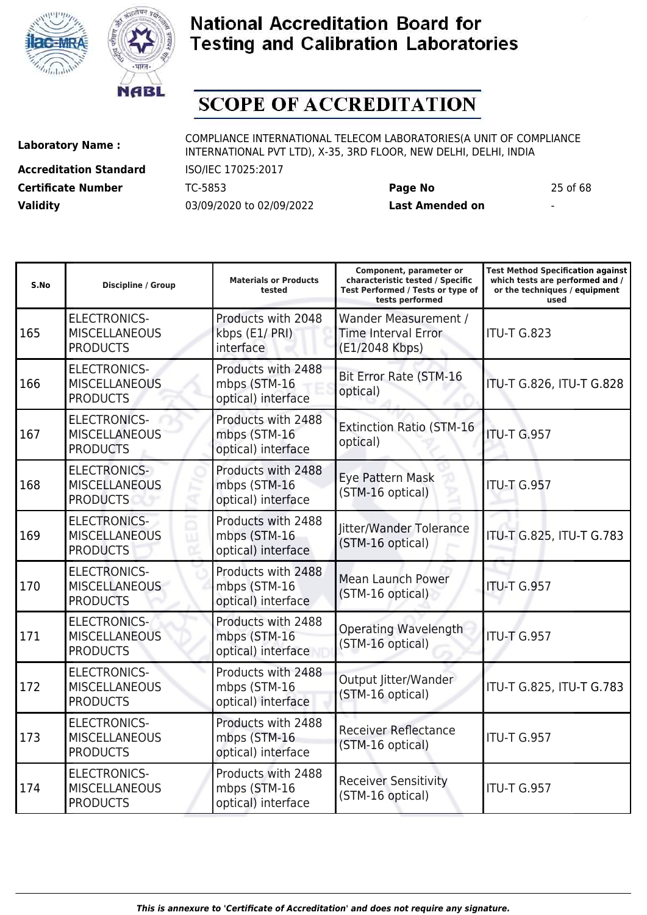



# **SCOPE OF ACCREDITATION**

**Accreditation Standard** ISO/IEC 17025:2017 **Certificate Number** TC-5853 **Page No** 25 of 68 **Validity** 03/09/2020 to 02/09/2022 **Last Amended on** -

**Laboratory Name :** COMPLIANCE INTERNATIONAL TELECOM LABORATORIES(A UNIT OF COMPLIANCE INTERNATIONAL PVT LTD), X-35, 3RD FLOOR, NEW DELHI, DELHI, INDIA

**Component, parameter or**

**Test Method Specification against**

| S.No | <b>Discipline / Group</b>                                      | <b>Materials or Products</b><br>tested                   | characteristic tested / Specific<br>Test Performed / Tests or type of<br>tests performed | which tests are performed and /<br>or the techniques / equipment<br>used |
|------|----------------------------------------------------------------|----------------------------------------------------------|------------------------------------------------------------------------------------------|--------------------------------------------------------------------------|
| 165  | <b>ELECTRONICS-</b><br><b>MISCELLANEOUS</b><br><b>PRODUCTS</b> | Products with 2048<br>kbps (E1/ PRI)<br>interface        | Wander Measurement /<br><b>Time Interval Error</b><br>(E1/2048 Kbps)                     | ITU-T G.823                                                              |
| 166  | <b>ELECTRONICS-</b><br><b>MISCELLANEOUS</b><br><b>PRODUCTS</b> | Products with 2488<br>mbps (STM-16<br>optical) interface | Bit Error Rate (STM-16<br>optical)                                                       | ITU-T G.826, ITU-T G.828                                                 |
| 167  | <b>ELECTRONICS-</b><br><b>MISCELLANEOUS</b><br><b>PRODUCTS</b> | Products with 2488<br>mbps (STM-16<br>optical) interface | <b>Extinction Ratio (STM-16</b><br>optical)                                              | <b>ITU-T G.957</b>                                                       |
| 168  | <b>ELECTRONICS-</b><br><b>MISCELLANEOUS</b><br><b>PRODUCTS</b> | Products with 2488<br>mbps (STM-16<br>optical) interface | Eye Pattern Mask<br>(STM-16 optical)                                                     | <b>ITU-T G.957</b>                                                       |
| 169  | <b>ELECTRONICS-</b><br><b>MISCELLANEOUS</b><br><b>PRODUCTS</b> | Products with 2488<br>mbps (STM-16<br>optical) interface | Jitter/Wander Tolerance<br>(STM-16 optical)                                              | ITU-T G.825, ITU-T G.783                                                 |
| 170  | <b>ELECTRONICS-</b><br><b>MISCELLANEOUS</b><br><b>PRODUCTS</b> | Products with 2488<br>mbps (STM-16<br>optical) interface | <b>Mean Launch Power</b><br>(STM-16 optical)                                             | <b>ITU-T G.957</b>                                                       |
| 171  | <b>ELECTRONICS-</b><br><b>MISCELLANEOUS</b><br><b>PRODUCTS</b> | Products with 2488<br>mbps (STM-16<br>optical) interface | <b>Operating Wavelength</b><br>(STM-16 optical)                                          | <b>ITU-T G.957</b>                                                       |
| 172  | <b>ELECTRONICS-</b><br><b>MISCELLANEOUS</b><br><b>PRODUCTS</b> | Products with 2488<br>mbps (STM-16<br>optical) interface | Output Jitter/Wander<br>(STM-16 optical)                                                 | ITU-T G.825, ITU-T G.783                                                 |
| 173  | <b>ELECTRONICS-</b><br><b>MISCELLANEOUS</b><br><b>PRODUCTS</b> | Products with 2488<br>mbps (STM-16<br>optical) interface | <b>Receiver Reflectance</b><br>(STM-16 optical)                                          | ITU-T G.957                                                              |
| 174  | <b>ELECTRONICS-</b><br><b>MISCELLANEOUS</b><br><b>PRODUCTS</b> | Products with 2488<br>mbps (STM-16<br>optical) interface | <b>Receiver Sensitivity</b><br>(STM-16 optical)                                          | ITU-T G.957                                                              |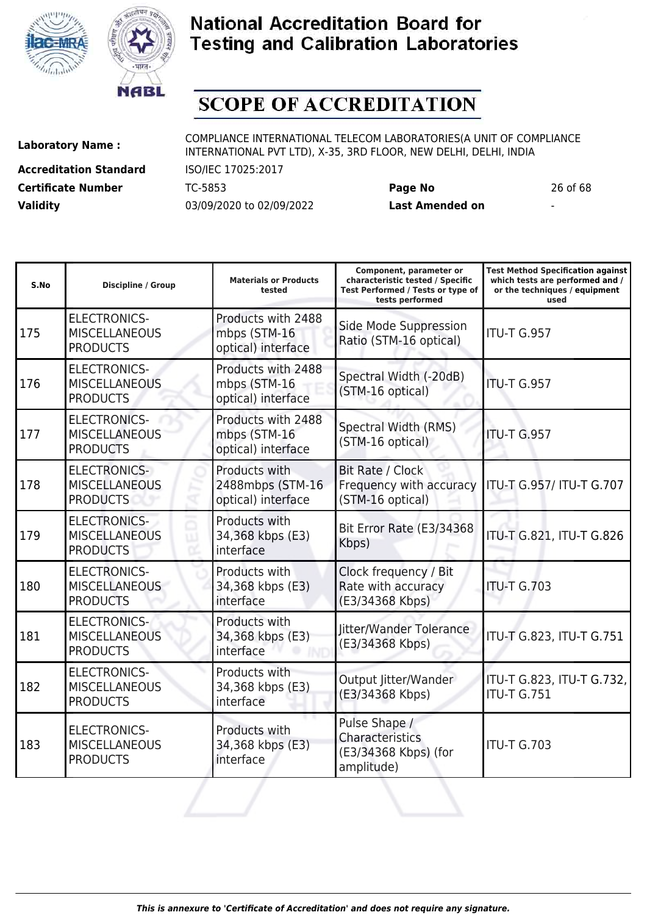



# **SCOPE OF ACCREDITATION**

**Accreditation Standard** ISO/IEC 17025:2017 **Certificate Number** TC-5853 **Page No** 26 of 68 **Validity** 03/09/2020 to 02/09/2022 **Last Amended on** -

**Laboratory Name :** COMPLIANCE INTERNATIONAL TELECOM LABORATORIES(A UNIT OF COMPLIANCE INTERNATIONAL PVT LTD), X-35, 3RD FLOOR, NEW DELHI, DELHI, INDIA

| S.No | <b>Discipline / Group</b>                                      | <b>Materials or Products</b><br>tested                   | Component, parameter or<br>characteristic tested / Specific<br>Test Performed / Tests or type of<br>tests performed | <b>Test Method Specification against</b><br>which tests are performed and /<br>or the techniques / equipment<br>used |
|------|----------------------------------------------------------------|----------------------------------------------------------|---------------------------------------------------------------------------------------------------------------------|----------------------------------------------------------------------------------------------------------------------|
| 175  | <b>ELECTRONICS-</b><br><b>MISCELLANEOUS</b><br><b>PRODUCTS</b> | Products with 2488<br>mbps (STM-16<br>optical) interface | Side Mode Suppression<br>Ratio (STM-16 optical)                                                                     | <b>ITU-T G.957</b>                                                                                                   |
| 176  | <b>ELECTRONICS-</b><br><b>MISCELLANEOUS</b><br><b>PRODUCTS</b> | Products with 2488<br>mbps (STM-16<br>optical) interface | Spectral Width (-20dB)<br>(STM-16 optical)                                                                          | <b>ITU-T G.957</b>                                                                                                   |
| 177  | <b>ELECTRONICS-</b><br><b>MISCELLANEOUS</b><br><b>PRODUCTS</b> | Products with 2488<br>mbps (STM-16<br>optical) interface | Spectral Width (RMS)<br>(STM-16 optical)                                                                            | ITU-T G.957                                                                                                          |
| 178  | <b>ELECTRONICS-</b><br><b>MISCELLANEOUS</b><br><b>PRODUCTS</b> | Products with<br>2488mbps (STM-16<br>optical) interface  | Bit Rate / Clock<br>Frequency with accuracy<br>(STM-16 optical)                                                     | ITU-T G.957/ ITU-T G.707                                                                                             |
| 179  | <b>ELECTRONICS-</b><br><b>MISCELLANEOUS</b><br><b>PRODUCTS</b> | Products with<br>34,368 kbps (E3)<br>interface           | Bit Error Rate (E3/34368<br>Kbps)                                                                                   | ITU-T G.821, ITU-T G.826                                                                                             |
| 180  | <b>ELECTRONICS-</b><br><b>MISCELLANEOUS</b><br><b>PRODUCTS</b> | Products with<br>34,368 kbps (E3)<br>interface           | Clock frequency / Bit<br>Rate with accuracy<br>(E3/34368 Kbps)                                                      | <b>ITU-T G.703</b>                                                                                                   |
| 181  | <b>ELECTRONICS-</b><br><b>MISCELLANEOUS</b><br><b>PRODUCTS</b> | Products with<br>34,368 kbps (E3)<br>interface           | litter/Wander Tolerance<br>(E3/34368 Kbps)                                                                          | ITU-T G.823, ITU-T G.751                                                                                             |
| 182  | <b>ELECTRONICS-</b><br><b>MISCELLANEOUS</b><br><b>PRODUCTS</b> | Products with<br>34,368 kbps (E3)<br>interface           | Output Jitter/Wander<br>(E3/34368 Kbps)                                                                             | ITU-T G.823, ITU-T G.732,<br><b>ITU-T G.751</b>                                                                      |
| 183  | <b>ELECTRONICS-</b><br><b>MISCELLANEOUS</b><br><b>PRODUCTS</b> | Products with<br>34,368 kbps (E3)<br>interface           | Pulse Shape /<br>Characteristics<br>(E3/34368 Kbps) (for<br>amplitude)                                              | <b>ITU-T G.703</b>                                                                                                   |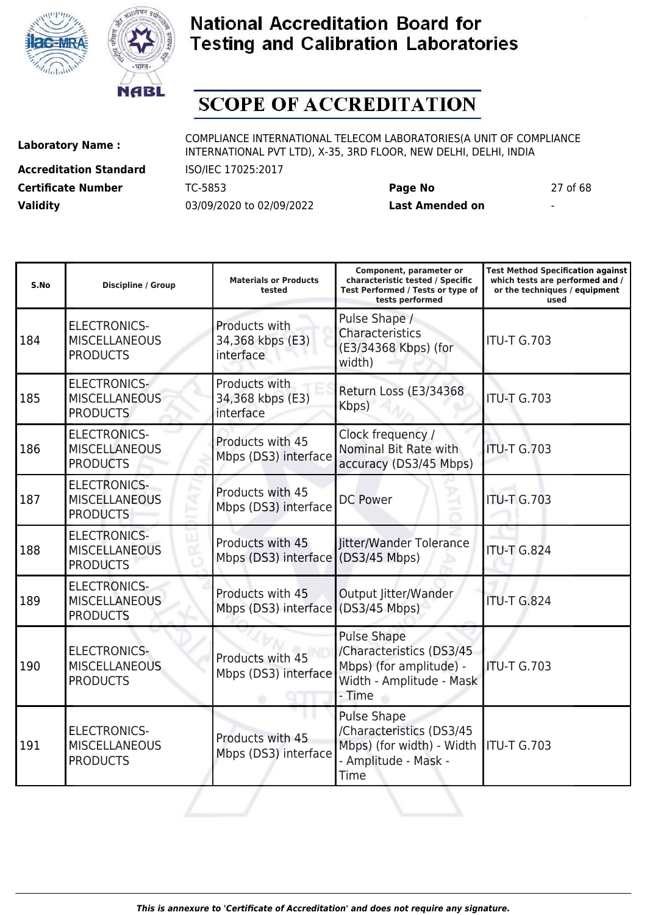



# **SCOPE OF ACCREDITATION**

**Accreditation Standard** ISO/IEC 17025:2017 **Certificate Number** TC-5853 **Page No** 27 of 68 **Validity** 03/09/2020 to 02/09/2022 **Last Amended on** -

**Laboratory Name :** COMPLIANCE INTERNATIONAL TELECOM LABORATORIES(A UNIT OF COMPLIANCE INTERNATIONAL PVT LTD), X-35, 3RD FLOOR, NEW DELHI, DELHI, INDIA

**Test Method Specification against**

| S.No | Discipline / Group                                             | <b>Materials or Products</b><br>tested                 | characteristic tested / Specific<br>Test Performed / Tests or type of<br>tests performed                        | which tests are performed and /<br>or the techniques / equipment<br>used |
|------|----------------------------------------------------------------|--------------------------------------------------------|-----------------------------------------------------------------------------------------------------------------|--------------------------------------------------------------------------|
| 184  | <b>ELECTRONICS-</b><br><b>MISCELLANEOUS</b><br><b>PRODUCTS</b> | Products with<br>34,368 kbps (E3)<br>interface         | Pulse Shape /<br>Characteristics<br>(E3/34368 Kbps) (for<br>width)                                              | <b>ITU-T G.703</b>                                                       |
| 185  | <b>ELECTRONICS-</b><br><b>MISCELLANEOUS</b><br><b>PRODUCTS</b> | Products with<br>34,368 kbps (E3)<br>interface         | Return Loss (E3/34368<br>Kbps)                                                                                  | <b>ITU-T G.703</b>                                                       |
| 186  | <b>ELECTRONICS-</b><br><b>MISCELLANEOUS</b><br><b>PRODUCTS</b> | Products with 45<br>Mbps (DS3) interface               | Clock frequency /<br>Nominal Bit Rate with<br>accuracy (DS3/45 Mbps)                                            | <b>ITU-T G.703</b>                                                       |
| 187  | <b>ELECTRONICS-</b><br><b>MISCELLANEOUS</b><br><b>PRODUCTS</b> | Products with 45<br>Mbps (DS3) interface               | <b>DC Power</b>                                                                                                 | <b>ITU-T G.703</b>                                                       |
| 188  | <b>ELECTRONICS-</b><br><b>MISCELLANEOUS</b><br><b>PRODUCTS</b> | Products with 45<br>Mbps (DS3) interface (DS3/45 Mbps) | Jitter/Wander Tolerance                                                                                         | <b>ITU-T G.824</b>                                                       |
| 189  | <b>ELECTRONICS-</b><br><b>MISCELLANEOUS</b><br><b>PRODUCTS</b> | Products with 45<br>Mbps (DS3) interface (DS3/45 Mbps) | Output Jitter/Wander                                                                                            | <b>ITU-T G.824</b>                                                       |
| 190  | <b>ELECTRONICS-</b><br><b>MISCELLANEOUS</b><br><b>PRODUCTS</b> | Products with 45<br>Mbps (DS3) interface               | <b>Pulse Shape</b><br>/Characteristics (DS3/45<br>Mbps) (for amplitude) -<br>Width - Amplitude - Mask<br>- Time | <b>ITU-T G.703</b>                                                       |
| 191  | <b>ELECTRONICS-</b><br><b>MISCELLANEOUS</b><br><b>PRODUCTS</b> | Products with 45<br>Mbps (DS3) interface               | <b>Pulse Shape</b><br>/Characteristics (DS3/45<br>Mbps) (for width) - Width<br>- Amplitude - Mask -<br>Time     | <b>ITU-T G.703</b>                                                       |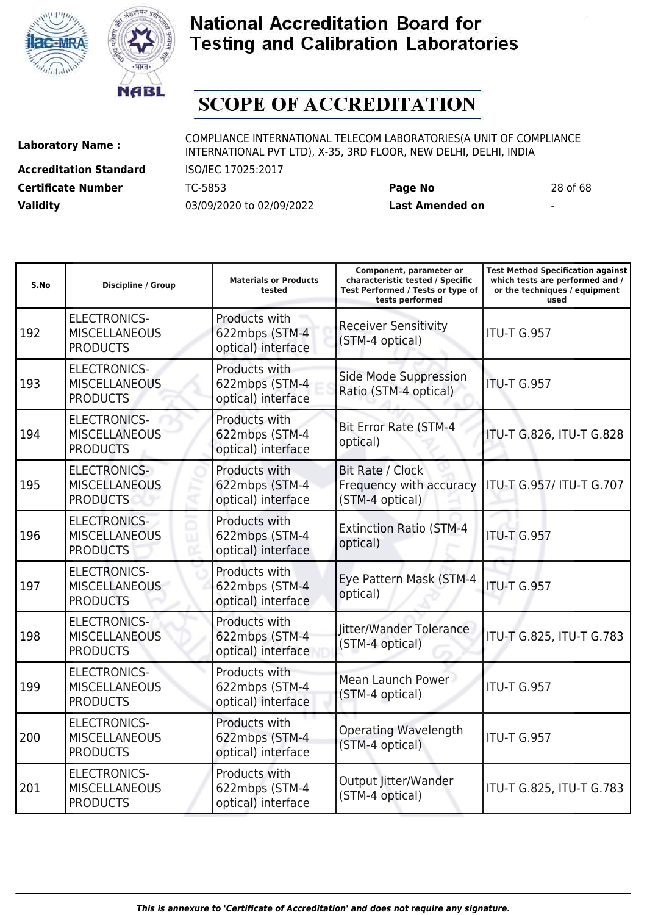



# **SCOPE OF ACCREDITATION**

ı

**Accreditation Standard** ISO/IEC 17025:2017 **Certificate Number** TC-5853 **Page No** 28 of 68 **Validity** 03/09/2020 to 02/09/2022 **Last Amended on** -

**Laboratory Name :** COMPLIANCE INTERNATIONAL TELECOM LABORATORIES(A UNIT OF COMPLIANCE INTERNATIONAL PVT LTD), X-35, 3RD FLOOR, NEW DELHI, DELHI, INDIA

**Component, parameter or**

**Test Method Specification against**

| S.No | <b>Discipline / Group</b>                                      | <b>Materials or Products</b><br>tested                | characteristic tested / Specific<br>Test Performed / Tests or type of<br>tests performed | which tests are performed and /<br>or the techniques / equipment<br>used |
|------|----------------------------------------------------------------|-------------------------------------------------------|------------------------------------------------------------------------------------------|--------------------------------------------------------------------------|
| 192  | <b>ELECTRONICS-</b><br><b>MISCELLANEOUS</b><br><b>PRODUCTS</b> | Products with<br>622mbps (STM-4<br>optical) interface | <b>Receiver Sensitivity</b><br>(STM-4 optical)                                           | <b>ITU-T G.957</b>                                                       |
| 193  | <b>ELECTRONICS-</b><br><b>MISCELLANEOUS</b><br><b>PRODUCTS</b> | Products with<br>622mbps (STM-4<br>optical) interface | Side Mode Suppression<br>Ratio (STM-4 optical)                                           | <b>ITU-T G.957</b>                                                       |
| 194  | <b>ELECTRONICS-</b><br><b>MISCELLANEOUS</b><br><b>PRODUCTS</b> | Products with<br>622mbps (STM-4<br>optical) interface | <b>Bit Error Rate (STM-4</b><br>optical)                                                 | ITU-T G.826, ITU-T G.828                                                 |
| 195  | <b>ELECTRONICS-</b><br><b>MISCELLANEOUS</b><br><b>PRODUCTS</b> | Products with<br>622mbps (STM-4<br>optical) interface | Bit Rate / Clock<br>Frequency with accuracy<br>(STM-4 optical)                           | ITU-T G.957/ ITU-T G.707                                                 |
| 196  | <b>ELECTRONICS-</b><br><b>MISCELLANEOUS</b><br><b>PRODUCTS</b> | Products with<br>622mbps (STM-4<br>optical) interface | <b>Extinction Ratio (STM-4</b><br>optical)                                               | <b>ITU-T G.957</b>                                                       |
| 197  | <b>ELECTRONICS-</b><br><b>MISCELLANEOUS</b><br><b>PRODUCTS</b> | Products with<br>622mbps (STM-4<br>optical) interface | Eye Pattern Mask (STM-4<br>optical)                                                      | <b>ITU-T G.957</b>                                                       |
| 198  | <b>ELECTRONICS-</b><br><b>MISCELLANEOUS</b><br><b>PRODUCTS</b> | Products with<br>622mbps (STM-4<br>optical) interface | Jitter/Wander Tolerance<br>(STM-4 optical)                                               | ITU-T G.825, ITU-T G.783                                                 |
| 199  | <b>ELECTRONICS-</b><br><b>MISCELLANEOUS</b><br><b>PRODUCTS</b> | Products with<br>622mbps (STM-4<br>optical) interface | Mean Launch Power<br>(STM-4 optical)                                                     | <b>ITU-T G.957</b>                                                       |
| 200  | <b>ELECTRONICS-</b><br><b>MISCELLANEOUS</b><br><b>PRODUCTS</b> | Products with<br>622mbps (STM-4<br>optical) interface | <b>Operating Wavelength</b><br>(STM-4 optical)                                           | <b>ITU-T G.957</b>                                                       |
| 201  | <b>ELECTRONICS-</b><br><b>MISCELLANEOUS</b><br><b>PRODUCTS</b> | Products with<br>622mbps (STM-4<br>optical) interface | Output Jitter/Wander<br>(STM-4 optical)                                                  | ITU-T G.825, ITU-T G.783                                                 |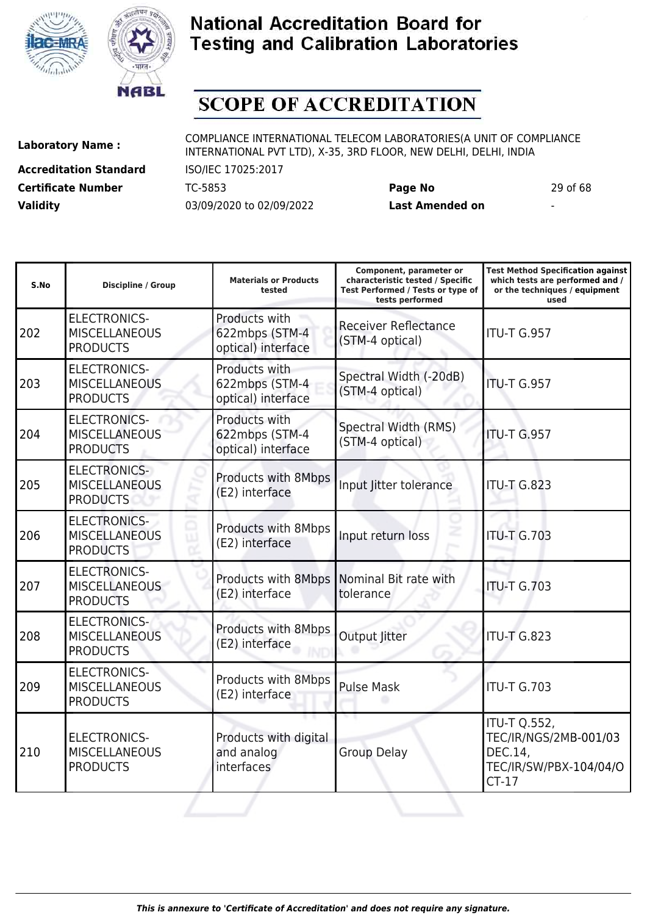



# **SCOPE OF ACCREDITATION**

**Accreditation Standard** ISO/IEC 17025:2017 **Certificate Number** TC-5853 **Page No** 29 of 68 **Validity** 03/09/2020 to 02/09/2022 **Last Amended on** -

| S.No | Discipline / Group                                             | <b>Materials or Products</b><br>tested                | Component, parameter or<br>characteristic tested / Specific<br>Test Performed / Tests or type of<br>tests performed | <b>Test Method Specification against</b><br>which tests are performed and /<br>or the techniques / equipment<br>used |
|------|----------------------------------------------------------------|-------------------------------------------------------|---------------------------------------------------------------------------------------------------------------------|----------------------------------------------------------------------------------------------------------------------|
| 202  | <b>ELECTRONICS-</b><br><b>MISCELLANEOUS</b><br><b>PRODUCTS</b> | Products with<br>622mbps (STM-4<br>optical) interface | <b>Receiver Reflectance</b><br>(STM-4 optical)                                                                      | <b>ITU-T G.957</b>                                                                                                   |
| 203  | <b>ELECTRONICS-</b><br><b>MISCELLANEOUS</b><br><b>PRODUCTS</b> | Products with<br>622mbps (STM-4<br>optical) interface | Spectral Width (-20dB)<br>(STM-4 optical)                                                                           | <b>ITU-T G.957</b>                                                                                                   |
| 204  | <b>ELECTRONICS-</b><br><b>MISCELLANEOUS</b><br><b>PRODUCTS</b> | Products with<br>622mbps (STM-4<br>optical) interface | Spectral Width (RMS)<br>(STM-4 optical)                                                                             | <b>ITU-T G.957</b>                                                                                                   |
| 205  | <b>ELECTRONICS-</b><br><b>MISCELLANEOUS</b><br><b>PRODUCTS</b> | Products with 8Mbps<br>(E2) interface                 | Input Jitter tolerance                                                                                              | <b>ITU-T G.823</b>                                                                                                   |
| 206  | <b>ELECTRONICS-</b><br><b>MISCELLANEOUS</b><br><b>PRODUCTS</b> | Products with 8Mbps<br>(E2) interface                 | Input return loss                                                                                                   | <b>ITU-T G.703</b>                                                                                                   |
| 207  | <b>ELECTRONICS-</b><br><b>MISCELLANEOUS</b><br><b>PRODUCTS</b> | Products with 8Mbps<br>(E2) interface                 | Nominal Bit rate with<br>tolerance                                                                                  | <b>ITU-T G.703</b>                                                                                                   |
| 208  | <b>ELECTRONICS-</b><br><b>MISCELLANEOUS</b><br><b>PRODUCTS</b> | Products with 8Mbps<br>(E2) interface                 | <b>Output Jitter</b>                                                                                                | <b>ITU-T G.823</b>                                                                                                   |
| 209  | <b>ELECTRONICS-</b><br><b>MISCELLANEOUS</b><br><b>PRODUCTS</b> | Products with 8Mbps<br>(E2) interface                 | <b>Pulse Mask</b>                                                                                                   | <b>ITU-T G.703</b>                                                                                                   |
| 210  | <b>ELECTRONICS-</b><br><b>MISCELLANEOUS</b><br><b>PRODUCTS</b> | Products with digital<br>and analog<br>interfaces     | <b>Group Delay</b>                                                                                                  | <b>ITU-T Q.552,</b><br>TEC/IR/NGS/2MB-001/03<br>DEC.14,<br>TEC/IR/SW/PBX-104/04/O<br>$CT-17$                         |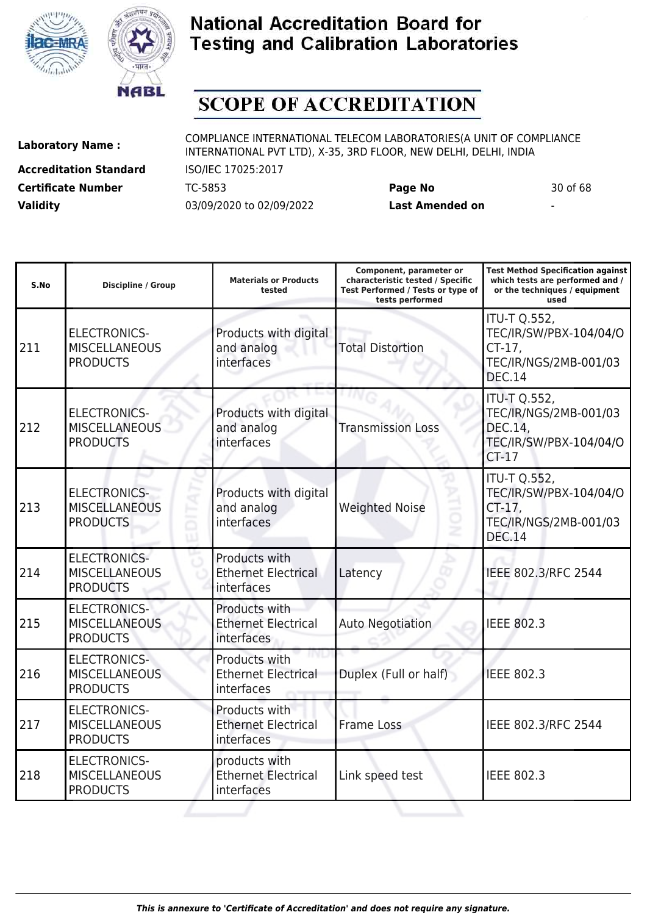



# **SCOPE OF ACCREDITATION**

I

**Accreditation Standard** ISO/IEC 17025:2017 **Certificate Number** TC-5853 **Page No** 30 of 68 **Validity** 03/09/2020 to 02/09/2022 **Last Amended on** -

**Laboratory Name :** COMPLIANCE INTERNATIONAL TELECOM LABORATORIES(A UNIT OF COMPLIANCE INTERNATIONAL PVT LTD), X-35, 3RD FLOOR, NEW DELHI, DELHI, INDIA

**Component, parameter or**

**Test Method Specification against**

| S.No | <b>Discipline / Group</b>                                      | <b>Materials or Products</b><br>tested                    | characteristic tested / Specific<br>Test Performed / Tests or type of<br>tests performed | which tests are performed and /<br>or the techniques / equipment<br>used                             |
|------|----------------------------------------------------------------|-----------------------------------------------------------|------------------------------------------------------------------------------------------|------------------------------------------------------------------------------------------------------|
| 211  | <b>ELECTRONICS-</b><br><b>MISCELLANEOUS</b><br><b>PRODUCTS</b> | Products with digital<br>and analog<br>interfaces         | <b>Total Distortion</b>                                                                  | <b>ITU-T Q.552,</b><br>TEC/IR/SW/PBX-104/04/O<br>CT-17,<br>TEC/IR/NGS/2MB-001/03<br><b>DEC.14</b>    |
| 212  | <b>ELECTRONICS-</b><br><b>MISCELLANEOUS</b><br><b>PRODUCTS</b> | Products with digital<br>and analog<br>interfaces         | <b>Transmission Loss</b>                                                                 | <b>ITU-T Q.552,</b><br>TEC/IR/NGS/2MB-001/03<br>DEC.14,<br>TEC/IR/SW/PBX-104/04/O<br>$CT-17$         |
| 213  | <b>ELECTRONICS-</b><br><b>MISCELLANEOUS</b><br><b>PRODUCTS</b> | Products with digital<br>and analog<br>interfaces         | <b>Weighted Noise</b><br>ż                                                               | <b>ITU-T Q.552,</b><br>TEC/IR/SW/PBX-104/04/O<br>$CT-17$ ,<br>TEC/IR/NGS/2MB-001/03<br><b>DEC.14</b> |
| 214  | <b>ELECTRONICS-</b><br><b>MISCELLANEOUS</b><br><b>PRODUCTS</b> | Products with<br><b>Ethernet Electrical</b><br>interfaces | Latency                                                                                  | IEEE 802.3/RFC 2544                                                                                  |
| 215  | <b>ELECTRONICS-</b><br><b>MISCELLANEOUS</b><br><b>PRODUCTS</b> | Products with<br><b>Ethernet Electrical</b><br>interfaces | <b>Auto Negotiation</b>                                                                  | <b>IEEE 802.3</b>                                                                                    |
| 216  | <b>ELECTRONICS-</b><br><b>MISCELLANEOUS</b><br><b>PRODUCTS</b> | Products with<br><b>Ethernet Electrical</b><br>interfaces | Duplex (Full or half)                                                                    | <b>IEEE 802.3</b>                                                                                    |
| 217  | <b>ELECTRONICS-</b><br><b>MISCELLANEOUS</b><br><b>PRODUCTS</b> | Products with<br><b>Ethernet Electrical</b><br>interfaces | <b>Frame Loss</b>                                                                        | IEEE 802.3/RFC 2544                                                                                  |
| 218  | <b>ELECTRONICS-</b><br><b>MISCELLANEOUS</b><br><b>PRODUCTS</b> | products with<br><b>Ethernet Electrical</b><br>interfaces | Link speed test                                                                          | <b>IEEE 802.3</b>                                                                                    |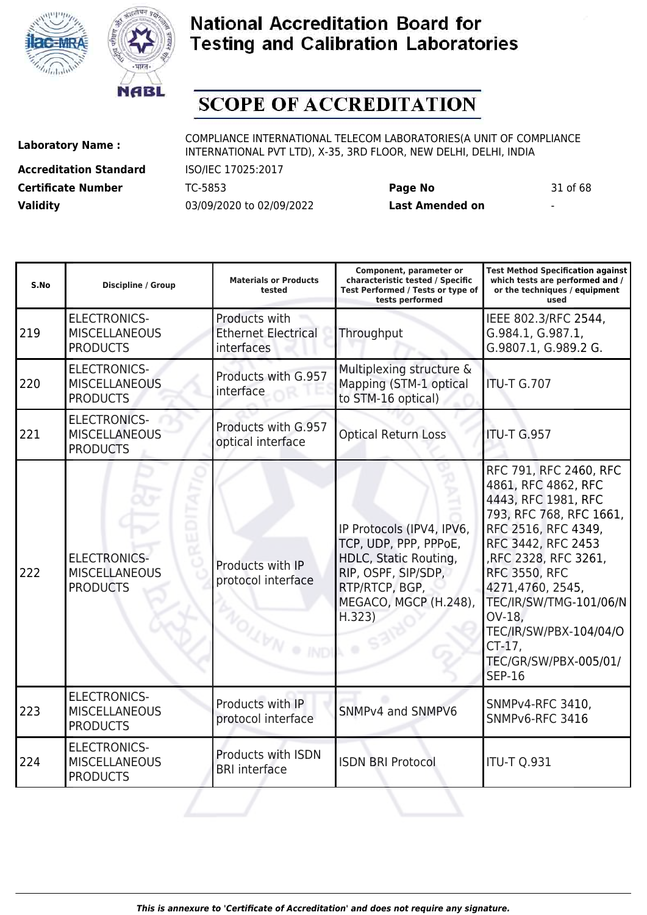



# **SCOPE OF ACCREDITATION**

**Accreditation Standard** ISO/IEC 17025:2017 **Certificate Number** TC-5853 **Page No** 31 of 68 **Validity** 03/09/2020 to 02/09/2022 **Last Amended on** -

| S.No | <b>Discipline / Group</b>                                      | <b>Materials or Products</b><br>tested                          | Component, parameter or<br>characteristic tested / Specific<br>Test Performed / Tests or type of<br>tests performed                                     | <b>Test Method Specification against</b><br>which tests are performed and /<br>or the techniques / equipment<br>used                                                                                                                                                                                                               |
|------|----------------------------------------------------------------|-----------------------------------------------------------------|---------------------------------------------------------------------------------------------------------------------------------------------------------|------------------------------------------------------------------------------------------------------------------------------------------------------------------------------------------------------------------------------------------------------------------------------------------------------------------------------------|
| 219  | <b>ELECTRONICS-</b><br><b>MISCELLANEOUS</b><br><b>PRODUCTS</b> | Products with<br><b>Ethernet Electrical</b><br>interfaces       | Throughput                                                                                                                                              | IEEE 802.3/RFC 2544,<br>G.984.1, G.987.1,<br>G.9807.1, G.989.2 G.                                                                                                                                                                                                                                                                  |
| 220  | <b>ELECTRONICS-</b><br><b>MISCELLANEOUS</b><br><b>PRODUCTS</b> | Products with G.957<br>interface                                | Multiplexing structure &<br>Mapping (STM-1 optical<br>to STM-16 optical)                                                                                | <b>ITU-T G.707</b>                                                                                                                                                                                                                                                                                                                 |
| 221  | <b>ELECTRONICS-</b><br><b>MISCELLANEOUS</b><br><b>PRODUCTS</b> | Products with G.957<br>optical interface                        | <b>Optical Return Loss</b>                                                                                                                              | <b>ITU-T G.957</b>                                                                                                                                                                                                                                                                                                                 |
| 222  | <b>ELECTRONICS-</b><br><b>MISCELLANEOUS</b><br><b>PRODUCTS</b> | Products with IP<br>protocol interface<br><b>OLL VAN ® IND'</b> | IP Protocols (IPV4, IPV6,<br>TCP, UDP, PPP, PPPoE,<br>HDLC, Static Routing,<br>RIP, OSPF, SIP/SDP,<br>RTP/RTCP, BGP,<br>MEGACO, MGCP (H.248),<br>H.323) | RFC 791, RFC 2460, RFC<br>4861, RFC 4862, RFC<br>4443, RFC 1981, RFC<br>793, RFC 768, RFC 1661,<br>RFC 2516, RFC 4349,<br>RFC 3442, RFC 2453<br>,RFC 2328, RFC 3261,<br><b>RFC 3550, RFC</b><br>4271,4760, 2545,<br>TEC/IR/SW/TMG-101/06/N<br>OV-18,<br>TEC/IR/SW/PBX-104/04/O<br>CT-17,<br>TEC/GR/SW/PBX-005/01/<br><b>SEP-16</b> |
| 223  | <b>ELECTRONICS-</b><br><b>MISCELLANEOUS</b><br><b>PRODUCTS</b> | Products with IP<br>protocol interface                          | SNMPv4 and SNMPV6                                                                                                                                       | SNMPv4-RFC 3410,<br>SNMPv6-RFC 3416                                                                                                                                                                                                                                                                                                |
| 224  | <b>ELECTRONICS-</b><br><b>MISCELLANEOUS</b><br><b>PRODUCTS</b> | Products with ISDN<br><b>BRI</b> interface                      | <b>ISDN BRI Protocol</b>                                                                                                                                | <b>ITU-T Q.931</b>                                                                                                                                                                                                                                                                                                                 |
|      |                                                                |                                                                 |                                                                                                                                                         |                                                                                                                                                                                                                                                                                                                                    |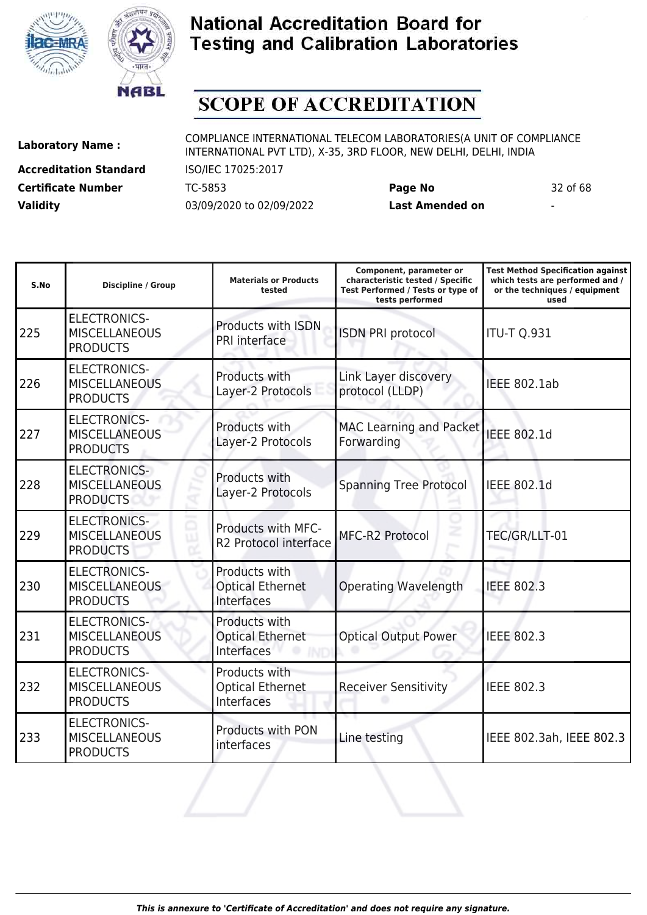



# **SCOPE OF ACCREDITATION**

**Accreditation Standard** ISO/IEC 17025:2017 **Certificate Number** TC-5853 **Page No** 32 of 68 **Validity** 03/09/2020 to 02/09/2022 **Last Amended on** -

**Laboratory Name :** COMPLIANCE INTERNATIONAL TELECOM LABORATORIES(A UNIT OF COMPLIANCE INTERNATIONAL PVT LTD), X-35, 3RD FLOOR, NEW DELHI, DELHI, INDIA

| S.No | <b>Discipline / Group</b>                                      | <b>Materials or Products</b><br>tested                 | Component, parameter or<br>characteristic tested / Specific<br>Test Performed / Tests or type of<br>tests performed | <b>Test Method Specification against</b><br>which tests are performed and /<br>or the techniques / equipment<br>used |
|------|----------------------------------------------------------------|--------------------------------------------------------|---------------------------------------------------------------------------------------------------------------------|----------------------------------------------------------------------------------------------------------------------|
| 225  | <b>ELECTRONICS-</b><br><b>MISCELLANEOUS</b><br><b>PRODUCTS</b> | Products with ISDN<br>PRI interface                    | <b>ISDN PRI protocol</b>                                                                                            | <b>ITU-T Q.931</b>                                                                                                   |
| 226  | <b>ELECTRONICS-</b><br><b>MISCELLANEOUS</b><br><b>PRODUCTS</b> | Products with<br>Layer-2 Protocols                     | Link Layer discovery<br>protocol (LLDP)                                                                             | <b>IEEE 802.1ab</b>                                                                                                  |
| 227  | <b>ELECTRONICS-</b><br><b>MISCELLANEOUS</b><br><b>PRODUCTS</b> | Products with<br>Layer-2 Protocols                     | MAC Learning and Packet<br>Forwarding                                                                               | <b>IEEE 802.1d</b>                                                                                                   |
| 228  | <b>ELECTRONICS-</b><br><b>MISCELLANEOUS</b><br><b>PRODUCTS</b> | Products with<br>Layer-2 Protocols                     | <b>Spanning Tree Protocol</b>                                                                                       | IEEE 802.1d                                                                                                          |
| 229  | <b>ELECTRONICS-</b><br><b>MISCELLANEOUS</b><br><b>PRODUCTS</b> | Products with MFC-<br>R2 Protocol interface            | MFC-R2 Protocol                                                                                                     | TEC/GR/LLT-01                                                                                                        |
| 230  | <b>ELECTRONICS-</b><br><b>MISCELLANEOUS</b><br><b>PRODUCTS</b> | Products with<br><b>Optical Ethernet</b><br>Interfaces | <b>Operating Wavelength</b>                                                                                         | <b>IEEE 802.3</b>                                                                                                    |
| 231  | <b>ELECTRONICS-</b><br><b>MISCELLANEOUS</b><br><b>PRODUCTS</b> | Products with<br><b>Optical Ethernet</b><br>Interfaces | <b>Optical Output Power</b>                                                                                         | <b>IEEE 802.3</b>                                                                                                    |
| 232  | <b>ELECTRONICS-</b><br><b>MISCELLANEOUS</b><br><b>PRODUCTS</b> | Products with<br><b>Optical Ethernet</b><br>Interfaces | <b>Receiver Sensitivity</b>                                                                                         | <b>IEEE 802.3</b>                                                                                                    |
| 233  | <b>ELECTRONICS-</b><br><b>MISCELLANEOUS</b><br><b>PRODUCTS</b> | Products with PON<br>interfaces                        | Line testing                                                                                                        | IEEE 802.3ah, IEEE 802.3                                                                                             |
|      |                                                                |                                                        |                                                                                                                     |                                                                                                                      |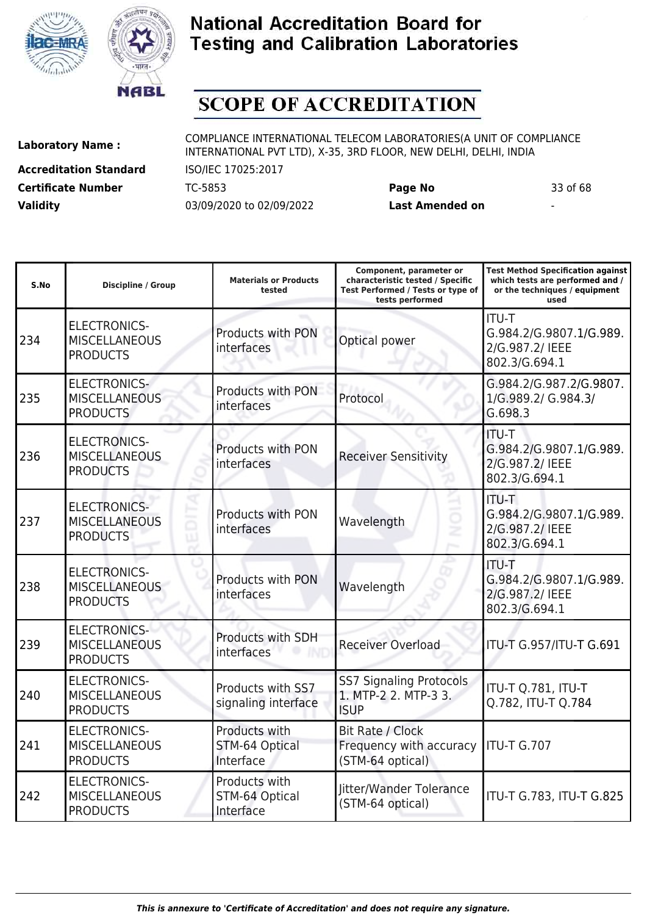



# **SCOPE OF ACCREDITATION**

**Accreditation Standard** ISO/IEC 17025:2017 **Certificate Number** TC-5853 **Page No** 33 of 68 **Validity** 03/09/2020 to 02/09/2022 **Last Amended on** -

**Laboratory Name :** COMPLIANCE INTERNATIONAL TELECOM LABORATORIES(A UNIT OF COMPLIANCE INTERNATIONAL PVT LTD), X-35, 3RD FLOOR, NEW DELHI, DELHI, INDIA

**Component, parameter or**

**Test Method Specification against**

| S.No | <b>Discipline / Group</b>                                      | <b>Materials or Products</b><br>tested              | characteristic tested / Specific<br>Test Performed / Tests or type of<br>tests performed | which tests are performed and /<br>or the techniques / equipment<br>used    |
|------|----------------------------------------------------------------|-----------------------------------------------------|------------------------------------------------------------------------------------------|-----------------------------------------------------------------------------|
| 234  | <b>ELECTRONICS-</b><br><b>MISCELLANEOUS</b><br><b>PRODUCTS</b> | Products with PON<br>interfaces                     | Optical power                                                                            | <b>ITU-T</b><br>G.984.2/G.9807.1/G.989.<br>2/G.987.2/ IEEE<br>802.3/G.694.1 |
| 235  | <b>ELECTRONICS-</b><br><b>MISCELLANEOUS</b><br><b>PRODUCTS</b> | <b>Products with PON</b><br>interfaces              | Protocol                                                                                 | G.984.2/G.987.2/G.9807.<br>1/G.989.2/ G.984.3/<br>G.698.3                   |
| 236  | <b>ELECTRONICS-</b><br><b>MISCELLANEOUS</b><br><b>PRODUCTS</b> | Products with PON<br>interfaces                     | <b>Receiver Sensitivity</b>                                                              | ITU-T<br>G.984.2/G.9807.1/G.989.<br>2/G.987.2/ IEEE<br>802.3/G.694.1        |
| 237  | <b>ELECTRONICS-</b><br><b>MISCELLANEOUS</b><br><b>PRODUCTS</b> | Products with PON<br>interfaces                     | Wavelength                                                                               | ITU-T<br>G.984.2/G.9807.1/G.989.<br>2/G.987.2/ IEEE<br>802.3/G.694.1        |
| 238  | <b>ELECTRONICS-</b><br><b>MISCELLANEOUS</b><br><b>PRODUCTS</b> | Products with PON<br>interfaces                     | Wavelength                                                                               | <b>ITU-T</b><br>G.984.2/G.9807.1/G.989.<br>2/G.987.2/ IEEE<br>802.3/G.694.1 |
| 239  | <b>ELECTRONICS-</b><br><b>MISCELLANEOUS</b><br><b>PRODUCTS</b> | Products with SDH<br>interfaces                     | <b>Receiver Overload</b>                                                                 | ITU-T G.957/ITU-T G.691                                                     |
| 240  | <b>ELECTRONICS-</b><br><b>MISCELLANEOUS</b><br><b>PRODUCTS</b> | Products with SS7<br>signaling interface            | <b>SS7 Signaling Protocols</b><br>1. MTP-2 2. MTP-3 3.<br><b>ISUP</b>                    | ITU-T Q.781, ITU-T<br>Q.782, ITU-T Q.784                                    |
| 241  | <b>ELECTRONICS-</b><br><b>MISCELLANEOUS</b><br><b>PRODUCTS</b> | Products with<br>STM-64 Optical<br>Interface        | Bit Rate / Clock<br>Frequency with accuracy<br>(STM-64 optical)                          | <b>ITU-T G.707</b>                                                          |
| 242  | <b>ELECTRONICS-</b><br><b>MISCELLANEOUS</b><br><b>PRODUCTS</b> | Products with<br><b>STM-64 Optical</b><br>Interface | Jitter/Wander Tolerance<br>(STM-64 optical)                                              | ITU-T G.783, ITU-T G.825                                                    |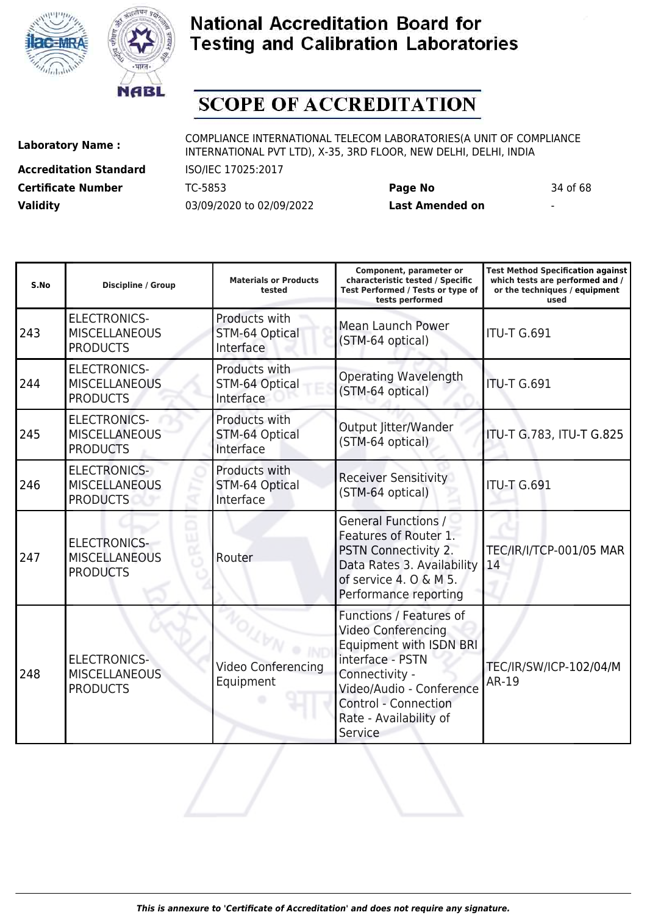



# **SCOPE OF ACCREDITATION**

**Accreditation Standard** ISO/IEC 17025:2017 **Certificate Number** TC-5853 **Page No** 34 of 68 **Validity** 03/09/2020 to 02/09/2022 **Last Amended on** -

| S.No | Discipline / Group                                             | <b>Materials or Products</b><br>tested       | Component, parameter or<br>characteristic tested / Specific<br>Test Performed / Tests or type of<br>tests performed                                                                                            | <b>Test Method Specification against</b><br>which tests are performed and /<br>or the techniques / equipment<br>used |
|------|----------------------------------------------------------------|----------------------------------------------|----------------------------------------------------------------------------------------------------------------------------------------------------------------------------------------------------------------|----------------------------------------------------------------------------------------------------------------------|
| 243  | <b>ELECTRONICS-</b><br><b>MISCELLANEOUS</b><br><b>PRODUCTS</b> | Products with<br>STM-64 Optical<br>Interface | Mean Launch Power<br>(STM-64 optical)                                                                                                                                                                          | <b>ITU-T G.691</b>                                                                                                   |
| 244  | <b>ELECTRONICS-</b><br><b>MISCELLANEOUS</b><br><b>PRODUCTS</b> | Products with<br>STM-64 Optical<br>Interface | <b>Operating Wavelength</b><br>(STM-64 optical)                                                                                                                                                                | <b>ITU-T G.691</b>                                                                                                   |
| 245  | <b>ELECTRONICS-</b><br><b>MISCELLANEOUS</b><br><b>PRODUCTS</b> | Products with<br>STM-64 Optical<br>Interface | Output Jitter/Wander<br>(STM-64 optical)                                                                                                                                                                       | ITU-T G.783, ITU-T G.825                                                                                             |
| 246  | <b>ELECTRONICS-</b><br><b>MISCELLANEOUS</b><br><b>PRODUCTS</b> | Products with<br>STM-64 Optical<br>Interface | <b>Receiver Sensitivity</b><br>(STM-64 optical)                                                                                                                                                                | <b>ITU-T G.691</b>                                                                                                   |
| 247  | <b>ELECTRONICS-</b><br><b>MISCELLANEOUS</b><br><b>PRODUCTS</b> | Router                                       | <b>General Functions /</b><br>Features of Router 1.<br>PSTN Connectivity 2.<br>Data Rates 3. Availability<br>of service 4. O & M 5.<br>Performance reporting                                                   | <b>TEC/IR/I/TCP-001/05 MAR</b><br>14                                                                                 |
| 248  | <b>ELECTRONICS-</b><br><b>MISCELLANEOUS</b><br><b>PRODUCTS</b> | Video Conferencing<br>Equipment              | Functions / Features of<br><b>Video Conferencing</b><br>Equipment with ISDN BRI<br>interface - PSTN<br>Connectivity -<br>Video/Audio - Conference<br>Control - Connection<br>Rate - Availability of<br>Service | TEC/IR/SW/ICP-102/04/M<br><b>AR-19</b>                                                                               |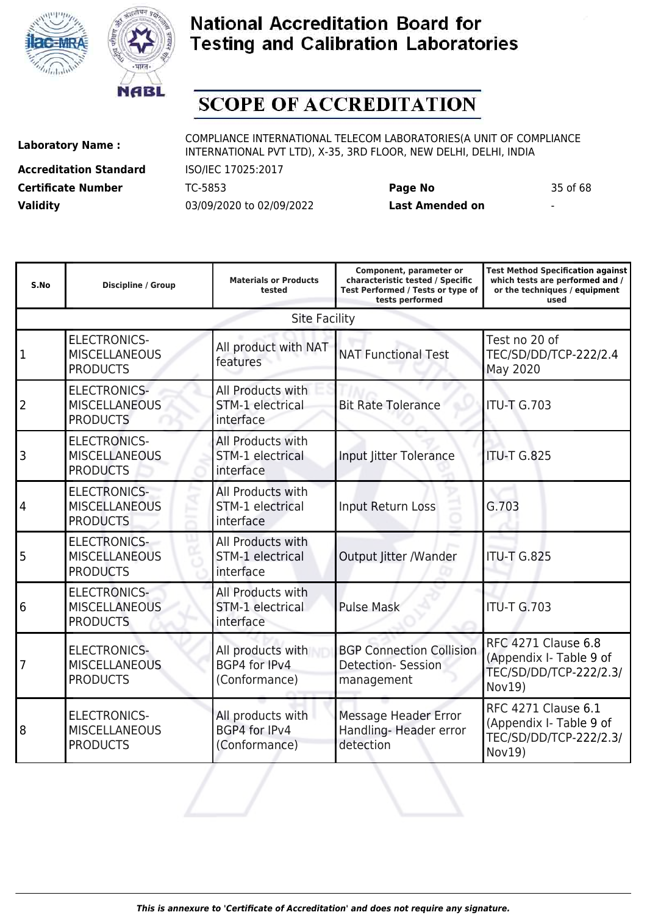



# **SCOPE OF ACCREDITATION**

**Accreditation Standard** ISO/IEC 17025:2017 **Certificate Number** TC-5853 **Page No** 35 of 68 **Validity** 03/09/2020 to 02/09/2022 **Last Amended on** -

**Laboratory Name :** COMPLIANCE INTERNATIONAL TELECOM LABORATORIES(A UNIT OF COMPLIANCE INTERNATIONAL PVT LTD), X-35, 3RD FLOOR, NEW DELHI, DELHI, INDIA

**Component, parameter or**

**Test Method Specification against**

| S.No           | Discipline / Group                                             | <b>Materials or Products</b><br>tested                    | characteristic tested / Specific<br>Test Performed / Tests or type of<br>tests performed | which tests are performed and /<br>or the techniques / equipment<br>used                  |
|----------------|----------------------------------------------------------------|-----------------------------------------------------------|------------------------------------------------------------------------------------------|-------------------------------------------------------------------------------------------|
|                |                                                                | <b>Site Facility</b>                                      |                                                                                          |                                                                                           |
| $\overline{1}$ | <b>ELECTRONICS-</b><br><b>MISCELLANEOUS</b><br><b>PRODUCTS</b> | All product with NAT<br>features                          | <b>NAT Functional Test</b>                                                               | Test no 20 of<br>TEC/SD/DD/TCP-222/2.4<br>May 2020                                        |
| $\overline{2}$ | <b>ELECTRONICS-</b><br><b>MISCELLANEOUS</b><br><b>PRODUCTS</b> | All Products with<br><b>STM-1 electrical</b><br>interface | <b>Bit Rate Tolerance</b>                                                                | <b>ITU-T G.703</b>                                                                        |
| 3              | <b>ELECTRONICS-</b><br><b>MISCELLANEOUS</b><br><b>PRODUCTS</b> | All Products with<br>STM-1 electrical<br>interface        | Input Jitter Tolerance                                                                   | <b>ITU-T G.825</b>                                                                        |
| 4              | <b>ELECTRONICS-</b><br><b>MISCELLANEOUS</b><br><b>PRODUCTS</b> | All Products with<br>STM-1 electrical<br>interface        | Input Return Loss                                                                        | G.703                                                                                     |
| 5              | <b>ELECTRONICS-</b><br><b>MISCELLANEOUS</b><br><b>PRODUCTS</b> | All Products with<br>STM-1 electrical<br>interface        | Output Jitter /Wander                                                                    | <b>ITU-T G.825</b>                                                                        |
| 6              | <b>ELECTRONICS-</b><br><b>MISCELLANEOUS</b><br><b>PRODUCTS</b> | All Products with<br><b>STM-1 electrical</b><br>interface | <b>Pulse Mask</b>                                                                        | <b>ITU-T G.703</b>                                                                        |
| 7              | <b>ELECTRONICS-</b><br><b>MISCELLANEOUS</b><br><b>PRODUCTS</b> | All products with<br>BGP4 for IPv4<br>(Conformance)       | <b>BGP Connection Collision</b><br><b>Detection- Session</b><br>management               | <b>RFC 4271 Clause 6.8</b><br>(Appendix I- Table 9 of<br>TEC/SD/DD/TCP-222/2.3/<br>Nov19) |
| 8              | <b>ELECTRONICS-</b><br><b>MISCELLANEOUS</b><br><b>PRODUCTS</b> | All products with<br>BGP4 for IPv4<br>(Conformance)       | Message Header Error<br>Handling-Header error<br>detection                               | <b>RFC 4271 Clause 6.1</b><br>(Appendix I- Table 9 of<br>TEC/SD/DD/TCP-222/2.3/<br>Nov19) |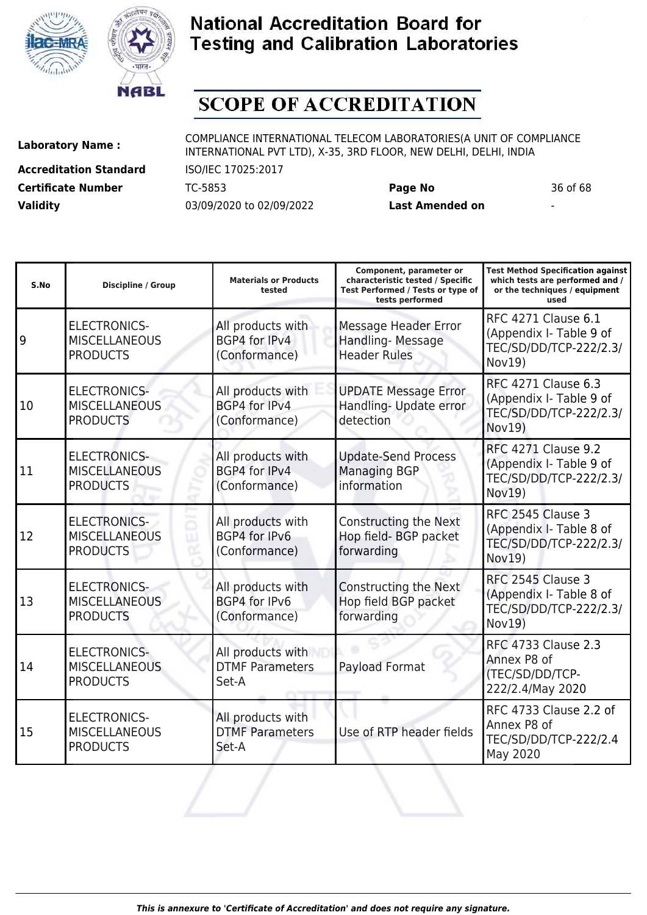



# **SCOPE OF ACCREDITATION**

**Accreditation Standard** ISO/IEC 17025:2017 **Certificate Number** TC-5853 **Page No** 36 of 68 **Validity** 03/09/2020 to 02/09/2022 **Last Amended on** -

**Laboratory Name :** COMPLIANCE INTERNATIONAL TELECOM LABORATORIES(A UNIT OF COMPLIANCE INTERNATIONAL PVT LTD), X-35, 3RD FLOOR, NEW DELHI, DELHI, INDIA

| S.No | <b>Discipline / Group</b>                                      | <b>Materials or Products</b><br>tested                     | Component, parameter or<br>characteristic tested / Specific<br>Test Performed / Tests or type of<br>tests performed | <b>Test Method Specification against</b><br>which tests are performed and /<br>or the techniques / equipment<br>used |
|------|----------------------------------------------------------------|------------------------------------------------------------|---------------------------------------------------------------------------------------------------------------------|----------------------------------------------------------------------------------------------------------------------|
| 9    | <b>ELECTRONICS-</b><br><b>MISCELLANEOUS</b><br><b>PRODUCTS</b> | All products with<br>BGP4 for IPv4<br>(Conformance)        | Message Header Error<br>Handling-Message<br><b>Header Rules</b>                                                     | <b>RFC 4271 Clause 6.1</b><br>(Appendix I- Table 9 of<br>TEC/SD/DD/TCP-222/2.3/<br>Nov19)                            |
| 10   | <b>ELECTRONICS-</b><br><b>MISCELLANEOUS</b><br><b>PRODUCTS</b> | All products with<br><b>BGP4 for IPv4</b><br>(Conformance) | <b>UPDATE Message Error</b><br>Handling- Update error<br>detection                                                  | <b>RFC 4271 Clause 6.3</b><br>(Appendix I- Table 9 of<br>TEC/SD/DD/TCP-222/2.3/<br>Nov19)                            |
| 11   | <b>ELECTRONICS-</b><br><b>MISCELLANEOUS</b><br><b>PRODUCTS</b> | All products with<br>BGP4 for IPv4<br>(Conformance)        | <b>Update-Send Process</b><br><b>Managing BGP</b><br>information                                                    | <b>RFC 4271 Clause 9.2</b><br>(Appendix I- Table 9 of<br>TEC/SD/DD/TCP-222/2.3/<br>Nov19)                            |
| 12   | <b>ELECTRONICS-</b><br><b>MISCELLANEOUS</b><br><b>PRODUCTS</b> | All products with<br>BGP4 for IPv6<br>(Conformance)        | Constructing the Next<br>Hop field- BGP packet<br>forwarding                                                        | RFC 2545 Clause 3<br>(Appendix I- Table 8 of<br>TEC/SD/DD/TCP-222/2.3/<br>Nov19)                                     |
| 13   | <b>ELECTRONICS-</b><br><b>MISCELLANEOUS</b><br><b>PRODUCTS</b> | All products with<br>BGP4 for IPv6<br>(Conformance)        | <b>Constructing the Next</b><br>Hop field BGP packet<br>forwarding                                                  | RFC 2545 Clause 3<br>(Appendix I- Table 8 of<br>TEC/SD/DD/TCP-222/2.3/<br>Nov19)                                     |
| 14   | <b>ELECTRONICS-</b><br><b>MISCELLANEOUS</b><br><b>PRODUCTS</b> | All products with<br><b>DTMF Parameters</b><br>Set-A       | Payload Format                                                                                                      | <b>RFC 4733 Clause 2.3</b><br>Annex P8 of<br>(TEC/SD/DD/TCP-<br>222/2.4/May 2020                                     |
| 15   | <b>ELECTRONICS-</b><br><b>MISCELLANEOUS</b><br><b>PRODUCTS</b> | All products with<br><b>DTMF Parameters</b><br>Set-A       | Use of RTP header fields                                                                                            | RFC 4733 Clause 2.2 of<br>Annex P8 of<br>TEC/SD/DD/TCP-222/2.4<br>May 2020                                           |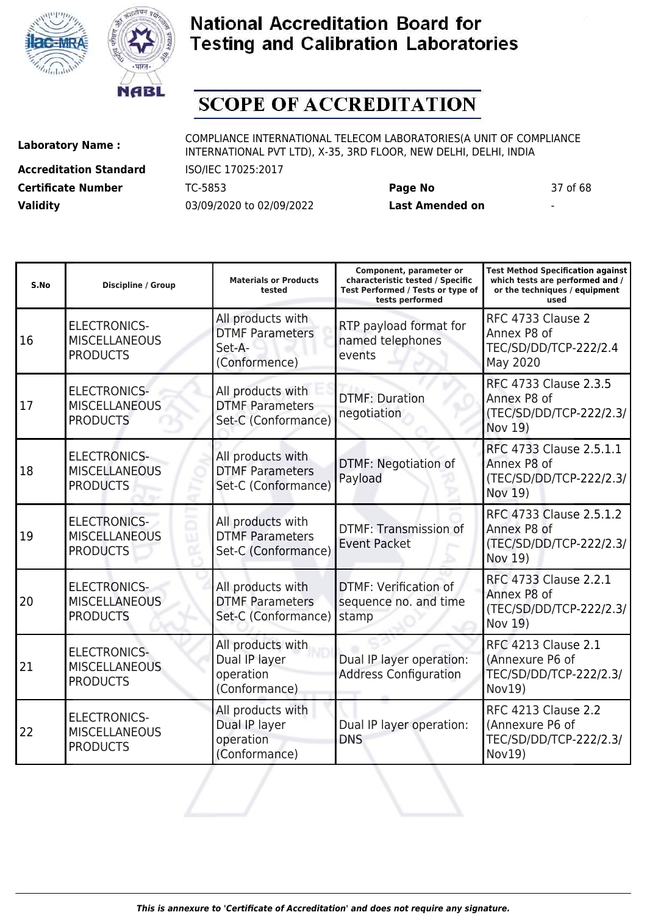



# **SCOPE OF ACCREDITATION**

ı

**Accreditation Standard** ISO/IEC 17025:2017 **Certificate Number** TC-5853 **Page No** 37 of 68 **Validity** 03/09/2020 to 02/09/2022 **Last Amended on** -

**Laboratory Name :** COMPLIANCE INTERNATIONAL TELECOM LABORATORIES(A UNIT OF COMPLIANCE INTERNATIONAL PVT LTD), X-35, 3RD FLOOR, NEW DELHI, DELHI, INDIA

ı

**Test Method Specification against**

| S.No | <b>Discipline / Group</b>                                      | <b>Materials or Products</b><br>tested                                 | characteristic tested / Specific<br>Test Performed / Tests or type of<br>tests performed | which tests are performed and /<br>or the techniques / equipment<br>used          |
|------|----------------------------------------------------------------|------------------------------------------------------------------------|------------------------------------------------------------------------------------------|-----------------------------------------------------------------------------------|
| 16   | <b>ELECTRONICS-</b><br><b>MISCELLANEOUS</b><br><b>PRODUCTS</b> | All products with<br><b>DTMF Parameters</b><br>Set-A-<br>(Conformence) | RTP payload format for<br>named telephones<br>events                                     | RFC 4733 Clause 2<br>Annex P8 of<br>TEC/SD/DD/TCP-222/2.4<br>May 2020             |
| 17   | <b>ELECTRONICS-</b><br><b>MISCELLANEOUS</b><br><b>PRODUCTS</b> | All products with<br><b>DTMF Parameters</b><br>Set-C (Conformance)     | <b>DTMF: Duration</b><br>negotiation                                                     | RFC 4733 Clause 2.3.5<br>Annex P8 of<br>(TEC/SD/DD/TCP-222/2.3/<br>Nov 19)        |
| 18   | <b>ELECTRONICS-</b><br><b>MISCELLANEOUS</b><br><b>PRODUCTS</b> | All products with<br><b>DTMF Parameters</b><br>Set-C (Conformance)     | <b>DTMF: Negotiation of</b><br>Payload                                                   | RFC 4733 Clause 2.5.1.1<br>Annex P8 of<br>(TEC/SD/DD/TCP-222/2.3/<br>Nov 19)      |
| 19   | <b>ELECTRONICS-</b><br><b>MISCELLANEOUS</b><br><b>PRODUCTS</b> | All products with<br><b>DTMF Parameters</b><br>Set-C (Conformance)     | <b>DTMF: Transmission of</b><br><b>Event Packet</b>                                      | RFC 4733 Clause 2.5.1.2<br>Annex P8 of<br>(TEC/SD/DD/TCP-222/2.3/<br>Nov 19)      |
| 20   | <b>ELECTRONICS-</b><br><b>MISCELLANEOUS</b><br><b>PRODUCTS</b> | All products with<br><b>DTMF Parameters</b><br>Set-C (Conformance)     | DTMF: Verification of<br>sequence no. and time<br>stamp                                  | RFC 4733 Clause 2.2.1<br>Annex P8 of<br>(TEC/SD/DD/TCP-222/2.3/<br>Nov 19)        |
| 21   | <b>ELECTRONICS-</b><br><b>MISCELLANEOUS</b><br><b>PRODUCTS</b> | All products with<br>Dual IP layer<br>operation<br>(Conformance)       | Dual IP layer operation:<br><b>Address Configuration</b>                                 | <b>RFC 4213 Clause 2.1</b><br>(Annexure P6 of<br>TEC/SD/DD/TCP-222/2.3/<br>Nov19) |
| 22   | <b>ELECTRONICS-</b><br><b>MISCELLANEOUS</b><br><b>PRODUCTS</b> | All products with<br>Dual IP layer<br>operation<br>(Conformance)       | Dual IP layer operation:<br><b>DNS</b>                                                   | <b>RFC 4213 Clause 2.2</b><br>(Annexure P6 of<br>TEC/SD/DD/TCP-222/2.3/<br>Nov19) |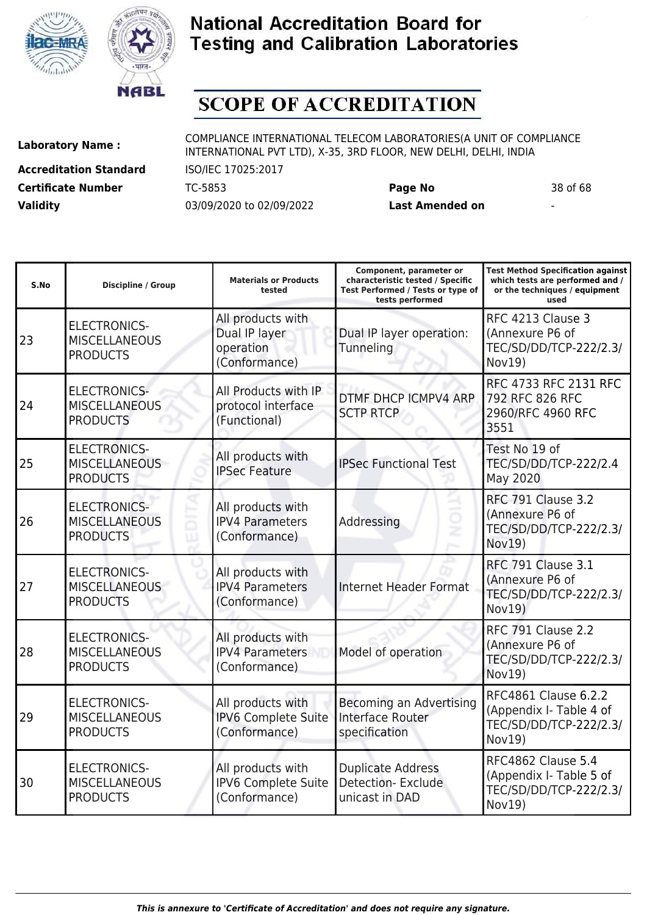



# **SCOPE OF ACCREDITATION**

**Accreditation Standard** ISO/IEC 17025:2017 **Certificate Number** TC-5853 **Page No** 38 of 68 **Validity** 03/09/2020 to 02/09/2022 **Last Amended on** -

**Laboratory Name :** COMPLIANCE INTERNATIONAL TELECOM LABORATORIES(A UNIT OF COMPLIANCE INTERNATIONAL PVT LTD), X-35, 3RD FLOOR, NEW DELHI, DELHI, INDIA

| S.No | <b>Discipline / Group</b>                                      | <b>Materials or Products</b><br>tested                           | Component, parameter or<br>characteristic tested / Specific<br>Test Performed / Tests or type of<br>tests performed | <b>Test Method Specification against</b><br>which tests are performed and /<br>or the techniques / equipment<br>used |
|------|----------------------------------------------------------------|------------------------------------------------------------------|---------------------------------------------------------------------------------------------------------------------|----------------------------------------------------------------------------------------------------------------------|
| 23   | <b>ELECTRONICS-</b><br><b>MISCELLANEOUS</b><br><b>PRODUCTS</b> | All products with<br>Dual IP layer<br>operation<br>(Conformance) | Dual IP layer operation:<br>Tunneling                                                                               | RFC 4213 Clause 3<br>(Annexure P6 of<br>TEC/SD/DD/TCP-222/2.3/<br>Nov19)                                             |
| 24   | <b>ELECTRONICS-</b><br><b>MISCELLANEOUS</b><br><b>PRODUCTS</b> | All Products with IP<br>protocol interface<br>(Functional)       | DTMF DHCP ICMPV4 ARP<br><b>SCTP RTCP</b>                                                                            | RFC 4733 RFC 2131 RFC<br>792 RFC 826 RFC<br>2960/RFC 4960 RFC<br>3551                                                |
| 25   | <b>ELECTRONICS-</b><br><b>MISCELLANEOUS</b><br><b>PRODUCTS</b> | All products with<br><b>IPSec Feature</b>                        | <b>IPSec Functional Test</b>                                                                                        | Test No 19 of<br>TEC/SD/DD/TCP-222/2.4<br>May 2020                                                                   |
| 26   | <b>ELECTRONICS-</b><br><b>MISCELLANEOUS</b><br><b>PRODUCTS</b> | All products with<br><b>IPV4 Parameters</b><br>(Conformance)     | Addressing                                                                                                          | <b>RFC 791 Clause 3.2</b><br>(Annexure P6 of<br>TEC/SD/DD/TCP-222/2.3/<br>Nov19)                                     |
| 27   | <b>ELECTRONICS-</b><br><b>MISCELLANEOUS</b><br><b>PRODUCTS</b> | All products with<br><b>IPV4 Parameters</b><br>(Conformance)     | <b>Internet Header Format</b>                                                                                       | <b>RFC 791 Clause 3.1</b><br>(Annexure P6 of<br>TEC/SD/DD/TCP-222/2.3/<br>Nov19)                                     |
| 28   | <b>ELECTRONICS-</b><br><b>MISCELLANEOUS</b><br><b>PRODUCTS</b> | All products with<br><b>IPV4 Parameters</b><br>(Conformance)     | Model of operation                                                                                                  | <b>RFC 791 Clause 2.2</b><br>(Annexure P6 of<br>TEC/SD/DD/TCP-222/2.3/<br>Nov19)                                     |
| 29   | <b>ELECTRONICS-</b><br><b>MISCELLANEOUS</b><br><b>PRODUCTS</b> | All products with<br><b>IPV6 Complete Suite</b><br>(Conformance) | Becoming an Advertising<br><b>Interface Router</b><br>specification                                                 | RFC4861 Clause 6.2.2<br>(Appendix I- Table 4 of<br>TEC/SD/DD/TCP-222/2.3/<br>Nov19)                                  |
| 30   | <b>ELECTRONICS-</b><br><b>MISCELLANEOUS</b><br><b>PRODUCTS</b> | All products with<br><b>IPV6 Complete Suite</b><br>(Conformance) | <b>Duplicate Address</b><br><b>Detection-Exclude</b><br>unicast in DAD                                              | RFC4862 Clause 5.4<br>(Appendix I- Table 5 of<br>TEC/SD/DD/TCP-222/2.3/<br>Nov19)                                    |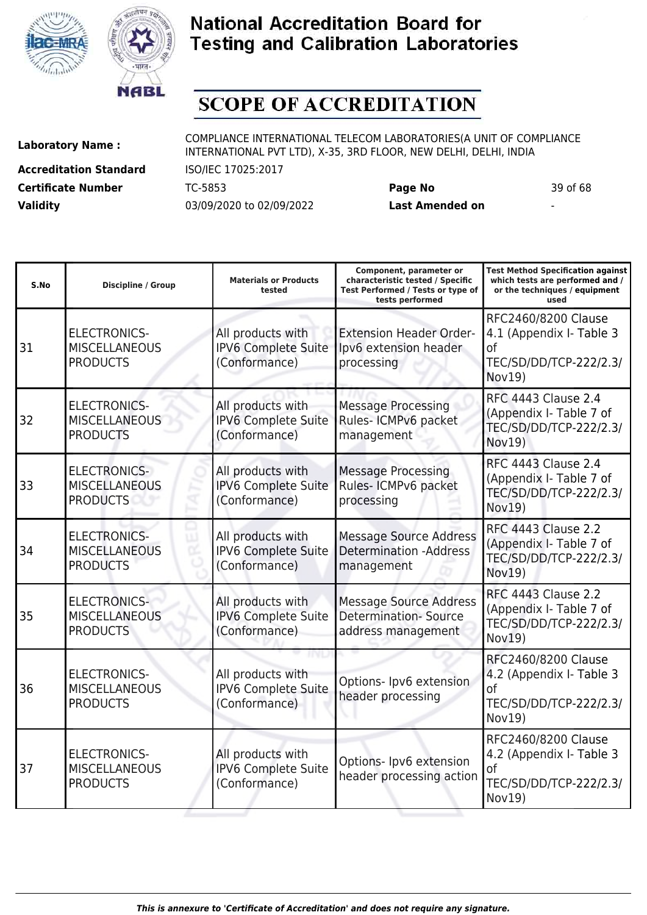



# **SCOPE OF ACCREDITATION**

I

**Accreditation Standard** ISO/IEC 17025:2017 **Certificate Number** TC-5853 **Page No** 39 of 68 **Validity** 03/09/2020 to 02/09/2022 **Last Amended on** -

**Laboratory Name :** COMPLIANCE INTERNATIONAL TELECOM LABORATORIES(A UNIT OF COMPLIANCE INTERNATIONAL PVT LTD), X-35, 3RD FLOOR, NEW DELHI, DELHI, INDIA

**Test Method Specification against**

| S.No | Discipline / Group                                             | <b>Materials or Products</b><br>tested                           | characteristic tested / Specific<br>Test Performed / Tests or type of<br>tests performed | which tests are performed and /<br>or the techniques / equipment<br>used                             |
|------|----------------------------------------------------------------|------------------------------------------------------------------|------------------------------------------------------------------------------------------|------------------------------------------------------------------------------------------------------|
| 31   | <b>ELECTRONICS-</b><br><b>MISCELLANEOUS</b><br><b>PRODUCTS</b> | All products with<br><b>IPV6 Complete Suite</b><br>(Conformance) | <b>Extension Header Order-</b><br>Ipv6 extension header<br>processing                    | RFC2460/8200 Clause<br>4.1 (Appendix I- Table 3<br>0f<br>TEC/SD/DD/TCP-222/2.3/<br>Nov19)            |
| 32   | <b>ELECTRONICS-</b><br><b>MISCELLANEOUS</b><br><b>PRODUCTS</b> | All products with<br><b>IPV6 Complete Suite</b><br>(Conformance) | <b>Message Processing</b><br>Rules- ICMPv6 packet<br>management                          | <b>RFC 4443 Clause 2.4</b><br>(Appendix I- Table 7 of<br>TEC/SD/DD/TCP-222/2.3/<br>Nov19)            |
| 33   | <b>ELECTRONICS-</b><br><b>MISCELLANEOUS</b><br><b>PRODUCTS</b> | All products with<br><b>IPV6 Complete Suite</b><br>(Conformance) | <b>Message Processing</b><br>Rules- ICMPv6 packet<br>processing                          | <b>RFC 4443 Clause 2.4</b><br>(Appendix I- Table 7 of<br>TEC/SD/DD/TCP-222/2.3/<br>Nov19)            |
| 34   | <b>ELECTRONICS-</b><br><b>MISCELLANEOUS</b><br><b>PRODUCTS</b> | All products with<br>IPV6 Complete Suite<br>(Conformance)        | <b>Message Source Address</b><br><b>Determination -Address</b><br>management             | <b>RFC 4443 Clause 2.2</b><br>(Appendix I- Table 7 of<br>TEC/SD/DD/TCP-222/2.3/<br>Nov19)            |
| 35   | <b>ELECTRONICS-</b><br><b>MISCELLANEOUS</b><br><b>PRODUCTS</b> | All products with<br><b>IPV6 Complete Suite</b><br>(Conformance) | <b>Message Source Address</b><br><b>Determination-Source</b><br>address management       | <b>RFC 4443 Clause 2.2</b><br>(Appendix I- Table 7 of<br>TEC/SD/DD/TCP-222/2.3/<br>Nov19)            |
| 36   | <b>ELECTRONICS-</b><br><b>MISCELLANEOUS</b><br><b>PRODUCTS</b> | All products with<br>IPV6 Complete Suite<br>(Conformance)        | Options- Ipv6 extension<br>header processing                                             | RFC2460/8200 Clause<br>4.2 (Appendix I- Table 3<br><sub>of</sub><br>TEC/SD/DD/TCP-222/2.3/<br>Nov19) |
| 37   | <b>ELECTRONICS-</b><br><b>MISCELLANEOUS</b><br><b>PRODUCTS</b> | All products with<br>IPV6 Complete Suite<br>(Conformance)        | Options- Ipv6 extension<br>header processing action                                      | RFC2460/8200 Clause<br>4.2 (Appendix I- Table 3<br><sub>of</sub><br>TEC/SD/DD/TCP-222/2.3/<br>Nov19) |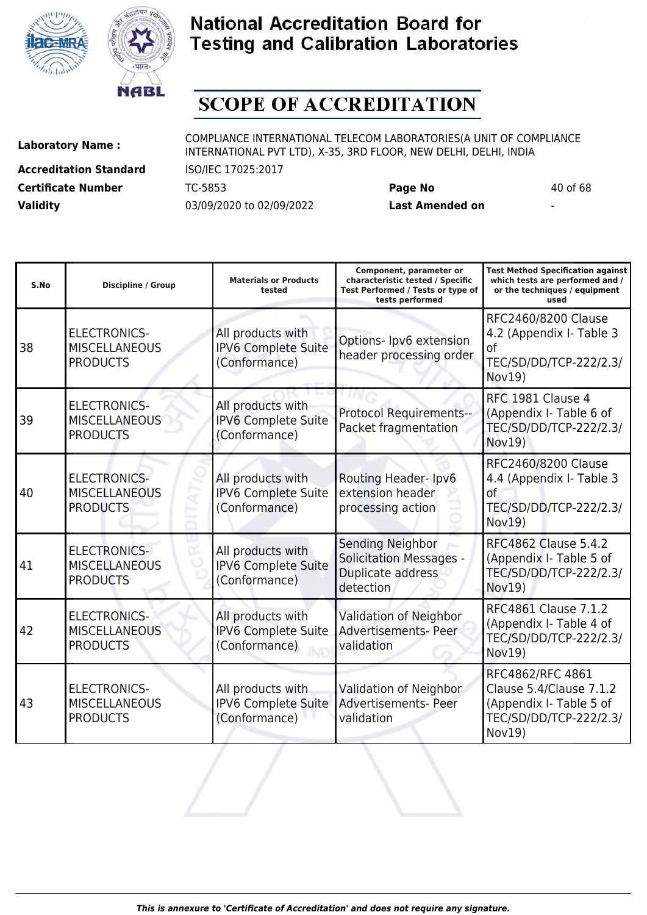



# **SCOPE OF ACCREDITATION**

**Accreditation Standard** ISO/IEC 17025:2017 **Certificate Number** TC-5853 **Page No** 40 of 68 **Validity** 03/09/2020 to 02/09/2022 **Last Amended on** -

**Laboratory Name :** COMPLIANCE INTERNATIONAL TELECOM LABORATORIES(A UNIT OF COMPLIANCE INTERNATIONAL PVT LTD), X-35, 3RD FLOOR, NEW DELHI, DELHI, INDIA

| S.No | <b>Discipline / Group</b>                                      | <b>Materials or Products</b><br>tested                           | Component, parameter or<br>characteristic tested / Specific<br>Test Performed / Tests or type of<br>tests performed | <b>Test Method Specification against</b><br>which tests are performed and /<br>or the techniques / equipment<br>used |
|------|----------------------------------------------------------------|------------------------------------------------------------------|---------------------------------------------------------------------------------------------------------------------|----------------------------------------------------------------------------------------------------------------------|
| 38   | <b>ELECTRONICS-</b><br><b>MISCELLANEOUS</b><br><b>PRODUCTS</b> | All products with<br>IPV6 Complete Suite<br>(Conformance)        | Options- Ipv6 extension<br>header processing order                                                                  | RFC2460/8200 Clause<br>4.2 (Appendix I- Table 3<br>of<br>TEC/SD/DD/TCP-222/2.3/<br>Nov19)                            |
| 39   | <b>ELECTRONICS-</b><br><b>MISCELLANEOUS</b><br><b>PRODUCTS</b> | All products with<br><b>IPV6 Complete Suite</b><br>(Conformance) | <b>Protocol Requirements--</b><br>Packet fragmentation                                                              | RFC 1981 Clause 4<br>(Appendix I- Table 6 of<br>TEC/SD/DD/TCP-222/2.3/<br>Nov19)                                     |
| 40   | <b>ELECTRONICS-</b><br><b>MISCELLANEOUS</b><br><b>PRODUCTS</b> | All products with<br>IPV6 Complete Suite<br>(Conformance)        | Routing Header-Ipv6<br>extension header<br>processing action                                                        | RFC2460/8200 Clause<br>4.4 (Appendix I- Table 3<br>оf<br>TEC/SD/DD/TCP-222/2.3/<br><b>Nov19)</b>                     |
| 41   | <b>ELECTRONICS-</b><br><b>MISCELLANEOUS</b><br><b>PRODUCTS</b> | All products with<br>IPV6 Complete Suite<br>(Conformance)        | Sending Neighbor<br><b>Solicitation Messages -</b><br>Duplicate address<br>detection                                | <b>RFC4862 Clause 5.4.2</b><br>(Appendix I- Table 5 of<br>TEC/SD/DD/TCP-222/2.3/<br>Nov19)                           |
| 42   | <b>ELECTRONICS-</b><br><b>MISCELLANEOUS</b><br><b>PRODUCTS</b> | All products with<br>IPV6 Complete Suite<br>(Conformance)        | Validation of Neighbor<br>Advertisements- Peer<br>validation                                                        | RFC4861 Clause 7.1.2<br>(Appendix I- Table 4 of<br>TEC/SD/DD/TCP-222/2.3/<br>Nov19)                                  |
| 43   | <b>ELECTRONICS-</b><br><b>MISCELLANEOUS</b><br><b>PRODUCTS</b> | All products with<br>IPV6 Complete Suite<br>(Conformance)        | Validation of Neighbor<br><b>Advertisements- Peer</b><br>validation                                                 | RFC4862/RFC 4861<br>Clause 5.4/Clause 7.1.2<br>(Appendix I- Table 5 of<br>TEC/SD/DD/TCP-222/2.3/<br>Nov19)           |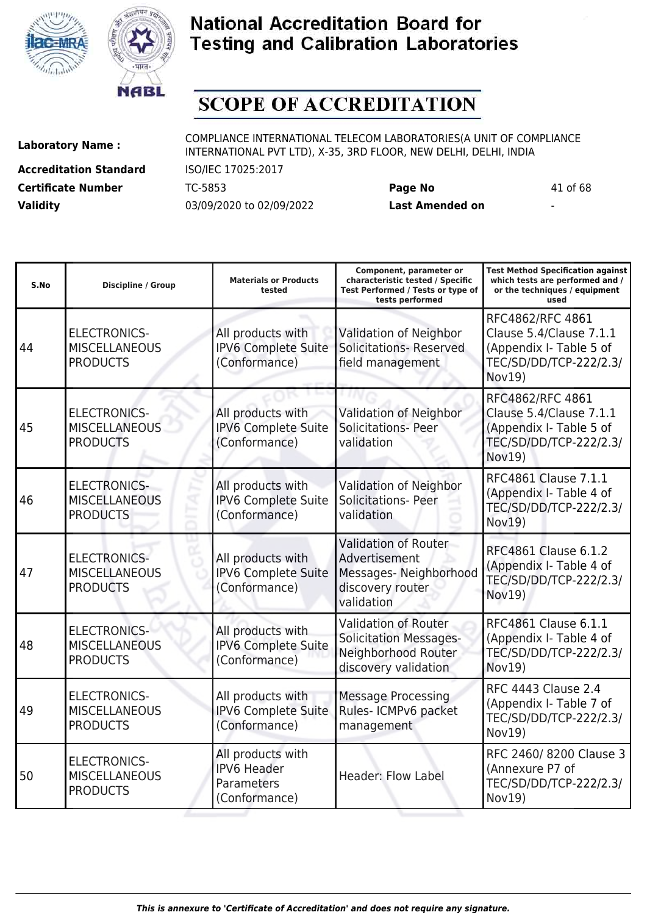



# **SCOPE OF ACCREDITATION**

**Accreditation Standard** ISO/IEC 17025:2017 **Certificate Number** TC-5853 **Page No** 41 of 68 **Validity** 03/09/2020 to 02/09/2022 **Last Amended on** -

**Laboratory Name :** COMPLIANCE INTERNATIONAL TELECOM LABORATORIES(A UNIT OF COMPLIANCE INTERNATIONAL PVT LTD), X-35, 3RD FLOOR, NEW DELHI, DELHI, INDIA

| S.No | <b>Discipline / Group</b>                                      | <b>Materials or Products</b><br>tested                                 | Component, parameter or<br>characteristic tested / Specific<br>Test Performed / Tests or type of<br>tests performed | <b>Test Method Specification against</b><br>which tests are performed and /<br>or the techniques / equipment<br>used |
|------|----------------------------------------------------------------|------------------------------------------------------------------------|---------------------------------------------------------------------------------------------------------------------|----------------------------------------------------------------------------------------------------------------------|
| 44   | <b>ELECTRONICS-</b><br><b>MISCELLANEOUS</b><br><b>PRODUCTS</b> | All products with<br><b>IPV6 Complete Suite</b><br>(Conformance)       | Validation of Neighbor<br><b>Solicitations- Reserved</b><br>field management                                        | RFC4862/RFC 4861<br>Clause 5.4/Clause 7.1.1<br>(Appendix I- Table 5 of<br>TEC/SD/DD/TCP-222/2.3/<br>Nov19)           |
| 45   | <b>ELECTRONICS-</b><br><b>MISCELLANEOUS</b><br><b>PRODUCTS</b> | All products with<br>IPV6 Complete Suite<br>(Conformance)              | Validation of Neighbor<br><b>Solicitations- Peer</b><br>validation                                                  | RFC4862/RFC 4861<br>Clause 5.4/Clause 7.1.1<br>(Appendix I- Table 5 of<br>TEC/SD/DD/TCP-222/2.3/<br>Nov19)           |
| 46   | <b>ELECTRONICS-</b><br><b>MISCELLANEOUS</b><br><b>PRODUCTS</b> | All products with<br>IPV6 Complete Suite<br>(Conformance)              | Validation of Neighbor<br><b>Solicitations- Peer</b><br>validation                                                  | RFC4861 Clause 7.1.1<br>(Appendix I- Table 4 of<br>TEC/SD/DD/TCP-222/2.3/<br>Nov19)                                  |
| 47   | <b>ELECTRONICS-</b><br><b>MISCELLANEOUS</b><br><b>PRODUCTS</b> | All products with<br><b>IPV6 Complete Suite</b><br>(Conformance)       | <b>Validation of Router</b><br>Advertisement<br>Messages-Neighborhood<br>discovery router<br>validation             | RFC4861 Clause 6.1.2<br>(Appendix I- Table 4 of<br>TEC/SD/DD/TCP-222/2.3/<br>Nov19)                                  |
| 48   | <b>ELECTRONICS-</b><br><b>MISCELLANEOUS</b><br><b>PRODUCTS</b> | All products with<br><b>IPV6 Complete Suite</b><br>(Conformance)       | <b>Validation of Router</b><br><b>Solicitation Messages-</b><br>Neighborhood Router<br>discovery validation         | RFC4861 Clause 6.1.1<br>(Appendix I- Table 4 of<br>TEC/SD/DD/TCP-222/2.3/<br>Nov19)                                  |
| 49   | <b>ELECTRONICS-</b><br><b>MISCELLANEOUS</b><br><b>PRODUCTS</b> | All products with<br><b>IPV6 Complete Suite</b><br>(Conformance)       | <b>Message Processing</b><br>Rules- ICMPv6 packet<br>management                                                     | <b>RFC 4443 Clause 2.4</b><br>(Appendix I- Table 7 of<br>TEC/SD/DD/TCP-222/2.3/<br>Nov19)                            |
| 50   | <b>ELECTRONICS-</b><br><b>MISCELLANEOUS</b><br><b>PRODUCTS</b> | All products with<br><b>IPV6 Header</b><br>Parameters<br>(Conformance) | <b>Header: Flow Label</b>                                                                                           | RFC 2460/8200 Clause 3<br>(Annexure P7 of<br>TEC/SD/DD/TCP-222/2.3/<br>Nov19)                                        |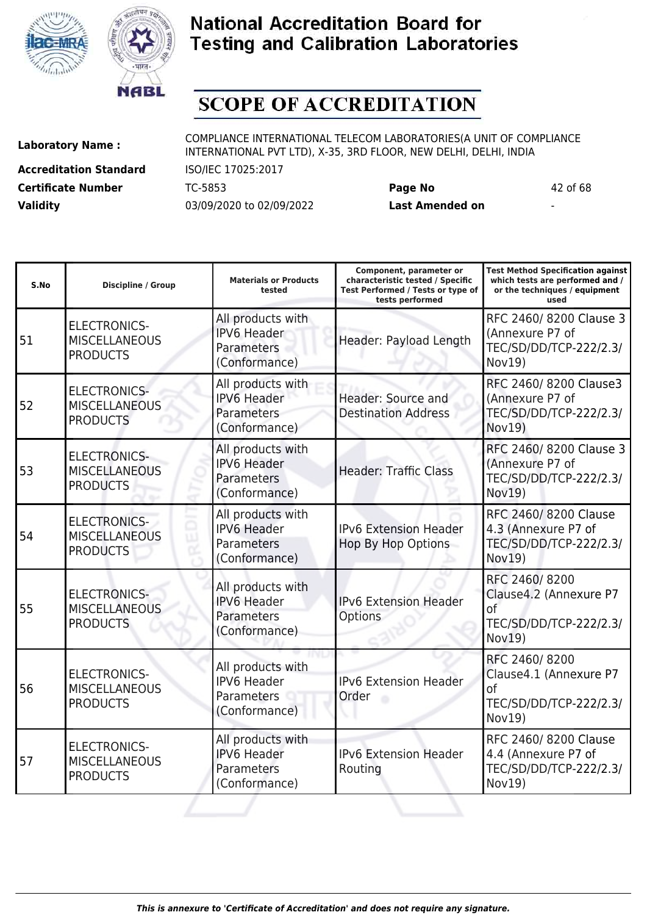



# **SCOPE OF ACCREDITATION**

ı

**Accreditation Standard** ISO/IEC 17025:2017 **Certificate Number** TC-5853 **Page No** 42 of 68 **Validity** 03/09/2020 to 02/09/2022 **Last Amended on** -

**Laboratory Name :** COMPLIANCE INTERNATIONAL TELECOM LABORATORIES(A UNIT OF COMPLIANCE INTERNATIONAL PVT LTD), X-35, 3RD FLOOR, NEW DELHI, DELHI, INDIA

**Test Method Specification against**

| S.No | <b>Discipline / Group</b>                                      | <b>Materials or Products</b><br>tested                                 | characteristic tested / Specific<br>Test Performed / Tests or type of<br>tests performed | which tests are performed and /<br>or the techniques / equipment<br>used          |
|------|----------------------------------------------------------------|------------------------------------------------------------------------|------------------------------------------------------------------------------------------|-----------------------------------------------------------------------------------|
| 51   | <b>ELECTRONICS-</b><br><b>MISCELLANEOUS</b><br><b>PRODUCTS</b> | All products with<br><b>IPV6 Header</b><br>Parameters<br>(Conformance) | Header: Payload Length                                                                   | RFC 2460/8200 Clause 3<br>(Annexure P7 of<br>TEC/SD/DD/TCP-222/2.3/<br>Nov19)     |
| 52   | <b>ELECTRONICS-</b><br><b>MISCELLANEOUS</b><br><b>PRODUCTS</b> | All products with<br><b>IPV6 Header</b><br>Parameters<br>(Conformance) | Header: Source and<br><b>Destination Address</b>                                         | RFC 2460/8200 Clause3<br>(Annexure P7 of<br>TEC/SD/DD/TCP-222/2.3/<br>Nov19)      |
| 53   | <b>ELECTRONICS-</b><br><b>MISCELLANEOUS</b><br><b>PRODUCTS</b> | All products with<br><b>IPV6 Header</b><br>Parameters<br>(Conformance) | <b>Header: Traffic Class</b>                                                             | RFC 2460/8200 Clause 3<br>(Annexure P7 of<br>TEC/SD/DD/TCP-222/2.3/<br>Nov19)     |
| 54   | <b>ELECTRONICS-</b><br><b>MISCELLANEOUS</b><br><b>PRODUCTS</b> | All products with<br><b>IPV6 Header</b><br>Parameters<br>(Conformance) | <b>IPv6 Extension Header</b><br><b>Hop By Hop Options</b>                                | RFC 2460/8200 Clause<br>4.3 (Annexure P7 of<br>TEC/SD/DD/TCP-222/2.3/<br>Nov19)   |
| 55   | <b>ELECTRONICS-</b><br><b>MISCELLANEOUS</b><br><b>PRODUCTS</b> | All products with<br><b>IPV6 Header</b><br>Parameters<br>(Conformance) | <b>IPv6 Extension Header</b><br>Options                                                  | RFC 2460/8200<br>Clause4.2 (Annexure P7<br>of<br>TEC/SD/DD/TCP-222/2.3/<br>Nov19) |
| 56   | <b>ELECTRONICS-</b><br><b>MISCELLANEOUS</b><br><b>PRODUCTS</b> | All products with<br><b>IPV6 Header</b><br>Parameters<br>(Conformance) | <b>IPv6 Extension Header</b><br>Order                                                    | RFC 2460/8200<br>Clause4.1 (Annexure P7<br>0f<br>TEC/SD/DD/TCP-222/2.3/<br>Nov19) |
| 57   | <b>ELECTRONICS-</b><br><b>MISCELLANEOUS</b><br><b>PRODUCTS</b> | All products with<br><b>IPV6 Header</b><br>Parameters<br>(Conformance) | IPv6 Extension Header<br>Routing                                                         | RFC 2460/8200 Clause<br>4.4 (Annexure P7 of<br>TEC/SD/DD/TCP-222/2.3/<br>Nov19)   |
|      |                                                                |                                                                        |                                                                                          |                                                                                   |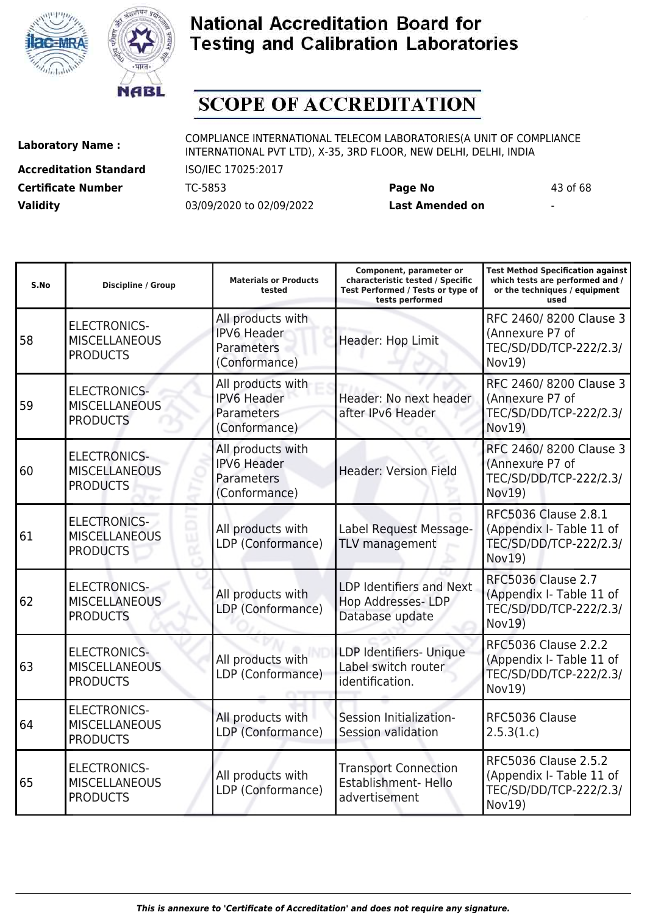



# **SCOPE OF ACCREDITATION**

**Accreditation Standard** ISO/IEC 17025:2017 **Certificate Number** TC-5853 **Page No** 43 of 68 **Validity** 03/09/2020 to 02/09/2022 **Last Amended on** -

**Laboratory Name :** COMPLIANCE INTERNATIONAL TELECOM LABORATORIES(A UNIT OF COMPLIANCE INTERNATIONAL PVT LTD), X-35, 3RD FLOOR, NEW DELHI, DELHI, INDIA

**Test Method Specification against**

| S.No | <b>Discipline / Group</b>                                      | <b>Materials or Products</b><br>tested                                 | characteristic tested / Specific<br>Test Performed / Tests or type of<br>tests performed | which tests are performed and /<br>or the techniques / equipment<br>used                         |
|------|----------------------------------------------------------------|------------------------------------------------------------------------|------------------------------------------------------------------------------------------|--------------------------------------------------------------------------------------------------|
| 58   | <b>ELECTRONICS-</b><br><b>MISCELLANEOUS</b><br><b>PRODUCTS</b> | All products with<br><b>IPV6 Header</b><br>Parameters<br>(Conformance) | Header: Hop Limit                                                                        | RFC 2460/8200 Clause 3<br>(Annexure P7 of<br>TEC/SD/DD/TCP-222/2.3/<br>Nov19)                    |
| 59   | <b>ELECTRONICS-</b><br><b>MISCELLANEOUS</b><br><b>PRODUCTS</b> | All products with<br><b>IPV6 Header</b><br>Parameters<br>(Conformance) | Header: No next header<br>after IPv6 Header                                              | RFC 2460/8200 Clause 3<br>(Annexure P7 of<br>TEC/SD/DD/TCP-222/2.3/<br>Nov19)                    |
| 60   | <b>ELECTRONICS-</b><br><b>MISCELLANEOUS</b><br><b>PRODUCTS</b> | All products with<br><b>IPV6 Header</b><br>Parameters<br>(Conformance) | <b>Header: Version Field</b>                                                             | RFC 2460/8200 Clause 3<br>(Annexure P7 of<br>TEC/SD/DD/TCP-222/2.3/<br>Nov19)                    |
| 61   | <b>ELECTRONICS-</b><br><b>MISCELLANEOUS</b><br><b>PRODUCTS</b> | All products with<br>LDP (Conformance)                                 | Label Request Message-<br>TLV management                                                 | RFC5036 Clause 2.8.1<br>(Appendix I- Table 11 of<br>TEC/SD/DD/TCP-222/2.3/<br>Nov19)             |
| 62   | <b>ELECTRONICS-</b><br><b>MISCELLANEOUS</b><br><b>PRODUCTS</b> | All products with<br>LDP (Conformance)                                 | <b>LDP Identifiers and Next</b><br>Hop Addresses- LDP<br>Database update                 | <b>RFC5036 Clause 2.7</b><br>(Appendix I- Table 11 of<br>TEC/SD/DD/TCP-222/2.3/<br><b>Nov19)</b> |
| 63   | <b>ELECTRONICS-</b><br><b>MISCELLANEOUS</b><br><b>PRODUCTS</b> | All products with<br>LDP (Conformance)                                 | LDP Identifiers- Unique<br>Label switch router<br>identification.                        | RFC5036 Clause 2.2.2<br>(Appendix I- Table 11 of<br>TEC/SD/DD/TCP-222/2.3/<br>Nov19)             |
| 64   | <b>ELECTRONICS-</b><br><b>MISCELLANEOUS</b><br><b>PRODUCTS</b> | All products with<br>LDP (Conformance)                                 | Session Initialization-<br>Session validation                                            | RFC5036 Clause<br>2.5.3(1.c)                                                                     |
| 65   | <b>ELECTRONICS-</b><br><b>MISCELLANEOUS</b><br><b>PRODUCTS</b> | All products with<br>LDP (Conformance)                                 | <b>Transport Connection</b><br>Establishment- Hello<br>advertisement                     | <b>RFC5036 Clause 2.5.2</b><br>(Appendix I- Table 11 of<br>TEC/SD/DD/TCP-222/2.3/<br>Nov19)      |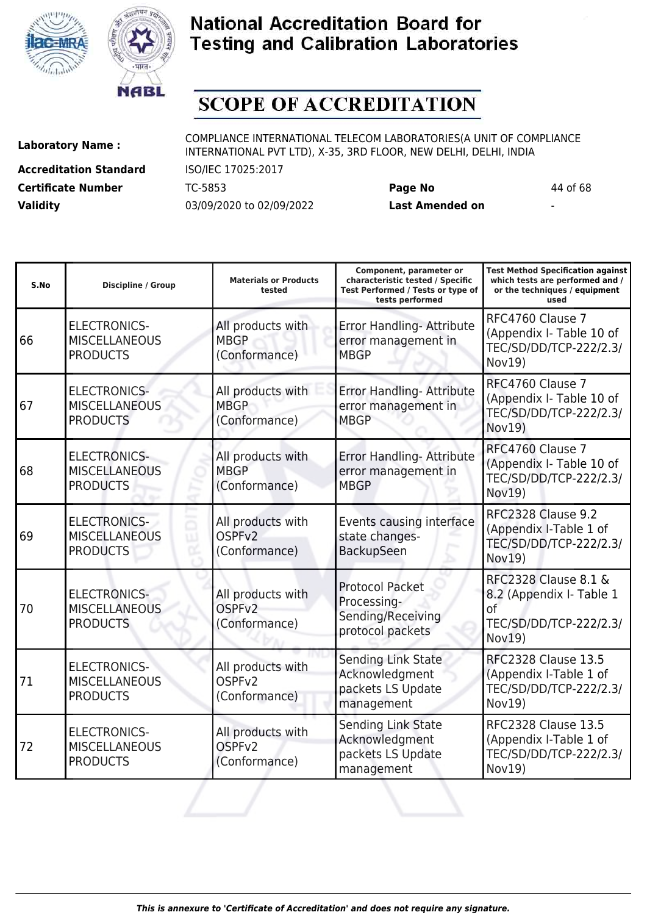



# **SCOPE OF ACCREDITATION**

**Accreditation Standard** ISO/IEC 17025:2017 **Certificate Number** TC-5853 **Page No** 44 of 68 **Validity** 03/09/2020 to 02/09/2022 **Last Amended on** -

**Laboratory Name :** COMPLIANCE INTERNATIONAL TELECOM LABORATORIES(A UNIT OF COMPLIANCE INTERNATIONAL PVT LTD), X-35, 3RD FLOOR, NEW DELHI, DELHI, INDIA

| S.No | <b>Discipline / Group</b>                                      | <b>Materials or Products</b><br>tested                   | Component, parameter or<br>characteristic tested / Specific<br>Test Performed / Tests or type of<br>tests performed | <b>Test Method Specification against</b><br>which tests are performed and /<br>or the techniques / equipment<br>used |
|------|----------------------------------------------------------------|----------------------------------------------------------|---------------------------------------------------------------------------------------------------------------------|----------------------------------------------------------------------------------------------------------------------|
| 66   | <b>ELECTRONICS-</b><br><b>MISCELLANEOUS</b><br><b>PRODUCTS</b> | All products with<br><b>MBGP</b><br>(Conformance)        | Error Handling- Attribute<br>error management in<br><b>MBGP</b>                                                     | RFC4760 Clause 7<br>(Appendix I- Table 10 of<br>TEC/SD/DD/TCP-222/2.3/<br>Nov19)                                     |
| 67   | <b>ELECTRONICS-</b><br><b>MISCELLANEOUS</b><br><b>PRODUCTS</b> | All products with<br><b>MBGP</b><br>(Conformance)        | Error Handling- Attribute<br>error management in<br><b>MBGP</b>                                                     | RFC4760 Clause 7<br>(Appendix I- Table 10 of<br>TEC/SD/DD/TCP-222/2.3/<br>Nov19)                                     |
| 68   | <b>ELECTRONICS-</b><br><b>MISCELLANEOUS</b><br><b>PRODUCTS</b> | All products with<br><b>MBGP</b><br>(Conformance)        | Error Handling- Attribute<br>error management in<br><b>MBGP</b>                                                     | RFC4760 Clause 7<br>(Appendix I- Table 10 of<br>TEC/SD/DD/TCP-222/2.3/<br>Nov19)                                     |
| 69   | <b>ELECTRONICS-</b><br><b>MISCELLANEOUS</b><br><b>PRODUCTS</b> | All products with<br>OSPF <sub>v2</sub><br>(Conformance) | Events causing interface<br>state changes-<br>BackupSeen                                                            | <b>RFC2328 Clause 9.2</b><br>(Appendix I-Table 1 of<br>TEC/SD/DD/TCP-222/2.3/<br>Nov19)                              |
| 70   | <b>ELECTRONICS-</b><br><b>MISCELLANEOUS</b><br><b>PRODUCTS</b> | All products with<br>OSPF <sub>V2</sub><br>(Conformance) | <b>Protocol Packet</b><br>Processing-<br>Sending/Receiving<br>protocol packets                                      | <b>RFC2328 Clause 8.1 &amp;</b><br>8.2 (Appendix I- Table 1<br>of<br>TEC/SD/DD/TCP-222/2.3/<br><b>Nov19)</b>         |
| 71   | <b>ELECTRONICS-</b><br><b>MISCELLANEOUS</b><br><b>PRODUCTS</b> | All products with<br>OSPF <sub>v2</sub><br>(Conformance) | Sending Link State<br>Acknowledgment<br>packets LS Update<br>management                                             | <b>RFC2328 Clause 13.5</b><br>(Appendix I-Table 1 of<br>TEC/SD/DD/TCP-222/2.3/<br>Nov19)                             |
| 72   | <b>ELECTRONICS-</b><br><b>MISCELLANEOUS</b><br><b>PRODUCTS</b> | All products with<br>OSPF <sub>v2</sub><br>(Conformance) | Sending Link State<br>Acknowledgment<br>packets LS Update<br>management                                             | <b>RFC2328 Clause 13.5</b><br>(Appendix I-Table 1 of<br>TEC/SD/DD/TCP-222/2.3/<br>Nov19)                             |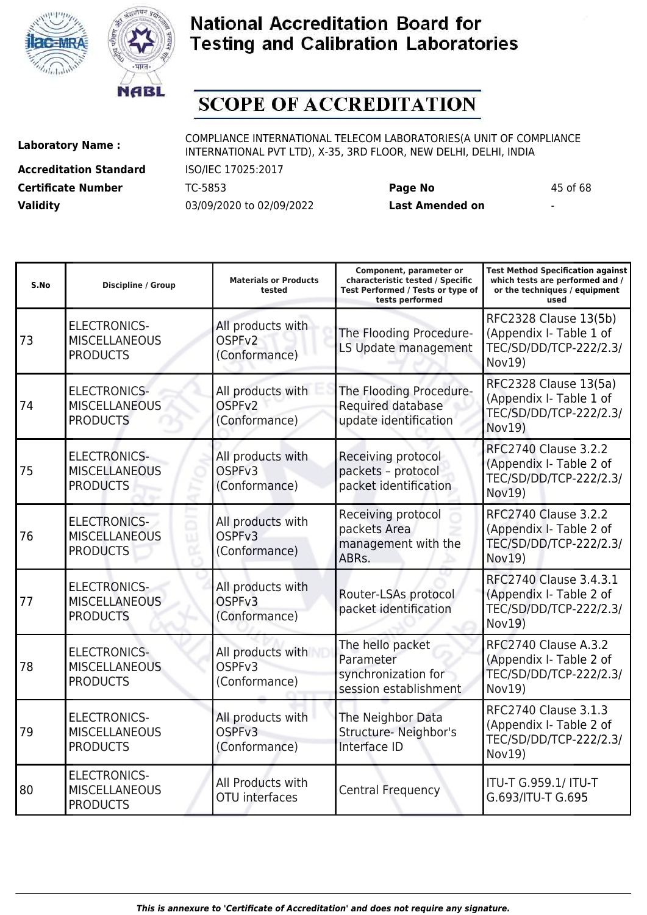



# **SCOPE OF ACCREDITATION**

**Accreditation Standard** ISO/IEC 17025:2017 **Certificate Number** TC-5853 **Page No** 45 of 68 **Validity** 03/09/2020 to 02/09/2022 **Last Amended on** -

| S.No | <b>Discipline / Group</b>                                      | <b>Materials or Products</b><br>tested                   | Component, parameter or<br>characteristic tested / Specific<br>Test Performed / Tests or type of<br>tests performed | <b>Test Method Specification against</b><br>which tests are performed and /<br>or the techniques / equipment<br>used |
|------|----------------------------------------------------------------|----------------------------------------------------------|---------------------------------------------------------------------------------------------------------------------|----------------------------------------------------------------------------------------------------------------------|
| 73   | <b>ELECTRONICS-</b><br><b>MISCELLANEOUS</b><br><b>PRODUCTS</b> | All products with<br>OSPF <sub>v2</sub><br>(Conformance) | The Flooding Procedure-<br>LS Update management                                                                     | RFC2328 Clause 13(5b)<br>(Appendix I- Table 1 of<br>TEC/SD/DD/TCP-222/2.3/<br>Nov19)                                 |
| 74   | <b>ELECTRONICS-</b><br><b>MISCELLANEOUS</b><br><b>PRODUCTS</b> | All products with<br>OSPF <sub>v2</sub><br>(Conformance) | The Flooding Procedure-<br>Required database<br>update identification                                               | RFC2328 Clause 13(5a)<br>(Appendix I- Table 1 of<br>TEC/SD/DD/TCP-222/2.3/<br>Nov19)                                 |
| 75   | <b>ELECTRONICS-</b><br><b>MISCELLANEOUS</b><br><b>PRODUCTS</b> | All products with<br>OSPF <sub>v3</sub><br>(Conformance) | Receiving protocol<br>packets - protocol<br>packet identification                                                   | <b>RFC2740 Clause 3.2.2</b><br>(Appendix I- Table 2 of<br>TEC/SD/DD/TCP-222/2.3/<br>Nov19)                           |
| 76   | <b>ELECTRONICS-</b><br><b>MISCELLANEOUS</b><br><b>PRODUCTS</b> | All products with<br>OSPF <sub>v3</sub><br>(Conformance) | Receiving protocol<br>packets Area<br>management with the<br>ABRs.                                                  | <b>RFC2740 Clause 3.2.2</b><br>(Appendix I- Table 2 of<br>TEC/SD/DD/TCP-222/2.3/<br>Nov19)                           |
| 77   | <b>ELECTRONICS-</b><br><b>MISCELLANEOUS</b><br><b>PRODUCTS</b> | All products with<br>OSPF <sub>v3</sub><br>(Conformance) | Router-LSAs protocol<br>packet identification                                                                       | RFC2740 Clause 3.4.3.1<br>(Appendix I- Table 2 of<br>TEC/SD/DD/TCP-222/2.3/<br>Nov19)                                |
| 78   | <b>ELECTRONICS-</b><br><b>MISCELLANEOUS</b><br><b>PRODUCTS</b> | All products with<br>OSPF <sub>v3</sub><br>(Conformance) | The hello packet<br>Parameter<br>synchronization for<br>session establishment                                       | RFC2740 Clause A.3.2<br>(Appendix I- Table 2 of<br>TEC/SD/DD/TCP-222/2.3/<br>Nov19)                                  |
| 79   | <b>ELECTRONICS-</b><br><b>MISCELLANEOUS</b><br><b>PRODUCTS</b> | All products with<br>OSPF <sub>v3</sub><br>(Conformance) | The Neighbor Data<br>Structure- Neighbor's<br>Interface ID                                                          | <b>RFC2740 Clause 3.1.3</b><br>(Appendix I- Table 2 of<br>TEC/SD/DD/TCP-222/2.3/<br>Nov19)                           |
| 80   | <b>ELECTRONICS-</b><br><b>MISCELLANEOUS</b><br><b>PRODUCTS</b> | All Products with<br><b>OTU</b> interfaces               | Central Frequency                                                                                                   | ITU-T G.959.1/ ITU-T<br>G.693/ITU-T G.695                                                                            |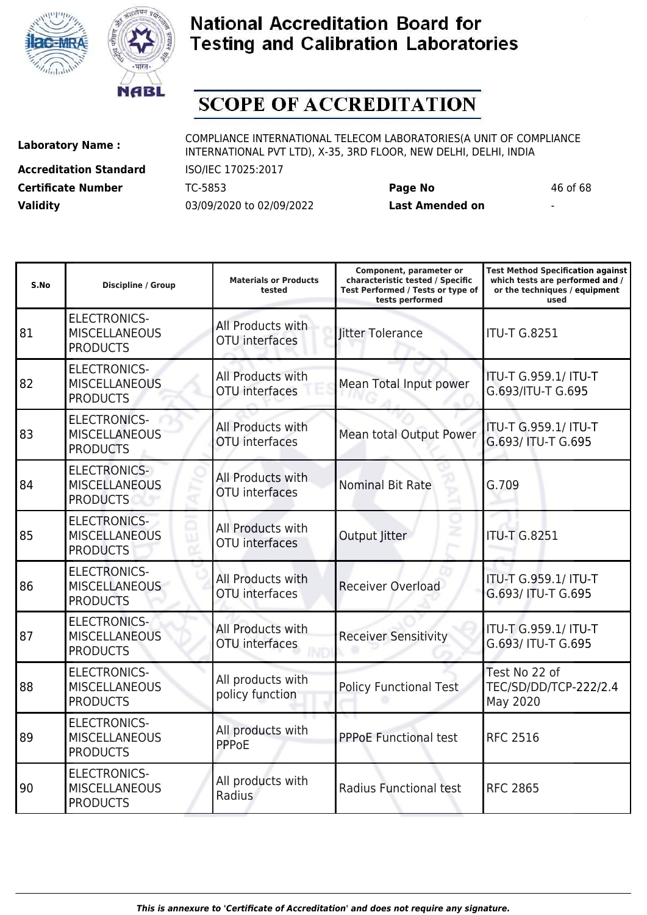



# **SCOPE OF ACCREDITATION**

ı

**Accreditation Standard** ISO/IEC 17025:2017 **Certificate Number** TC-5853 **Page No** 46 of 68 **Validity** 03/09/2020 to 02/09/2022 **Last Amended on** -

**Laboratory Name :** COMPLIANCE INTERNATIONAL TELECOM LABORATORIES(A UNIT OF COMPLIANCE INTERNATIONAL PVT LTD), X-35, 3RD FLOOR, NEW DELHI, DELHI, INDIA

**Test Method Specification against**

| S.No | <b>Discipline / Group</b>                                      | <b>Materials or Products</b><br>tested     | characteristic tested / Specific<br>Test Performed / Tests or type of<br>tests performed | which tests are performed and /<br>or the techniques / equipment<br>used |
|------|----------------------------------------------------------------|--------------------------------------------|------------------------------------------------------------------------------------------|--------------------------------------------------------------------------|
| 81   | <b>ELECTRONICS-</b><br><b>MISCELLANEOUS</b><br><b>PRODUCTS</b> | All Products with<br><b>OTU</b> interfaces | litter Tolerance                                                                         | <b>ITU-T G.8251</b>                                                      |
| 82   | <b>ELECTRONICS-</b><br><b>MISCELLANEOUS</b><br><b>PRODUCTS</b> | All Products with<br>OTU interfaces        | Mean Total Input power                                                                   | ITU-T G.959.1/ ITU-T<br>G.693/ITU-T G.695                                |
| 83   | <b>ELECTRONICS-</b><br><b>MISCELLANEOUS</b><br><b>PRODUCTS</b> | All Products with<br>OTU interfaces        | <b>Mean total Output Power</b>                                                           | ITU-T G.959.1/ ITU-T<br>G.693/ ITU-T G.695                               |
| 84   | <b>ELECTRONICS-</b><br><b>MISCELLANEOUS</b><br><b>PRODUCTS</b> | All Products with<br><b>OTU</b> interfaces | <b>Nominal Bit Rate</b>                                                                  | G.709                                                                    |
| 85   | <b>ELECTRONICS-</b><br><b>MISCELLANEOUS</b><br><b>PRODUCTS</b> | All Products with<br>OTU interfaces        | Output Jitter                                                                            | <b>ITU-T G.8251</b>                                                      |
| 86   | <b>ELECTRONICS-</b><br><b>MISCELLANEOUS</b><br><b>PRODUCTS</b> | All Products with<br><b>OTU</b> interfaces | <b>Receiver Overload</b>                                                                 | ITU-T G.959.1/ ITU-T<br>G.693/ ITU-T G.695                               |
| 87   | <b>ELECTRONICS-</b><br><b>MISCELLANEOUS</b><br><b>PRODUCTS</b> | All Products with<br><b>OTU</b> interfaces | <b>Receiver Sensitivity</b>                                                              | ITU-T G.959.1/ ITU-T<br>G.693/ ITU-T G.695                               |
| 88   | <b>ELECTRONICS-</b><br><b>MISCELLANEOUS</b><br><b>PRODUCTS</b> | All products with<br>policy function       | <b>Policy Functional Test</b>                                                            | Test No 22 of<br>TEC/SD/DD/TCP-222/2.4<br>May 2020                       |
| 89   | <b>ELECTRONICS-</b><br><b>MISCELLANEOUS</b><br><b>PRODUCTS</b> | All products with<br><b>PPPoE</b>          | <b>PPPoE Functional test</b>                                                             | <b>RFC 2516</b>                                                          |
| 90   | <b>ELECTRONICS-</b><br><b>MISCELLANEOUS</b><br><b>PRODUCTS</b> | All products with<br>Radius                | Radius Functional test                                                                   | <b>RFC 2865</b>                                                          |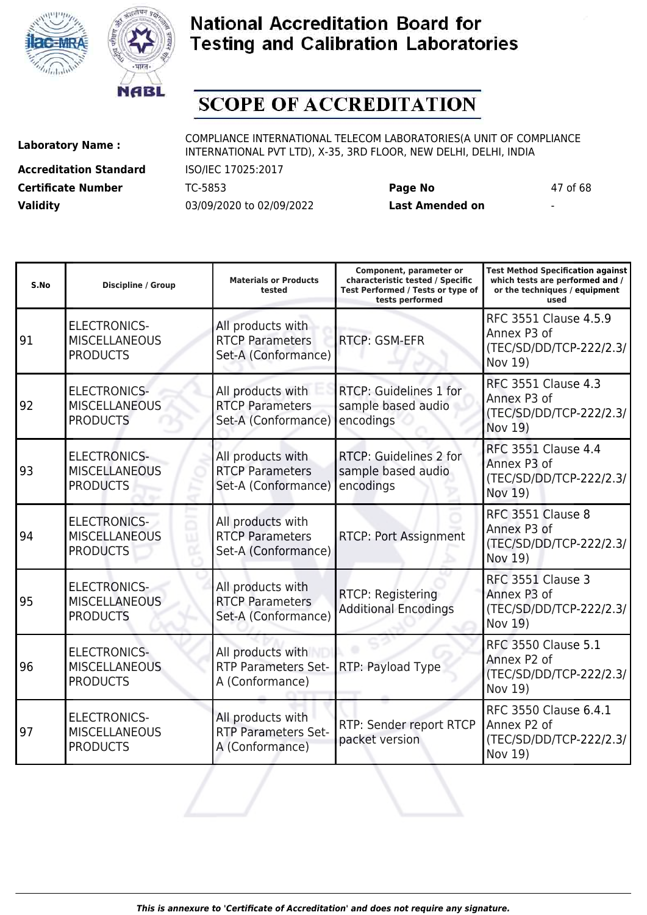



# **SCOPE OF ACCREDITATION**

**Accreditation Standard** ISO/IEC 17025:2017 **Certificate Number** TC-5853 **Page No** 47 of 68 **Validity** 03/09/2020 to 02/09/2022 **Last Amended on** -

| S.No | Discipline / Group                                             | <b>Materials or Products</b><br>tested                             | Component, parameter or<br>characteristic tested / Specific<br>Test Performed / Tests or type of<br>tests performed | <b>Test Method Specification against</b><br>which tests are performed and /<br>or the techniques / equipment<br>used |
|------|----------------------------------------------------------------|--------------------------------------------------------------------|---------------------------------------------------------------------------------------------------------------------|----------------------------------------------------------------------------------------------------------------------|
| 91   | <b>ELECTRONICS-</b><br><b>MISCELLANEOUS</b><br><b>PRODUCTS</b> | All products with<br><b>RTCP Parameters</b><br>Set-A (Conformance) | RTCP: GSM-EFR                                                                                                       | RFC 3551 Clause 4.5.9<br>Annex P3 of<br>(TEC/SD/DD/TCP-222/2.3/<br>Nov 19)                                           |
| 92   | <b>ELECTRONICS-</b><br><b>MISCELLANEOUS</b><br><b>PRODUCTS</b> | All products with<br><b>RTCP Parameters</b><br>Set-A (Conformance) | RTCP: Guidelines 1 for<br>sample based audio<br>encodings                                                           | <b>RFC 3551 Clause 4.3</b><br>Annex P3 of<br>(TEC/SD/DD/TCP-222/2.3/<br>Nov 19)                                      |
| 93   | <b>ELECTRONICS-</b><br><b>MISCELLANEOUS</b><br><b>PRODUCTS</b> | All products with<br><b>RTCP Parameters</b><br>Set-A (Conformance) | RTCP: Guidelines 2 for<br>sample based audio<br>encodings                                                           | <b>RFC 3551 Clause 4.4</b><br>Annex P3 of<br>(TEC/SD/DD/TCP-222/2.3/<br>Nov 19)                                      |
| 94   | <b>ELECTRONICS-</b><br><b>MISCELLANEOUS</b><br><b>PRODUCTS</b> | All products with<br><b>RTCP Parameters</b><br>Set-A (Conformance) | <b>RTCP: Port Assignment</b>                                                                                        | RFC 3551 Clause 8<br>Annex P3 of<br>(TEC/SD/DD/TCP-222/2.3/<br>Nov 19)                                               |
| 95   | <b>ELECTRONICS-</b><br><b>MISCELLANEOUS</b><br><b>PRODUCTS</b> | All products with<br><b>RTCP Parameters</b><br>Set-A (Conformance) | RTCP: Registering<br><b>Additional Encodings</b>                                                                    | RFC 3551 Clause 3<br>Annex P3 of<br>(TEC/SD/DD/TCP-222/2.3/<br>Nov 19)                                               |
| 96   | <b>ELECTRONICS-</b><br><b>MISCELLANEOUS</b><br><b>PRODUCTS</b> | All products with<br><b>RTP Parameters Set-</b><br>A (Conformance) | RTP: Payload Type                                                                                                   | <b>RFC 3550 Clause 5.1</b><br>Annex P2 of<br>(TEC/SD/DD/TCP-222/2.3/<br>Nov 19)                                      |
| 97   | <b>ELECTRONICS-</b><br><b>MISCELLANEOUS</b><br><b>PRODUCTS</b> | All products with<br><b>RTP Parameters Set-</b><br>A (Conformance) | RTP: Sender report RTCP<br>packet version                                                                           | RFC 3550 Clause 6.4.1<br>Annex P2 of<br>(TEC/SD/DD/TCP-222/2.3/<br>Nov 19)                                           |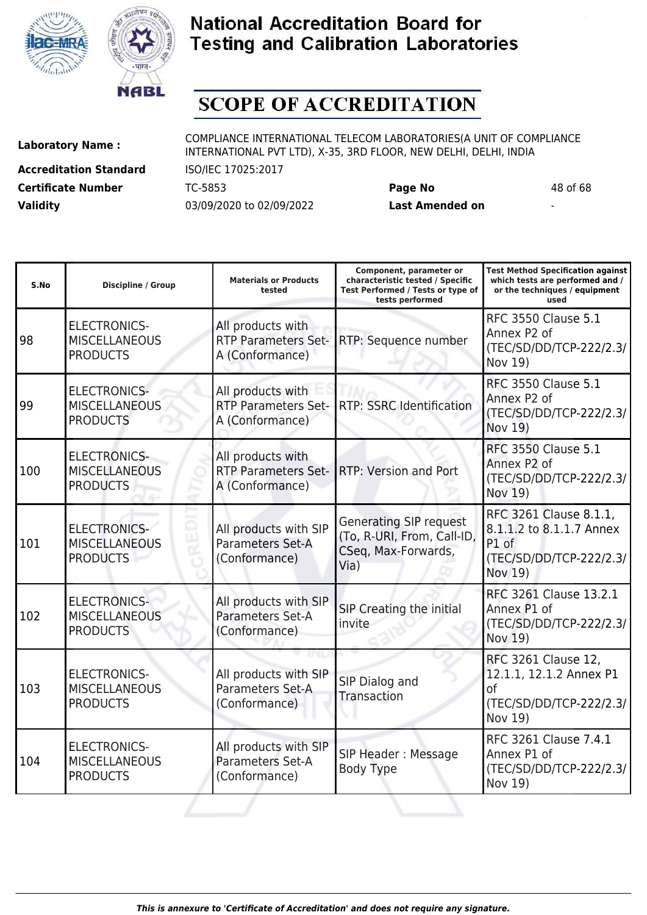



# **SCOPE OF ACCREDITATION**

ı

**Accreditation Standard** ISO/IEC 17025:2017 **Certificate Number** TC-5853 **Page No** 48 of 68 **Validity** 03/09/2020 to 02/09/2022 **Last Amended on** -

**Laboratory Name :** COMPLIANCE INTERNATIONAL TELECOM LABORATORIES(A UNIT OF COMPLIANCE INTERNATIONAL PVT LTD), X-35, 3RD FLOOR, NEW DELHI, DELHI, INDIA

**Test Method Specification against**

| S.No | <b>Discipline / Group</b>                                      | <b>Materials or Products</b><br>tested                             | characteristic tested / Specific<br>Test Performed / Tests or type of<br>tests performed   | which tests are performed and /<br>or the techniques / equipment<br>used                          |
|------|----------------------------------------------------------------|--------------------------------------------------------------------|--------------------------------------------------------------------------------------------|---------------------------------------------------------------------------------------------------|
| 98   | <b>ELECTRONICS-</b><br><b>MISCELLANEOUS</b><br><b>PRODUCTS</b> | All products with<br><b>RTP Parameters Set-</b><br>A (Conformance) | RTP: Sequence number                                                                       | <b>RFC 3550 Clause 5.1</b><br>Annex P2 of<br>(TEC/SD/DD/TCP-222/2.3/<br>Nov 19)                   |
| 99   | <b>ELECTRONICS-</b><br><b>MISCELLANEOUS</b><br><b>PRODUCTS</b> | All products with<br><b>RTP Parameters Set-</b><br>A (Conformance) | RTP: SSRC Identification                                                                   | <b>RFC 3550 Clause 5.1</b><br>Annex P2 of<br>(TEC/SD/DD/TCP-222/2.3/<br>Nov 19)                   |
| 100  | <b>ELECTRONICS-</b><br><b>MISCELLANEOUS</b><br><b>PRODUCTS</b> | All products with<br><b>RTP Parameters Set-</b><br>A (Conformance) | RTP: Version and Port                                                                      | <b>RFC 3550 Clause 5.1</b><br>Annex P2 of<br>(TEC/SD/DD/TCP-222/2.3/<br>Nov 19)                   |
| 101  | <b>ELECTRONICS-</b><br><b>MISCELLANEOUS</b><br><b>PRODUCTS</b> | All products with SIP<br>Parameters Set-A<br>(Conformance)         | <b>Generating SIP request</b><br>(To, R-URI, From, Call-ID,<br>CSeq, Max-Forwards,<br>Via) | RFC 3261 Clause 8.1.1,<br>8.1.1.2 to 8.1.1.7 Annex<br>P1 of<br>(TEC/SD/DD/TCP-222/2.3/<br>Nov 19) |
| 102  | <b>ELECTRONICS-</b><br><b>MISCELLANEOUS</b><br><b>PRODUCTS</b> | All products with SIP<br>Parameters Set-A<br>(Conformance)         | SIP Creating the initial<br>invite                                                         | RFC 3261 Clause 13.2.1<br>Annex P1 of<br>(TEC/SD/DD/TCP-222/2.3/<br>Nov 19)                       |
| 103  | <b>ELECTRONICS-</b><br><b>MISCELLANEOUS</b><br><b>PRODUCTS</b> | All products with SIP<br>Parameters Set-A<br>(Conformance)         | SIP Dialog and<br><b>Transaction</b>                                                       | RFC 3261 Clause 12,<br>12.1.1, 12.1.2 Annex P1<br>of<br>(TEC/SD/DD/TCP-222/2.3/<br>Nov 19)        |
| 104  | <b>ELECTRONICS-</b><br><b>MISCELLANEOUS</b><br><b>PRODUCTS</b> | All products with SIP<br>Parameters Set-A<br>(Conformance)         | SIP Header: Message<br><b>Body Type</b>                                                    | RFC 3261 Clause 7.4.1<br>Annex P1 of<br>(TEC/SD/DD/TCP-222/2.3/<br>Nov 19)                        |
|      |                                                                |                                                                    |                                                                                            |                                                                                                   |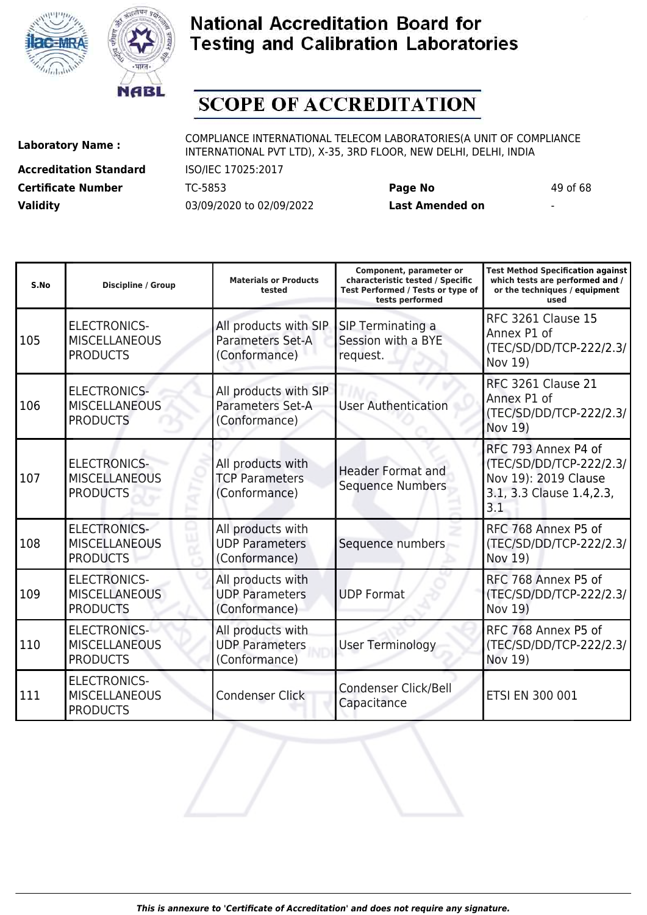



# **SCOPE OF ACCREDITATION**

**Accreditation Standard** ISO/IEC 17025:2017 **Certificate Number** TC-5853 **Page No** 49 of 68 **Validity** 03/09/2020 to 02/09/2022 **Last Amended on** -

| S.No | <b>Discipline / Group</b>                                      | <b>Materials or Products</b><br>tested                      | Component, parameter or<br>characteristic tested / Specific<br>Test Performed / Tests or type of<br>tests performed | <b>Test Method Specification against</b><br>which tests are performed and /<br>or the techniques / equipment<br>used |
|------|----------------------------------------------------------------|-------------------------------------------------------------|---------------------------------------------------------------------------------------------------------------------|----------------------------------------------------------------------------------------------------------------------|
| 105  | <b>ELECTRONICS-</b><br><b>MISCELLANEOUS</b><br><b>PRODUCTS</b> | All products with SIP<br>Parameters Set-A<br>(Conformance)  | SIP Terminating a<br>Session with a BYE<br>request.                                                                 | <b>RFC 3261 Clause 15</b><br>Annex P1 of<br>(TEC/SD/DD/TCP-222/2.3/<br>Nov 19)                                       |
| 106  | <b>ELECTRONICS-</b><br><b>MISCELLANEOUS</b><br><b>PRODUCTS</b> | All products with SIP<br>Parameters Set-A<br>(Conformance)  | <b>User Authentication</b>                                                                                          | <b>RFC 3261 Clause 21</b><br>Annex P1 of<br>(TEC/SD/DD/TCP-222/2.3/<br>Nov 19)                                       |
| 107  | <b>ELECTRONICS-</b><br><b>MISCELLANEOUS</b><br><b>PRODUCTS</b> | All products with<br><b>TCP Parameters</b><br>(Conformance) | <b>Header Format and</b><br><b>Sequence Numbers</b>                                                                 | RFC 793 Annex P4 of<br>(TEC/SD/DD/TCP-222/2.3/<br>Nov 19): 2019 Clause<br>3.1, 3.3 Clause 1.4, 2.3,<br>3.1           |
| 108  | <b>ELECTRONICS-</b><br><b>MISCELLANEOUS</b><br><b>PRODUCTS</b> | All products with<br><b>UDP Parameters</b><br>(Conformance) | Sequence numbers                                                                                                    | RFC 768 Annex P5 of<br>(TEC/SD/DD/TCP-222/2.3/<br>Nov 19)                                                            |
| 109  | <b>ELECTRONICS-</b><br><b>MISCELLANEOUS</b><br><b>PRODUCTS</b> | All products with<br><b>UDP Parameters</b><br>(Conformance) | <b>UDP Format</b>                                                                                                   | RFC 768 Annex P5 of<br>(TEC/SD/DD/TCP-222/2.3/<br>Nov 19)                                                            |
| 110  | <b>ELECTRONICS-</b><br><b>MISCELLANEOUS</b><br><b>PRODUCTS</b> | All products with<br><b>UDP Parameters</b><br>(Conformance) | <b>User Terminology</b>                                                                                             | RFC 768 Annex P5 of<br>(TEC/SD/DD/TCP-222/2.3/<br>Nov 19)                                                            |
| 111  | <b>ELECTRONICS-</b><br><b>MISCELLANEOUS</b><br><b>PRODUCTS</b> | Condenser Click                                             | Condenser Click/Bell<br>Capacitance                                                                                 | ETSI EN 300 001                                                                                                      |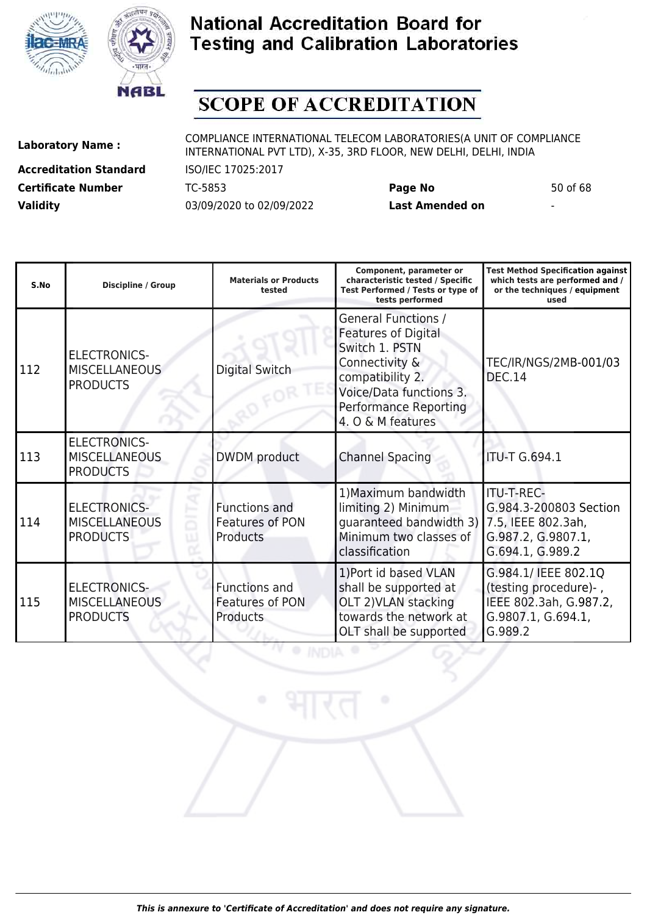



# **SCOPE OF ACCREDITATION**

**Accreditation Standard** ISO/IEC 17025:2017 **Certificate Number** TC-5853 **Page No** 50 of 68 **Validity** 03/09/2020 to 02/09/2022 **Last Amended on** -

| S.No | <b>Discipline / Group</b>                                      | <b>Materials or Products</b><br>tested                     | Component, parameter or<br>characteristic tested / Specific<br>Test Performed / Tests or type of<br>tests performed                                                                       | <b>Test Method Specification against</b><br>which tests are performed and /<br>or the techniques / equipment<br>used |
|------|----------------------------------------------------------------|------------------------------------------------------------|-------------------------------------------------------------------------------------------------------------------------------------------------------------------------------------------|----------------------------------------------------------------------------------------------------------------------|
| 112  | <b>ELECTRONICS-</b><br><b>MISCELLANEOUS</b><br><b>PRODUCTS</b> | <b>Digital Switch</b>                                      | <b>General Functions /</b><br><b>Features of Digital</b><br>Switch 1, PSTN<br>Connectivity &<br>compatibility 2.<br>Voice/Data functions 3.<br>Performance Reporting<br>4. O & M features | TEC/IR/NGS/2MB-001/03<br><b>DEC.14</b>                                                                               |
| 113  | <b>ELECTRONICS-</b><br><b>MISCELLANEOUS</b><br><b>PRODUCTS</b> | DWDM product                                               | <b>Channel Spacing</b>                                                                                                                                                                    | <b>ITU-T G.694.1</b>                                                                                                 |
| 114  | <b>ELECTRONICS-</b><br><b>MISCELLANEOUS</b><br><b>PRODUCTS</b> | <b>Functions and</b><br>Features of PON<br><b>Products</b> | 1) Maximum bandwidth<br>limiting 2) Minimum<br>quaranteed bandwidth 3) 7.5, IEEE 802.3ah,<br>Minimum two classes of<br>classification                                                     | <b>ITU-T-REC-</b><br>G.984.3-200803 Section<br>G.987.2, G.9807.1,<br>G.694.1, G.989.2                                |
| 115  | <b>ELECTRONICS-</b><br><b>MISCELLANEOUS</b><br><b>PRODUCTS</b> | <b>Functions and</b><br>Features of PON<br><b>Products</b> | 1) Port id based VLAN<br>shall be supported at<br>OLT 2) VLAN stacking<br>towards the network at<br>OLT shall be supported                                                                | G.984.1/ IEEE 802.1Q<br>(testing procedure)-,<br>IEEE 802.3ah, G.987.2,<br>G.9807.1, G.694.1,<br>G.989.2             |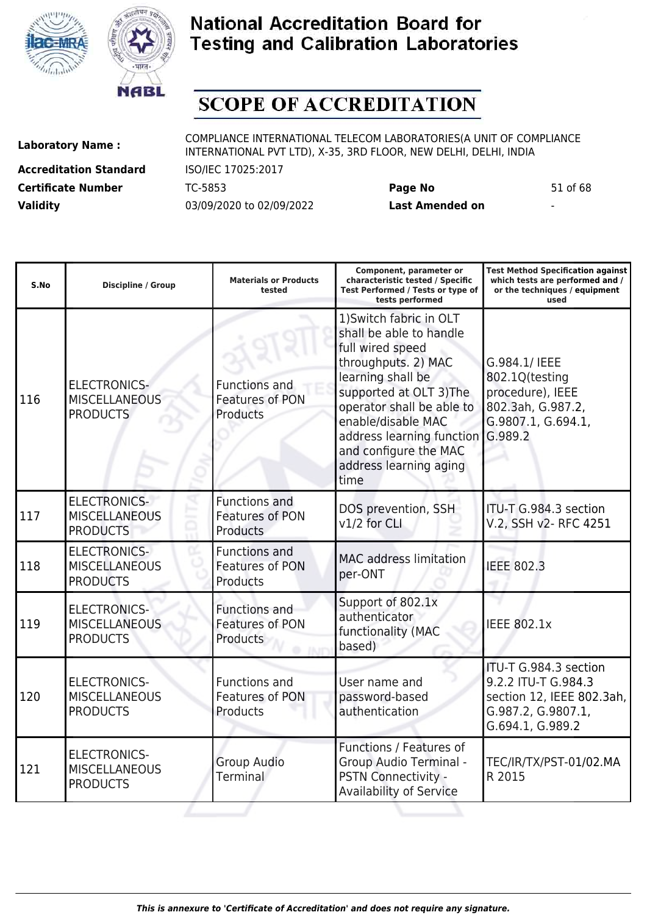



# **SCOPE OF ACCREDITATION**

**Accreditation Standard** ISO/IEC 17025:2017 **Certificate Number** TC-5853 **Page No** 51 of 68 **Validity** 03/09/2020 to 02/09/2022 **Last Amended on** -

**Laboratory Name :** COMPLIANCE INTERNATIONAL TELECOM LABORATORIES(A UNIT OF COMPLIANCE INTERNATIONAL PVT LTD), X-35, 3RD FLOOR, NEW DELHI, DELHI, INDIA

| S.No | <b>Discipline / Group</b>                                      | <b>Materials or Products</b><br>tested                            | Component, parameter or<br>characteristic tested / Specific<br>Test Performed / Tests or type of<br>tests performed                                                                                                                                                                      | <b>Test Method Specification against</b><br>which tests are performed and /<br>or the techniques / equipment<br>used |
|------|----------------------------------------------------------------|-------------------------------------------------------------------|------------------------------------------------------------------------------------------------------------------------------------------------------------------------------------------------------------------------------------------------------------------------------------------|----------------------------------------------------------------------------------------------------------------------|
| 116  | <b>ELECTRONICS-</b><br><b>MISCELLANEOUS</b><br><b>PRODUCTS</b> | <b>Functions and</b><br><b>Features of PON</b><br>Products        | 1) Switch fabric in OLT<br>shall be able to handle<br>full wired speed<br>throughputs. 2) MAC<br>learning shall be<br>supported at OLT 3) The<br>operator shall be able to<br>enable/disable MAC<br>address learning function<br>and configure the MAC<br>address learning aging<br>time | G.984.1/ IEEE<br>802.1Q(testing<br>procedure), IEEE<br>802.3ah, G.987.2,<br>G.9807.1, G.694.1,<br>G.989.2            |
| 117  | <b>ELECTRONICS-</b><br><b>MISCELLANEOUS</b><br><b>PRODUCTS</b> | Functions and<br>Features of PON<br><b>Products</b>               | DOS prevention, SSH<br>v1/2 for CLI                                                                                                                                                                                                                                                      | ITU-T G.984.3 section<br>V.2, SSH v2- RFC 4251                                                                       |
| 118  | <b>ELECTRONICS-</b><br><b>MISCELLANEOUS</b><br><b>PRODUCTS</b> | <b>Functions and</b><br><b>Features of PON</b><br>Products        | <b>MAC</b> address limitation<br>per-ONT                                                                                                                                                                                                                                                 | <b>IEEE 802.3</b>                                                                                                    |
| 119  | <b>ELECTRONICS-</b><br><b>MISCELLANEOUS</b><br><b>PRODUCTS</b> | <b>Functions and</b><br><b>Features of PON</b><br><b>Products</b> | Support of 802.1x<br>authenticator<br>functionality (MAC<br>based)                                                                                                                                                                                                                       | <b>IEEE 802.1x</b>                                                                                                   |
| 120  | <b>ELECTRONICS-</b><br><b>MISCELLANEOUS</b><br><b>PRODUCTS</b> | <b>Functions and</b><br>Features of PON<br>Products               | User name and<br>password-based<br>authentication                                                                                                                                                                                                                                        | ITU-T G.984.3 section<br>9.2.2 ITU-T G.984.3<br>section 12, IEEE 802.3ah,<br>G.987.2, G.9807.1,<br>G.694.1, G.989.2  |
| 121  | <b>ELECTRONICS-</b><br><b>MISCELLANEOUS</b><br><b>PRODUCTS</b> | <b>Group Audio</b><br>Terminal                                    | Functions / Features of<br><b>Group Audio Terminal -</b><br>PSTN Connectivity -<br><b>Availability of Service</b>                                                                                                                                                                        | TEC/IR/TX/PST-01/02.MA<br>R 2015                                                                                     |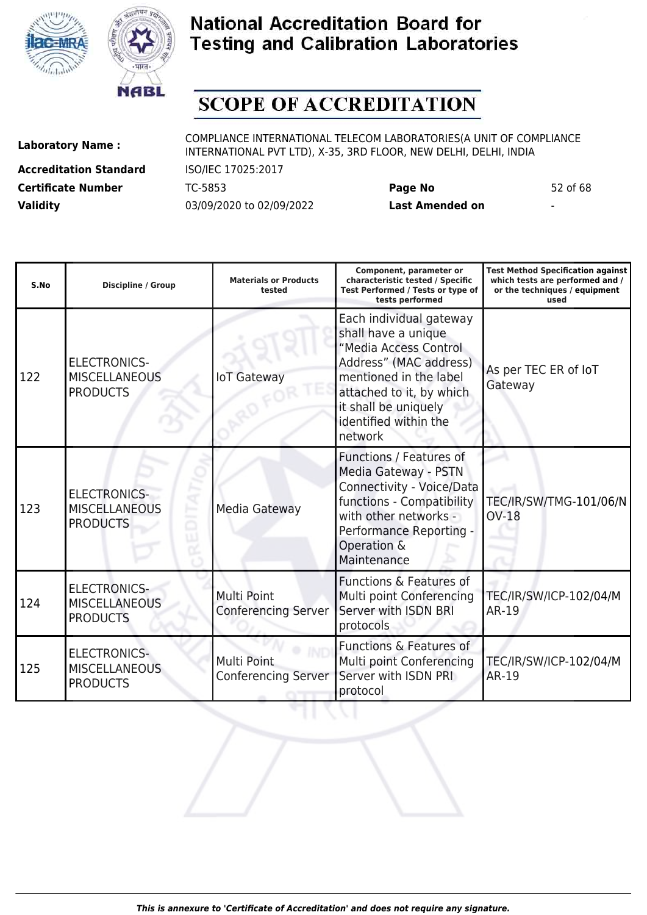



# **SCOPE OF ACCREDITATION**

**Accreditation Standard** ISO/IEC 17025:2017 **Certificate Number** TC-5853 **Page No** 52 of 68 **Validity** 03/09/2020 to 02/09/2022 **Last Amended on** -

| S.No | <b>Discipline / Group</b>                                      | <b>Materials or Products</b><br>tested    | Component, parameter or<br>characteristic tested / Specific<br>Test Performed / Tests or type of<br>tests performed                                                                                                 | <b>Test Method Specification against</b><br>which tests are performed and /<br>or the techniques / equipment<br>used |
|------|----------------------------------------------------------------|-------------------------------------------|---------------------------------------------------------------------------------------------------------------------------------------------------------------------------------------------------------------------|----------------------------------------------------------------------------------------------------------------------|
| 122  | <b>ELECTRONICS-</b><br><b>MISCELLANEOUS</b><br><b>PRODUCTS</b> | <b>IoT Gateway</b>                        | Each individual gateway<br>shall have a unique<br>"Media Access Control<br>Address" (MAC address)<br>mentioned in the label<br>attached to it, by which<br>it shall be uniquely<br>identified within the<br>network | As per TEC ER of IoT<br>Gateway                                                                                      |
| 123  | <b>ELECTRONICS-</b><br><b>MISCELLANEOUS</b><br><b>PRODUCTS</b> | Media Gateway                             | Functions / Features of<br>Media Gateway - PSTN<br>Connectivity - Voice/Data<br>functions - Compatibility<br>with other networks -<br>Performance Reporting -<br>Operation &<br>Maintenance                         | TEC/IR/SW/TMG-101/06/N<br><b>OV-18</b>                                                                               |
| 124  | <b>ELECTRONICS-</b><br><b>MISCELLANEOUS</b><br><b>PRODUCTS</b> | Multi Point<br><b>Conferencing Server</b> | Functions & Features of<br>Multi point Conferencing<br>Server with ISDN BRI<br>protocols                                                                                                                            | TEC/IR/SW/ICP-102/04/M<br><b>AR-19</b>                                                                               |
| 125  | <b>ELECTRONICS-</b><br><b>MISCELLANEOUS</b><br><b>PRODUCTS</b> | Multi Point<br><b>Conferencing Server</b> | <b>Functions &amp; Features of</b><br>Multi point Conferencing<br>Server with ISDN PRI<br>protocol                                                                                                                  | TEC/IR/SW/ICP-102/04/M<br>AR-19                                                                                      |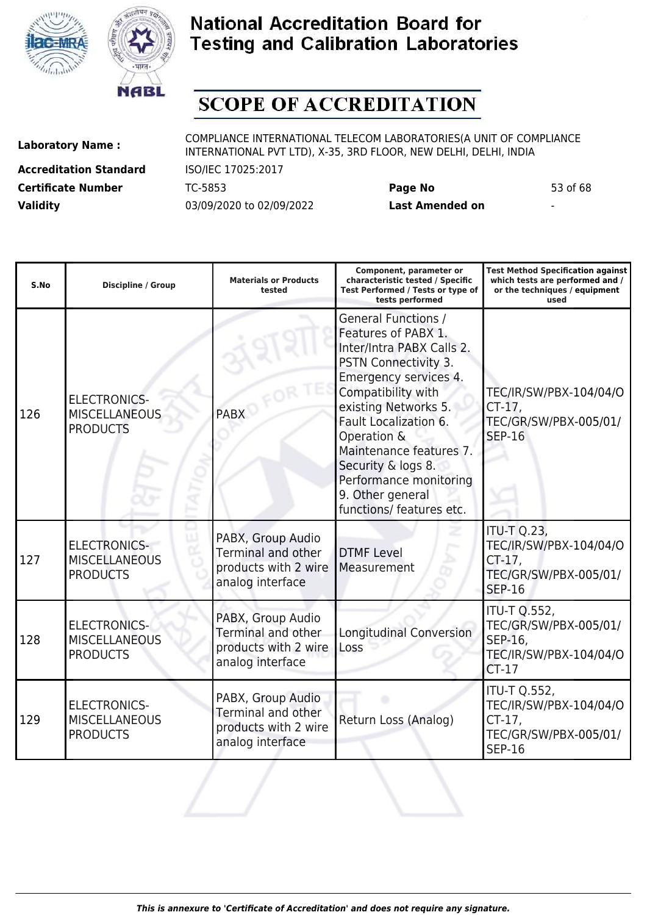



# **SCOPE OF ACCREDITATION**

**Accreditation Standard** ISO/IEC 17025:2017 **Certificate Number** TC-5853 **Page No** 53 of 68 **Validity** 03/09/2020 to 02/09/2022 **Last Amended on** -

| S.No | <b>Discipline / Group</b>                                      | <b>Materials or Products</b><br>tested                                                     | Component, parameter or<br>characteristic tested / Specific<br>Test Performed / Tests or type of<br>tests performed                                                                                                                                                                                                                              | <b>Test Method Specification against</b><br>which tests are performed and /<br>or the techniques / equipment<br>used |
|------|----------------------------------------------------------------|--------------------------------------------------------------------------------------------|--------------------------------------------------------------------------------------------------------------------------------------------------------------------------------------------------------------------------------------------------------------------------------------------------------------------------------------------------|----------------------------------------------------------------------------------------------------------------------|
| 126  | <b>ELECTRONICS-</b><br><b>MISCELLANEOUS</b><br><b>PRODUCTS</b> | <b>PABX</b>                                                                                | <b>General Functions /</b><br>Features of PABX 1.<br>Inter/Intra PABX Calls 2.<br>PSTN Connectivity 3.<br>Emergency services 4.<br>Compatibility with<br>existing Networks 5.<br>Fault Localization 6.<br>Operation &<br>Maintenance features 7.<br>Security & logs 8.<br>Performance monitoring<br>9. Other general<br>functions/ features etc. | TEC/IR/SW/PBX-104/04/O<br>$CT-17$ ,<br>TEC/GR/SW/PBX-005/01/<br><b>SEP-16</b>                                        |
| 127  | <b>ELECTRONICS-</b><br><b>MISCELLANEOUS</b><br><b>PRODUCTS</b> | PABX, Group Audio<br><b>Terminal and other</b><br>products with 2 wire<br>analog interface | <b>DTMF Level</b><br>Measurement                                                                                                                                                                                                                                                                                                                 | <b>ITU-T Q.23,</b><br>TEC/IR/SW/PBX-104/04/O<br>$CT-17$<br>TEC/GR/SW/PBX-005/01/<br><b>SEP-16</b>                    |
| 128  | <b>ELECTRONICS-</b><br><b>MISCELLANEOUS</b><br><b>PRODUCTS</b> | PABX, Group Audio<br>Terminal and other<br>products with 2 wire<br>analog interface        | <b>Longitudinal Conversion</b><br>Loss                                                                                                                                                                                                                                                                                                           | <b>ITU-T Q.552,</b><br>TEC/GR/SW/PBX-005/01/<br>SEP-16,<br>TEC/IR/SW/PBX-104/04/O<br>$CT-17$                         |
| 129  | <b>ELECTRONICS-</b><br><b>MISCELLANEOUS</b><br><b>PRODUCTS</b> | PABX, Group Audio<br>Terminal and other<br>products with 2 wire<br>analog interface        | Return Loss (Analog)                                                                                                                                                                                                                                                                                                                             | <b>ITU-T Q.552,</b><br>TEC/IR/SW/PBX-104/04/O<br>$CT-17$ ,<br>TEC/GR/SW/PBX-005/01/<br><b>SEP-16</b>                 |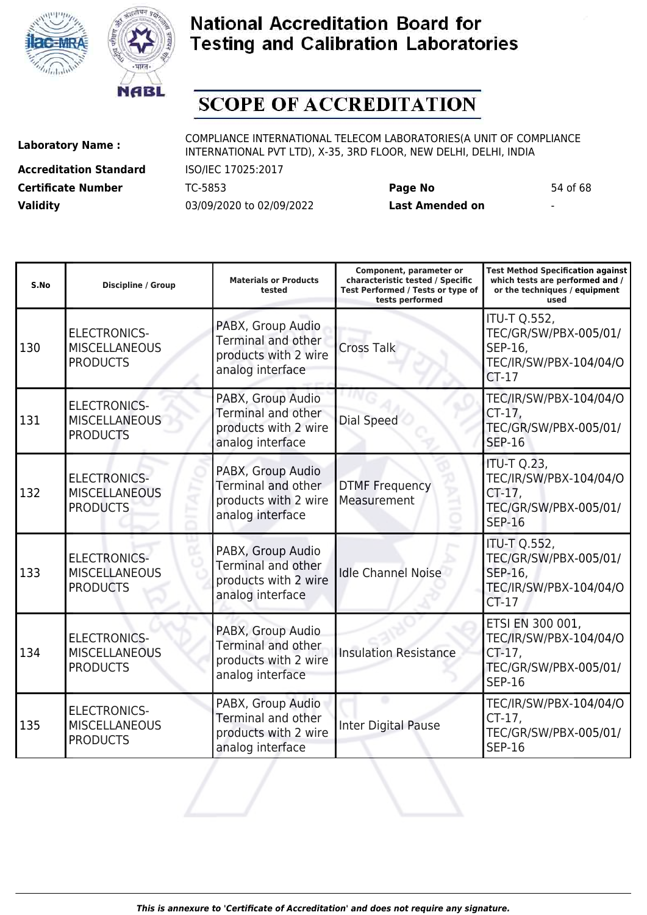



# **SCOPE OF ACCREDITATION**

ı

**Accreditation Standard** ISO/IEC 17025:2017 **Certificate Number** TC-5853 **Page No** 54 of 68 **Validity** 03/09/2020 to 02/09/2022 **Last Amended on** -

**Laboratory Name :** COMPLIANCE INTERNATIONAL TELECOM LABORATORIES(A UNIT OF COMPLIANCE INTERNATIONAL PVT LTD), X-35, 3RD FLOOR, NEW DELHI, DELHI, INDIA

ı

**Test Method Specification against**

| S.No | Discipline / Group                                             | <b>Materials or Products</b><br>tested                                                     | characteristic tested / Specific<br>Test Performed / Tests or type of<br>tests performed | which tests are performed and /<br>or the techniques / equipment<br>used                            |
|------|----------------------------------------------------------------|--------------------------------------------------------------------------------------------|------------------------------------------------------------------------------------------|-----------------------------------------------------------------------------------------------------|
| 130  | <b>ELECTRONICS-</b><br><b>MISCELLANEOUS</b><br><b>PRODUCTS</b> | PABX, Group Audio<br>Terminal and other<br>products with 2 wire<br>analog interface        | <b>Cross Talk</b>                                                                        | <b>ITU-T Q.552,</b><br>TEC/GR/SW/PBX-005/01/<br>SEP-16,<br>TEC/IR/SW/PBX-104/04/O<br>$CT-17$        |
| 131  | <b>ELECTRONICS-</b><br><b>MISCELLANEOUS</b><br><b>PRODUCTS</b> | PABX, Group Audio<br>Terminal and other<br>products with 2 wire<br>analog interface        | Dial Speed                                                                               | TEC/IR/SW/PBX-104/04/O<br>$CT-17$ ,<br>TEC/GR/SW/PBX-005/01/<br><b>SEP-16</b>                       |
| 132  | <b>ELECTRONICS-</b><br><b>MISCELLANEOUS</b><br><b>PRODUCTS</b> | PABX, Group Audio<br>Terminal and other<br>products with 2 wire<br>analog interface        | <b>DTMF Frequency</b><br>Measurement                                                     | <b>ITU-T Q.23,</b><br>TEC/IR/SW/PBX-104/04/O<br>$CT-17$ ,<br>TEC/GR/SW/PBX-005/01/<br><b>SEP-16</b> |
| 133  | <b>ELECTRONICS-</b><br><b>MISCELLANEOUS</b><br><b>PRODUCTS</b> | PABX, Group Audio<br><b>Terminal and other</b><br>products with 2 wire<br>analog interface | <b>Idle Channel Noise</b>                                                                | <b>ITU-T Q.552,</b><br>TEC/GR/SW/PBX-005/01/<br>SEP-16,<br>TEC/IR/SW/PBX-104/04/O<br>$CT-17$        |
| 134  | <b>ELECTRONICS-</b><br><b>MISCELLANEOUS</b><br><b>PRODUCTS</b> | PABX, Group Audio<br>Terminal and other<br>products with 2 wire<br>analog interface        | <b>Insulation Resistance</b>                                                             | ETSI EN 300 001,<br>TEC/IR/SW/PBX-104/04/O<br>CT-17,<br>TEC/GR/SW/PBX-005/01/<br><b>SEP-16</b>      |
| 135  | <b>ELECTRONICS-</b><br><b>MISCELLANEOUS</b><br><b>PRODUCTS</b> | PABX, Group Audio<br>Terminal and other<br>products with 2 wire<br>analog interface        | <b>Inter Digital Pause</b>                                                               | TEC/IR/SW/PBX-104/04/O<br>$CT-17$ ,<br>TEC/GR/SW/PBX-005/01/<br><b>SEP-16</b>                       |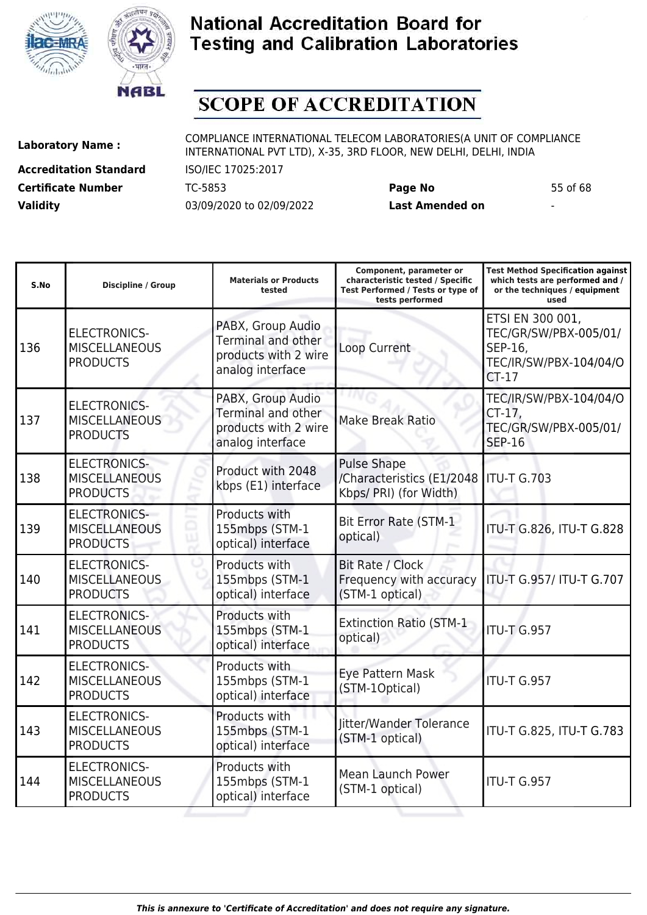



# **SCOPE OF ACCREDITATION**

**Accreditation Standard** ISO/IEC 17025:2017 **Certificate Number** TC-5853 **Page No** 55 of 68 **Validity** 03/09/2020 to 02/09/2022 **Last Amended on** -

**Laboratory Name :** COMPLIANCE INTERNATIONAL TELECOM LABORATORIES(A UNIT OF COMPLIANCE INTERNATIONAL PVT LTD), X-35, 3RD FLOOR, NEW DELHI, DELHI, INDIA

| S.No | <b>Discipline / Group</b>                                      | <b>Materials or Products</b><br>tested                                              | Component, parameter or<br>characteristic tested / Specific<br>Test Performed / Tests or type of<br>tests performed | <b>Test Method Specification against</b><br>which tests are performed and /<br>or the techniques / equipment<br>used |
|------|----------------------------------------------------------------|-------------------------------------------------------------------------------------|---------------------------------------------------------------------------------------------------------------------|----------------------------------------------------------------------------------------------------------------------|
| 136  | <b>ELECTRONICS-</b><br><b>MISCELLANEOUS</b><br><b>PRODUCTS</b> | PABX, Group Audio<br>Terminal and other<br>products with 2 wire<br>analog interface | Loop Current                                                                                                        | ETSI EN 300 001,<br>TEC/GR/SW/PBX-005/01/<br>SEP-16,<br>TEC/IR/SW/PBX-104/04/O<br>$CT-17$                            |
| 137  | <b>ELECTRONICS-</b><br><b>MISCELLANEOUS</b><br><b>PRODUCTS</b> | PABX, Group Audio<br>Terminal and other<br>products with 2 wire<br>analog interface | <b>Make Break Ratio</b>                                                                                             | TEC/IR/SW/PBX-104/04/O<br>$CT-17$ ,<br>TEC/GR/SW/PBX-005/01/<br><b>SEP-16</b>                                        |
| 138  | <b>ELECTRONICS-</b><br><b>MISCELLANEOUS</b><br><b>PRODUCTS</b> | Product with 2048<br>kbps (E1) interface                                            | <b>Pulse Shape</b><br>/Characteristics (E1/2048<br>Kbps/ PRI) (for Width)                                           | <b>ITU-T G.703</b>                                                                                                   |
| 139  | <b>ELECTRONICS-</b><br><b>MISCELLANEOUS</b><br><b>PRODUCTS</b> | Products with<br>155mbps (STM-1<br>optical) interface                               | <b>Bit Error Rate (STM-1</b><br>optical)                                                                            | ITU-T G.826, ITU-T G.828                                                                                             |
| 140  | <b>ELECTRONICS-</b><br><b>MISCELLANEOUS</b><br><b>PRODUCTS</b> | Products with<br>155mbps (STM-1<br>optical) interface                               | Bit Rate / Clock<br>Frequency with accuracy<br>(STM-1 optical)                                                      | ITU-T G.957/ ITU-T G.707                                                                                             |
| 141  | <b>ELECTRONICS-</b><br><b>MISCELLANEOUS</b><br><b>PRODUCTS</b> | Products with<br>155mbps (STM-1<br>optical) interface                               | <b>Extinction Ratio (STM-1</b><br>optical)                                                                          | <b>ITU-T G.957</b>                                                                                                   |
| 142  | <b>ELECTRONICS-</b><br><b>MISCELLANEOUS</b><br><b>PRODUCTS</b> | Products with<br>155mbps (STM-1<br>optical) interface                               | Eye Pattern Mask<br>(STM-1Optical)                                                                                  | ITU-T G.957                                                                                                          |
| 143  | <b>ELECTRONICS-</b><br><b>MISCELLANEOUS</b><br><b>PRODUCTS</b> | Products with<br>155mbps (STM-1<br>optical) interface                               | Jitter/Wander Tolerance<br>(STM-1 optical)                                                                          | ITU-T G.825, ITU-T G.783                                                                                             |
| 144  | <b>ELECTRONICS-</b><br><b>MISCELLANEOUS</b><br><b>PRODUCTS</b> | Products with<br>155mbps (STM-1<br>optical) interface                               | <b>Mean Launch Power</b><br>(STM-1 optical)                                                                         | <b>ITU-T G.957</b>                                                                                                   |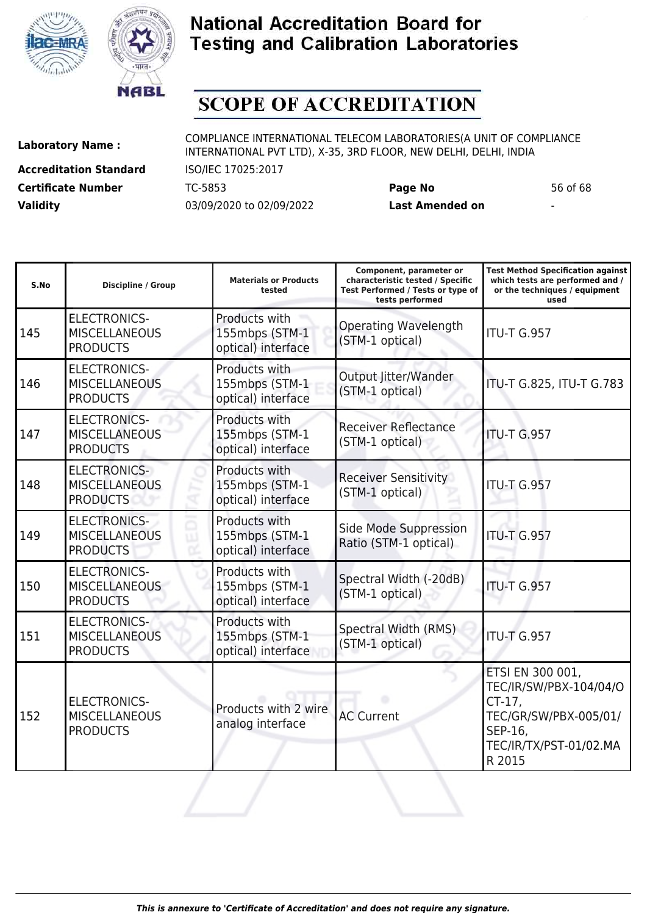



# **SCOPE OF ACCREDITATION**

**Accreditation Standard** ISO/IEC 17025:2017 **Certificate Number** TC-5853 **Page No** 56 of 68 **Validity** 03/09/2020 to 02/09/2022 **Last Amended on** -

| S.No | <b>Discipline / Group</b>                                      | <b>Materials or Products</b><br>tested                | Component, parameter or<br>characteristic tested / Specific<br>Test Performed / Tests or type of<br>tests performed | <b>Test Method Specification against</b><br>which tests are performed and /<br>or the techniques / equipment<br>used            |
|------|----------------------------------------------------------------|-------------------------------------------------------|---------------------------------------------------------------------------------------------------------------------|---------------------------------------------------------------------------------------------------------------------------------|
| 145  | <b>ELECTRONICS-</b><br><b>MISCELLANEOUS</b><br><b>PRODUCTS</b> | Products with<br>155mbps (STM-1<br>optical) interface | <b>Operating Wavelength</b><br>(STM-1 optical)                                                                      | <b>ITU-T G.957</b>                                                                                                              |
| 146  | <b>ELECTRONICS-</b><br><b>MISCELLANEOUS</b><br><b>PRODUCTS</b> | Products with<br>155mbps (STM-1<br>optical) interface | Output Jitter/Wander<br>(STM-1 optical)                                                                             | ITU-T G.825, ITU-T G.783                                                                                                        |
| 147  | <b>ELECTRONICS-</b><br><b>MISCELLANEOUS</b><br><b>PRODUCTS</b> | Products with<br>155mbps (STM-1<br>optical) interface | <b>Receiver Reflectance</b><br>(STM-1 optical)                                                                      | <b>ITU-T G.957</b>                                                                                                              |
| 148  | <b>ELECTRONICS-</b><br><b>MISCELLANEOUS</b><br><b>PRODUCTS</b> | Products with<br>155mbps (STM-1<br>optical) interface | <b>Receiver Sensitivity</b><br>(STM-1 optical)                                                                      | <b>ITU-T G.957</b>                                                                                                              |
| 149  | <b>ELECTRONICS-</b><br><b>MISCELLANEOUS</b><br><b>PRODUCTS</b> | Products with<br>155mbps (STM-1<br>optical) interface | Side Mode Suppression<br>Ratio (STM-1 optical)                                                                      | <b>ITU-T G.957</b>                                                                                                              |
| 150  | <b>ELECTRONICS-</b><br><b>MISCELLANEOUS</b><br><b>PRODUCTS</b> | Products with<br>155mbps (STM-1<br>optical) interface | Spectral Width (-20dB)<br>(STM-1 optical)                                                                           | <b>ITU-T G.957</b>                                                                                                              |
| 151  | <b>ELECTRONICS-</b><br><b>MISCELLANEOUS</b><br><b>PRODUCTS</b> | Products with<br>155mbps (STM-1<br>optical) interface | Spectral Width (RMS)<br>(STM-1 optical)                                                                             | <b>ITU-T G.957</b>                                                                                                              |
| 152  | <b>ELECTRONICS-</b><br><b>MISCELLANEOUS</b><br><b>PRODUCTS</b> | Products with 2 wire<br>analog interface              | <b>AC Current</b>                                                                                                   | ETSI EN 300 001,<br>TEC/IR/SW/PBX-104/04/O<br>$CT-17$ ,<br>TEC/GR/SW/PBX-005/01/<br>SEP-16,<br>TEC/IR/TX/PST-01/02.MA<br>R 2015 |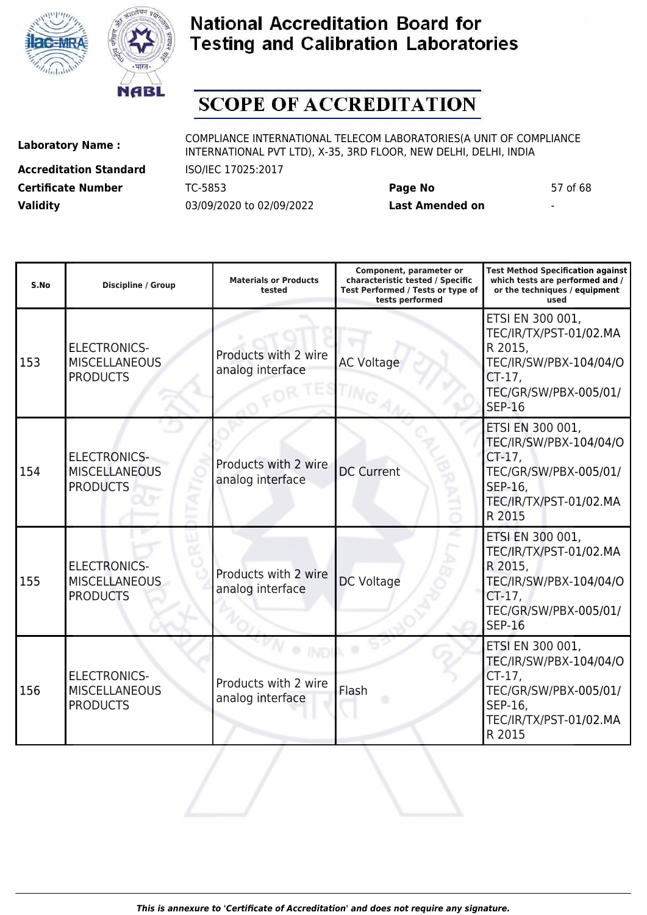



# **SCOPE OF ACCREDITATION**

**Accreditation Standard** ISO/IEC 17025:2017 **Certificate Number** TC-5853 **Page No** 57 of 68 **Validity** 03/09/2020 to 02/09/2022 **Last Amended on** -

| S.No | <b>Discipline / Group</b>                                      | <b>Materials or Products</b><br>tested   | Component, parameter or<br>characteristic tested / Specific<br>Test Performed / Tests or type of<br>tests performed | <b>Test Method Specification against</b><br>which tests are performed and /<br>or the techniques / equipment<br>used                   |
|------|----------------------------------------------------------------|------------------------------------------|---------------------------------------------------------------------------------------------------------------------|----------------------------------------------------------------------------------------------------------------------------------------|
| 153  | <b>ELECTRONICS-</b><br><b>MISCELLANEOUS</b><br><b>PRODUCTS</b> | Products with 2 wire<br>analog interface | <b>AC Voltage</b>                                                                                                   | ETSI EN 300 001,<br>TEC/IR/TX/PST-01/02.MA<br>R 2015,<br>TEC/IR/SW/PBX-104/04/O<br>$CT-17$ ,<br>TEC/GR/SW/PBX-005/01/<br><b>SEP-16</b> |
| 154  | <b>ELECTRONICS-</b><br><b>MISCELLANEOUS</b><br><b>PRODUCTS</b> | Products with 2 wire<br>analog interface | <b>DC Current</b>                                                                                                   | ETSI EN 300 001,<br>TEC/IR/SW/PBX-104/04/O<br>CT-17,<br>TEC/GR/SW/PBX-005/01/<br>SEP-16,<br>TEC/IR/TX/PST-01/02.MA<br>R 2015           |
| 155  | <b>ELECTRONICS-</b><br><b>MISCELLANEOUS</b><br><b>PRODUCTS</b> | Products with 2 wire<br>analog interface | <b>DC Voltage</b>                                                                                                   | ETSI EN 300 001,<br>TEC/IR/TX/PST-01/02.MA<br>R 2015,<br>TEC/IR/SW/PBX-104/04/O<br>$CT-17$ ,<br>TEC/GR/SW/PBX-005/01/<br><b>SEP-16</b> |
| 156  | <b>ELECTRONICS-</b><br><b>MISCELLANEOUS</b><br><b>PRODUCTS</b> | Products with 2 wire<br>analog interface | Flash                                                                                                               | ETSI EN 300 001,<br>TEC/IR/SW/PBX-104/04/O<br>CT-17,<br>TEC/GR/SW/PBX-005/01/<br>SEP-16,<br>TEC/IR/TX/PST-01/02.MA<br>R 2015           |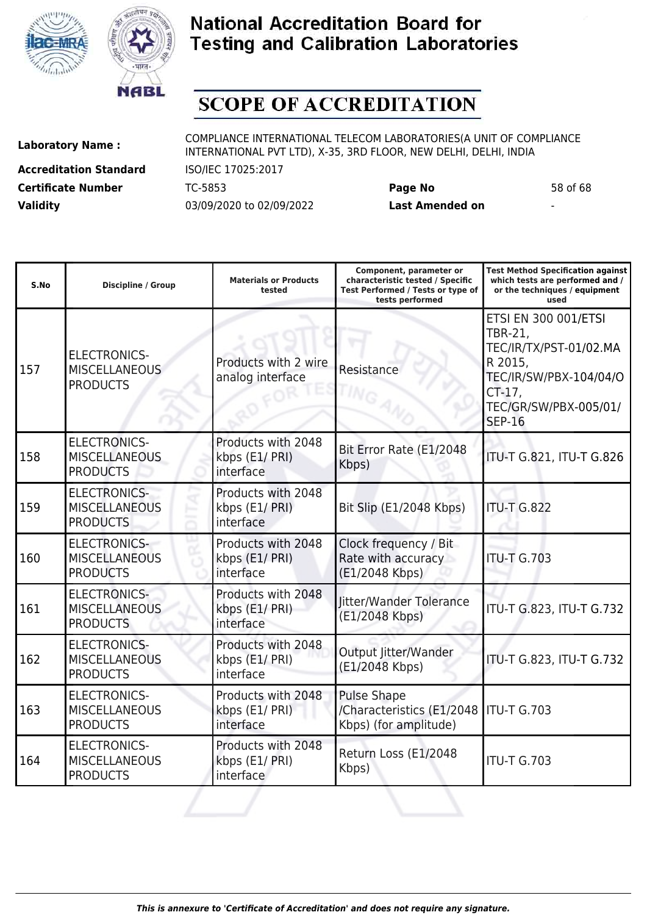



# **SCOPE OF ACCREDITATION**

**Accreditation Standard** ISO/IEC 17025:2017 **Certificate Number** TC-5853 **Page No** 58 of 68 **Validity** 03/09/2020 to 02/09/2022 **Last Amended on** -

| S.No | <b>Discipline / Group</b>                                      | <b>Materials or Products</b><br>tested            | Component, parameter or<br>characteristic tested / Specific<br>Test Performed / Tests or type of<br>tests performed | <b>Test Method Specification against</b><br>which tests are performed and /<br>or the techniques / equipment<br>used                                              |
|------|----------------------------------------------------------------|---------------------------------------------------|---------------------------------------------------------------------------------------------------------------------|-------------------------------------------------------------------------------------------------------------------------------------------------------------------|
| 157  | <b>ELECTRONICS-</b><br><b>MISCELLANEOUS</b><br><b>PRODUCTS</b> | Products with 2 wire<br>analog interface          | Resistance                                                                                                          | <b>ETSI EN 300 001/ETSI</b><br><b>TBR-21,</b><br>TEC/IR/TX/PST-01/02.MA<br>R 2015,<br>TEC/IR/SW/PBX-104/04/O<br>$CT-17$<br>TEC/GR/SW/PBX-005/01/<br><b>SEP-16</b> |
| 158  | <b>ELECTRONICS-</b><br><b>MISCELLANEOUS</b><br><b>PRODUCTS</b> | Products with 2048<br>kbps (E1/ PRI)<br>interface | Bit Error Rate (E1/2048<br>Kbps)                                                                                    | ITU-T G.821, ITU-T G.826                                                                                                                                          |
| 159  | <b>ELECTRONICS-</b><br><b>MISCELLANEOUS</b><br><b>PRODUCTS</b> | Products with 2048<br>kbps (E1/ PRI)<br>interface | Bit Slip (E1/2048 Kbps)                                                                                             | <b>ITU-T G.822</b>                                                                                                                                                |
| 160  | <b>ELECTRONICS-</b><br><b>MISCELLANEOUS</b><br><b>PRODUCTS</b> | Products with 2048<br>kbps (E1/ PRI)<br>interface | Clock frequency / Bit<br>Rate with accuracy<br>(E1/2048 Kbps)                                                       | <b>ITU-T G.703</b>                                                                                                                                                |
| 161  | <b>ELECTRONICS-</b><br><b>MISCELLANEOUS</b><br><b>PRODUCTS</b> | Products with 2048<br>kbps (E1/ PRI)<br>interface | Jitter/Wander Tolerance<br>(E1/2048 Kbps)                                                                           | ITU-T G.823, ITU-T G.732                                                                                                                                          |
| 162  | <b>ELECTRONICS-</b><br><b>MISCELLANEOUS</b><br><b>PRODUCTS</b> | Products with 2048<br>kbps (E1/ PRI)<br>interface | Output Jitter/Wander<br>(E1/2048 Kbps)                                                                              | ITU-T G.823, ITU-T G.732                                                                                                                                          |
| 163  | <b>ELECTRONICS-</b><br><b>MISCELLANEOUS</b><br><b>PRODUCTS</b> | Products with 2048<br>kbps (E1/ PRI)<br>interface | <b>Pulse Shape</b><br>/Characteristics (E1/2048)<br>Kbps) (for amplitude)                                           | <b>ITU-T G.703</b>                                                                                                                                                |
| 164  | <b>ELECTRONICS-</b><br><b>MISCELLANEOUS</b><br><b>PRODUCTS</b> | Products with 2048<br>kbps (E1/ PRI)<br>interface | Return Loss (E1/2048<br>Kbps)                                                                                       | <b>ITU-T G.703</b>                                                                                                                                                |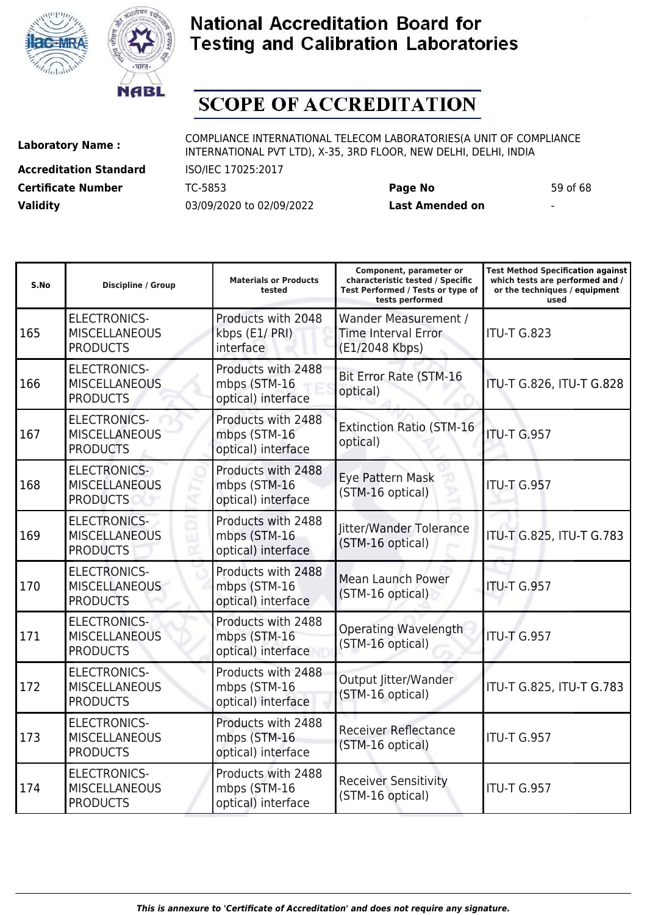



# **SCOPE OF ACCREDITATION**

ı

**Accreditation Standard** ISO/IEC 17025:2017 **Certificate Number** TC-5853 **Page No** 59 of 68 **Validity** 03/09/2020 to 02/09/2022 **Last Amended on** -

**Laboratory Name :** COMPLIANCE INTERNATIONAL TELECOM LABORATORIES(A UNIT OF COMPLIANCE INTERNATIONAL PVT LTD), X-35, 3RD FLOOR, NEW DELHI, DELHI, INDIA

**Test Method Specification against**

| S.No | <b>Discipline / Group</b>                                      | <b>Materials or Products</b><br>tested                   | characteristic tested / Specific<br>Test Performed / Tests or type of<br>tests performed | which tests are performed and /<br>or the techniques / equipment<br>used |
|------|----------------------------------------------------------------|----------------------------------------------------------|------------------------------------------------------------------------------------------|--------------------------------------------------------------------------|
| 165  | <b>ELECTRONICS-</b><br><b>MISCELLANEOUS</b><br><b>PRODUCTS</b> | Products with 2048<br>kbps (E1/ PRI)<br>interface        | Wander Measurement /<br><b>Time Interval Error</b><br>(E1/2048 Kbps)                     | <b>ITU-T G.823</b>                                                       |
| 166  | <b>ELECTRONICS-</b><br><b>MISCELLANEOUS</b><br><b>PRODUCTS</b> | Products with 2488<br>mbps (STM-16<br>optical) interface | Bit Error Rate (STM-16<br>optical)                                                       | ITU-T G.826, ITU-T G.828                                                 |
| 167  | <b>ELECTRONICS-</b><br><b>MISCELLANEOUS</b><br><b>PRODUCTS</b> | Products with 2488<br>mbps (STM-16<br>optical) interface | <b>Extinction Ratio (STM-16</b><br>optical)                                              | <b>ITU-T G.957</b>                                                       |
| 168  | <b>ELECTRONICS-</b><br><b>MISCELLANEOUS</b><br><b>PRODUCTS</b> | Products with 2488<br>mbps (STM-16<br>optical) interface | Eye Pattern Mask<br>(STM-16 optical)                                                     | <b>ITU-T G.957</b>                                                       |
| 169  | <b>ELECTRONICS-</b><br><b>MISCELLANEOUS</b><br><b>PRODUCTS</b> | Products with 2488<br>mbps (STM-16<br>optical) interface | Jitter/Wander Tolerance<br>(STM-16 optical)                                              | ITU-T G.825, ITU-T G.783                                                 |
| 170  | <b>ELECTRONICS-</b><br><b>MISCELLANEOUS</b><br><b>PRODUCTS</b> | Products with 2488<br>mbps (STM-16<br>optical) interface | <b>Mean Launch Power</b><br>(STM-16 optical)                                             | <b>ITU-T G.957</b>                                                       |
| 171  | <b>ELECTRONICS-</b><br><b>MISCELLANEOUS</b><br><b>PRODUCTS</b> | Products with 2488<br>mbps (STM-16<br>optical) interface | Operating Wavelength<br>(STM-16 optical)                                                 | ITU-T G.957                                                              |
| 172  | <b>ELECTRONICS-</b><br><b>MISCELLANEOUS</b><br><b>PRODUCTS</b> | Products with 2488<br>mbps (STM-16<br>optical) interface | Output Jitter/Wander<br>(STM-16 optical)                                                 | ITU-T G.825, ITU-T G.783                                                 |
| 173  | <b>ELECTRONICS-</b><br><b>MISCELLANEOUS</b><br><b>PRODUCTS</b> | Products with 2488<br>mbps (STM-16<br>optical) interface | <b>Receiver Reflectance</b><br>(STM-16 optical)                                          | <b>ITU-T G.957</b>                                                       |
| 174  | <b>ELECTRONICS-</b><br><b>MISCELLANEOUS</b><br><b>PRODUCTS</b> | Products with 2488<br>mbps (STM-16<br>optical) interface | <b>Receiver Sensitivity</b><br>(STM-16 optical)                                          | <b>ITU-T G.957</b>                                                       |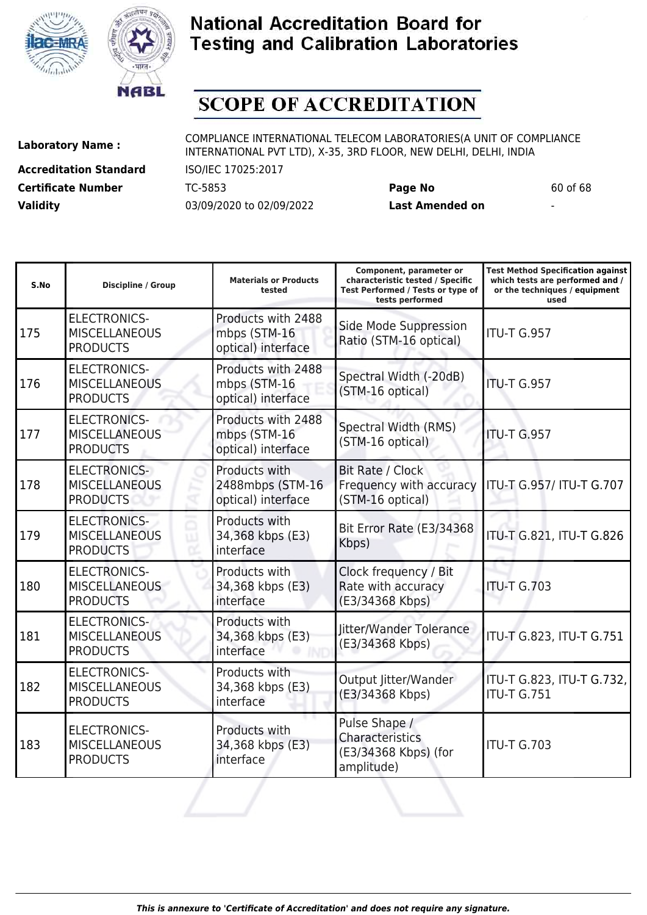



# **SCOPE OF ACCREDITATION**

**Accreditation Standard** ISO/IEC 17025:2017 **Certificate Number** TC-5853 **Page No** 60 of 68 **Validity** 03/09/2020 to 02/09/2022 **Last Amended on** -

**Laboratory Name :** COMPLIANCE INTERNATIONAL TELECOM LABORATORIES(A UNIT OF COMPLIANCE INTERNATIONAL PVT LTD), X-35, 3RD FLOOR, NEW DELHI, DELHI, INDIA

| S.No | Discipline / Group                                             | <b>Materials or Products</b><br>tested                   | Component, parameter or<br>characteristic tested / Specific<br>Test Performed / Tests or type of<br>tests performed | <b>Test Method Specification against</b><br>which tests are performed and /<br>or the techniques / equipment<br>used |
|------|----------------------------------------------------------------|----------------------------------------------------------|---------------------------------------------------------------------------------------------------------------------|----------------------------------------------------------------------------------------------------------------------|
| 175  | <b>ELECTRONICS-</b><br><b>MISCELLANEOUS</b><br><b>PRODUCTS</b> | Products with 2488<br>mbps (STM-16<br>optical) interface | Side Mode Suppression<br>Ratio (STM-16 optical)                                                                     | <b>ITU-T G.957</b>                                                                                                   |
| 176  | <b>ELECTRONICS-</b><br><b>MISCELLANEOUS</b><br><b>PRODUCTS</b> | Products with 2488<br>mbps (STM-16<br>optical) interface | Spectral Width (-20dB)<br>(STM-16 optical)                                                                          | <b>ITU-T G.957</b>                                                                                                   |
| 177  | <b>ELECTRONICS-</b><br><b>MISCELLANEOUS</b><br><b>PRODUCTS</b> | Products with 2488<br>mbps (STM-16<br>optical) interface | Spectral Width (RMS)<br>(STM-16 optical)                                                                            | <b>ITU-T G.957</b>                                                                                                   |
| 178  | <b>ELECTRONICS-</b><br><b>MISCELLANEOUS</b><br><b>PRODUCTS</b> | Products with<br>2488mbps (STM-16<br>optical) interface  | Bit Rate / Clock<br>Frequency with accuracy<br>(STM-16 optical)                                                     | ITU-T G.957/ ITU-T G.707                                                                                             |
| 179  | <b>ELECTRONICS-</b><br><b>MISCELLANEOUS</b><br><b>PRODUCTS</b> | Products with<br>34,368 kbps (E3)<br>interface           | Bit Error Rate (E3/34368<br>Kbps)                                                                                   | ITU-T G.821, ITU-T G.826                                                                                             |
| 180  | <b>ELECTRONICS-</b><br><b>MISCELLANEOUS</b><br><b>PRODUCTS</b> | Products with<br>34,368 kbps (E3)<br>interface           | Clock frequency / Bit<br>Rate with accuracy<br>(E3/34368 Kbps)                                                      | <b>ITU-T G.703</b>                                                                                                   |
| 181  | <b>ELECTRONICS-</b><br><b>MISCELLANEOUS</b><br><b>PRODUCTS</b> | Products with<br>34,368 kbps (E3)<br>interface           | Jitter/Wander Tolerance<br>(E3/34368 Kbps)                                                                          | ITU-T G.823, ITU-T G.751                                                                                             |
| 182  | <b>ELECTRONICS-</b><br><b>MISCELLANEOUS</b><br><b>PRODUCTS</b> | Products with<br>34,368 kbps (E3)<br>interface           | Output Jitter/Wander<br>(E3/34368 Kbps)                                                                             | ITU-T G.823, ITU-T G.732,<br><b>ITU-T G.751</b>                                                                      |
| 183  | <b>ELECTRONICS-</b><br><b>MISCELLANEOUS</b><br><b>PRODUCTS</b> | Products with<br>34,368 kbps (E3)<br>interface           | Pulse Shape /<br>Characteristics<br>(E3/34368 Kbps) (for<br>amplitude)                                              | <b>ITU-T G.703</b>                                                                                                   |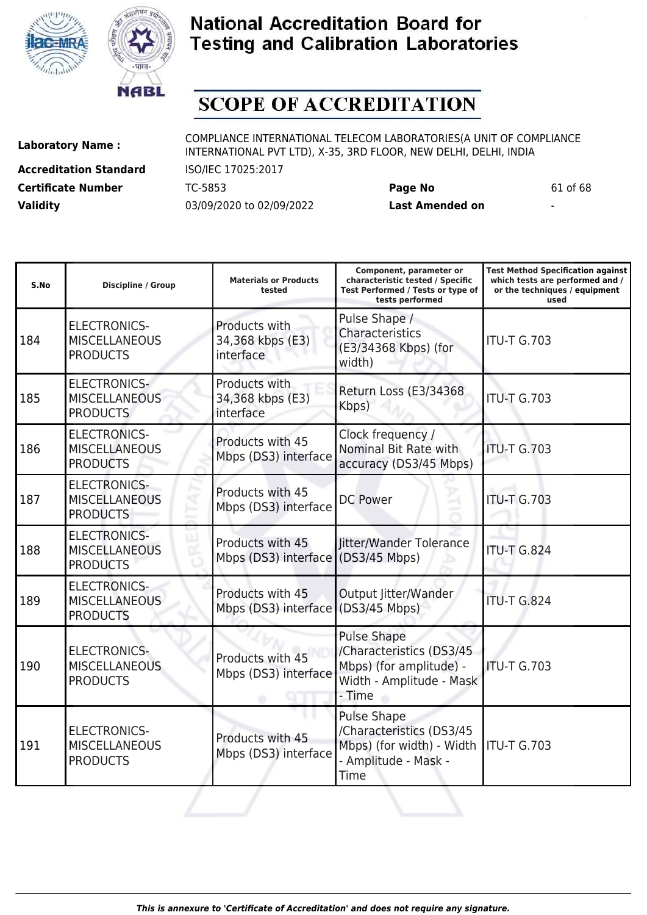



# **SCOPE OF ACCREDITATION**

**Accreditation Standard** ISO/IEC 17025:2017 **Certificate Number** TC-5853 **Page No** 61 of 68 **Validity** 03/09/2020 to 02/09/2022 **Last Amended on** -

**Laboratory Name :** COMPLIANCE INTERNATIONAL TELECOM LABORATORIES(A UNIT OF COMPLIANCE INTERNATIONAL PVT LTD), X-35, 3RD FLOOR, NEW DELHI, DELHI, INDIA

**Test Method Specification against**

| S.No | <b>Discipline / Group</b>                                      | <b>Materials or Products</b><br>tested                 | characteristic tested / Specific<br>Test Performed / Tests or type of<br>tests performed                        | which tests are performed and /<br>or the techniques / equipment<br>used |
|------|----------------------------------------------------------------|--------------------------------------------------------|-----------------------------------------------------------------------------------------------------------------|--------------------------------------------------------------------------|
| 184  | <b>ELECTRONICS-</b><br><b>MISCELLANEOUS</b><br><b>PRODUCTS</b> | Products with<br>34,368 kbps (E3)<br>interface         | Pulse Shape /<br>Characteristics<br>(E3/34368 Kbps) (for<br>width)                                              | <b>ITU-T G.703</b>                                                       |
| 185  | <b>ELECTRONICS-</b><br><b>MISCELLANEOUS</b><br><b>PRODUCTS</b> | Products with<br>34,368 kbps (E3)<br>interface         | Return Loss (E3/34368<br>Kbps)                                                                                  | <b>ITU-T G.703</b>                                                       |
| 186  | <b>ELECTRONICS-</b><br><b>MISCELLANEOUS</b><br><b>PRODUCTS</b> | Products with 45<br>Mbps (DS3) interface               | Clock frequency /<br>Nominal Bit Rate with<br>accuracy (DS3/45 Mbps)                                            | <b>ITU-T G.703</b>                                                       |
| 187  | <b>ELECTRONICS-</b><br><b>MISCELLANEOUS</b><br><b>PRODUCTS</b> | Products with 45<br>Mbps (DS3) interface               | <b>DC Power</b>                                                                                                 | <b>ITU-T G.703</b>                                                       |
| 188  | <b>ELECTRONICS-</b><br><b>MISCELLANEOUS</b><br><b>PRODUCTS</b> | Products with 45<br>Mbps (DS3) interface (DS3/45 Mbps) | litter/Wander Tolerance                                                                                         | <b>ITU-T G.824</b>                                                       |
| 189  | <b>ELECTRONICS-</b><br><b>MISCELLANEOUS</b><br><b>PRODUCTS</b> | Products with 45<br>Mbps (DS3) interface (DS3/45 Mbps) | Output Jitter/Wander                                                                                            | <b>ITU-T G.824</b>                                                       |
| 190  | <b>ELECTRONICS-</b><br><b>MISCELLANEOUS</b><br><b>PRODUCTS</b> | Products with 45<br>Mbps (DS3) interface               | <b>Pulse Shape</b><br>/Characteristics (DS3/45<br>Mbps) (for amplitude) -<br>Width - Amplitude - Mask<br>- Time | ITU-T G.703                                                              |
| 191  | <b>ELECTRONICS-</b><br><b>MISCELLANEOUS</b><br><b>PRODUCTS</b> | Products with 45<br>Mbps (DS3) interface               | <b>Pulse Shape</b><br>/Characteristics (DS3/45<br>Mbps) (for width) - Width<br>- Amplitude - Mask -<br>Time     | ITU-T G.703                                                              |
|      |                                                                |                                                        |                                                                                                                 |                                                                          |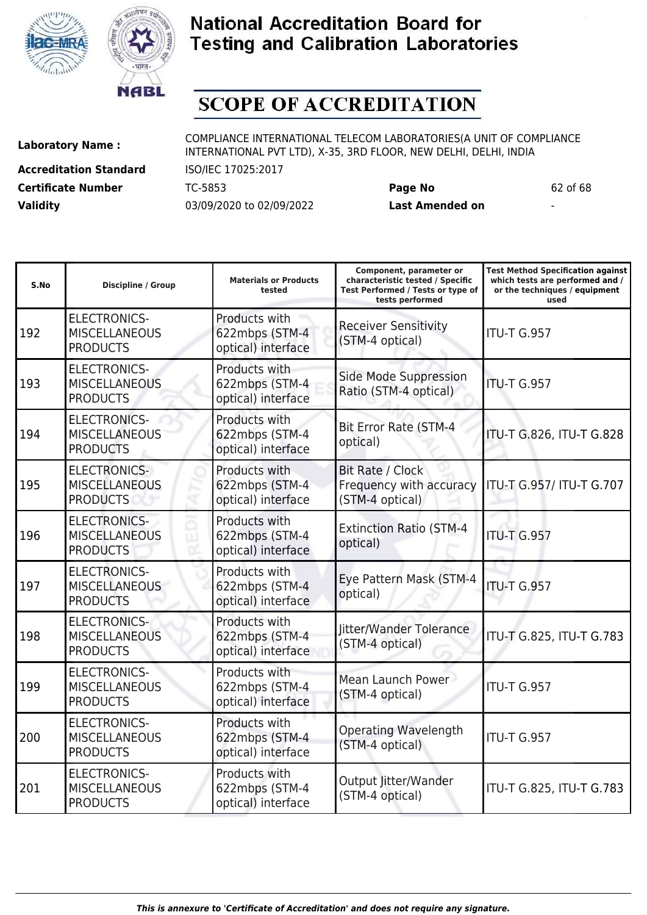



**S.No Discipline / Group Materials or Products**

### **National Accreditation Board for Testing and Calibration Laboratories**

# **SCOPE OF ACCREDITATION**

192

**Accreditation Standard** ISO/IEC 17025:2017 **Certificate Number** TC-5853 **Page No** 62 of 68 **Validity** 03/09/2020 to 02/09/2022 **Last Amended on** -

Laboratory Name : COMPLIANCE INTERNATIONAL TELECOM LABORATORIES(A UNIT OF COMPLIANCE INTERNATIONAL PVT LTD), X-35, 3RD FLOOR, NEW DELHI, DELHI, INDIA

**tested**

**Component, parameter or characteristic tested / Specific Test Performed / Tests or type of**

**Test Method Specification against which tests are performed and / or the techniques / equipment**

**tests performed used** ELECTRONICS-**MISCELLANEOUS** PRODUCTS Products with 622mbps (STM-4 optical) interface Receiver Sensitivity Kecelver Sensitivity<br>(STM-4 optical) ITU-T G.957 ELECTRONICS-Products with 622mbps (STM-4 optical) interface Side Mode Suppression Side Mode Buppression | ITU-T G.957 Products with 622mbps (STM-4 optical) interface Bit Error Rate (STM-4 Products with 622mbps (STM-4 optical) interface Bit Rate / Clock Frequency with accuracy (STM-4 optical) Products with Extinction Ratio (STM-4

| 193 | <b>MISCELLANEOUS</b><br><b>PRODUCTS</b>                        | 622mbps (STM-4<br>optical) interface                  | Side Mode Suppression<br>Ratio (STM-4 optical)                 | <b>ITU-T G.957</b>       |
|-----|----------------------------------------------------------------|-------------------------------------------------------|----------------------------------------------------------------|--------------------------|
| 194 | <b>ELECTRONICS-</b><br><b>MISCELLANEOUS</b><br><b>PRODUCTS</b> | Products with<br>622mbps (STM-4<br>optical) interface | <b>Bit Error Rate (STM-4</b><br>optical)                       | ITU-T G.826, ITU-T G.828 |
| 195 | <b>ELECTRONICS-</b><br><b>MISCELLANEOUS</b><br><b>PRODUCTS</b> | Products with<br>622mbps (STM-4<br>optical) interface | Bit Rate / Clock<br>Frequency with accuracy<br>(STM-4 optical) | ITU-T G.957/ ITU-T G.707 |
| 196 | <b>ELECTRONICS-</b><br><b>MISCELLANEOUS</b><br><b>PRODUCTS</b> | Products with<br>622mbps (STM-4<br>optical) interface | <b>Extinction Ratio (STM-4</b><br>optical)                     | <b>ITU-T G.957</b>       |
| 197 | <b>ELECTRONICS-</b><br><b>MISCELLANEOUS</b><br><b>PRODUCTS</b> | Products with<br>622mbps (STM-4<br>optical) interface | Eye Pattern Mask (STM-4<br>optical)                            | <b>ITU-T G.957</b>       |
| 198 | <b>ELECTRONICS-</b><br><b>MISCELLANEOUS</b><br><b>PRODUCTS</b> | Products with<br>622mbps (STM-4<br>optical) interface | Jitter/Wander Tolerance<br>(STM-4 optical)                     | ITU-T G.825, ITU-T G.783 |
| 199 | <b>ELECTRONICS-</b><br><b>MISCELLANEOUS</b><br><b>PRODUCTS</b> | Products with<br>622mbps (STM-4<br>optical) interface | Mean Launch Power<br>(STM-4 optical)                           | ITU-T G.957              |
| 200 | <b>ELECTRONICS-</b><br><b>MISCELLANEOUS</b><br><b>PRODUCTS</b> | Products with<br>622mbps (STM-4<br>optical) interface | <b>Operating Wavelength</b><br>(STM-4 optical)                 | <b>ITU-T G.957</b>       |
| 201 | <b>ELECTRONICS-</b><br><b>MISCELLANEOUS</b><br><b>PRODUCTS</b> | Products with<br>622mbps (STM-4<br>optical) interface | Output Jitter/Wander<br>(STM-4 optical)                        | ITU-T G.825, ITU-T G.783 |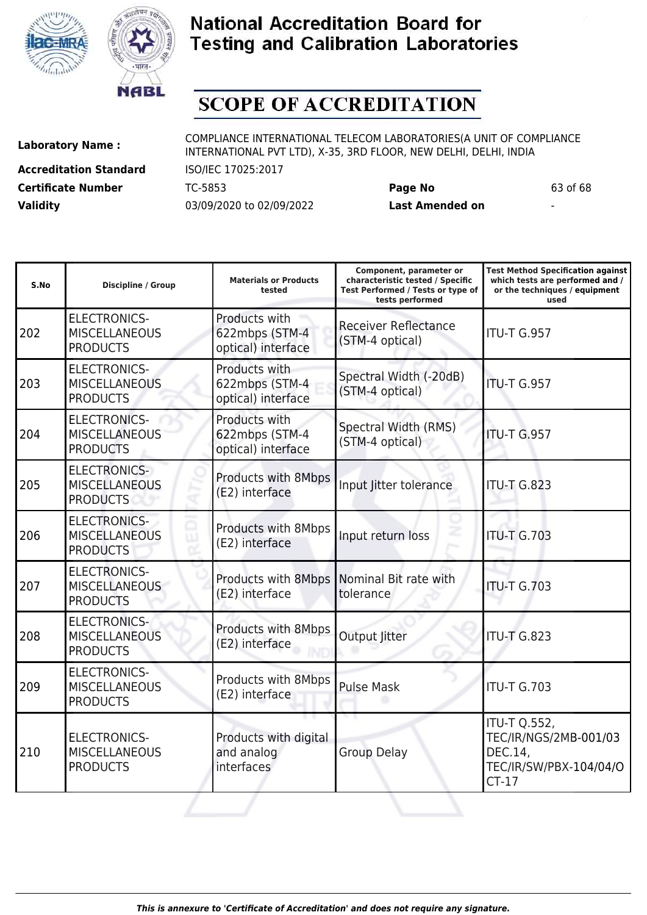



**S.No Discipline / Group Materials or Products**

### **National Accreditation Board for Testing and Calibration Laboratories**

# **SCOPE OF ACCREDITATION**

210

ELECTRONICS-**MISCELLANEOUS** PRODUCTS

**Accreditation Standard** ISO/IEC 17025:2017 **Certificate Number** TC-5853 **Page No** 63 of 68 **Validity** 03/09/2020 to 02/09/2022 **Last Amended on** -

Laboratory Name : COMPLIANCE INTERNATIONAL TELECOM LABORATORIES(A UNIT OF COMPLIANCE INTERNATIONAL PVT LTD), X-35, 3RD FLOOR, NEW DELHI, DELHI, INDIA

**tested**

**Component, parameter or characteristic tested / Specific Test Performed / Tests or type of tests performed**

**Test Method Specification against which tests are performed and / or the techniques / equipment used**

ITU-T Q.552,

DEC.14,

CT-17

TEC/IR/NGS/2MB-001/03

TEC/IR/SW/PBX-104/04/O

202 ELECTRONICS-**MISCELLANEOUS** PRODUCTS Products with 622mbps (STM-4 optical) interface Receiver Reflectance (STM-4 optical) ITU-T G.957 203 ELECTRONICS-**MISCELLANEOUS** PRODUCTS Products with 622mbps (STM-4 optical) interface Spectral Width (-20dB) Spectral Widdl (2000) TU-T G.957 204 ELECTRONICS-MISCELLANEOUS PRODUCTS Products with 622mbps (STM-4 optical) interface Spectral Width (RMS) Spectral Width (RMS) TTU-T G.957 205 ELECTRONICS-**MISCELLANEOUS** PRODUCTS Products with 8Mbps Products with omplys Input Jitter tolerance ITU-T G.823 206 ELECTRONICS-**MISCELLANEOUS** PRODUCTS Products with 8Mbps Troudcts with ombips Input return loss ITU-T G.703 207 ELECTRONICS-MISCELLANEOUS PRODUCTS Products with 8Mbps (E2) interface Nominal Bit rate with tolerance **ITU-T G.703** 208 ELECTRONICS-**MISCELLANEOUS** PRODUCTS Products with 8Mbps Products with ombps output Jitter ITU-T G.823 209 ELECTRONICS-**MISCELLANEOUS** PRODUCTS Products with 8Mbps Pulse Mask ITU-T G.703

Products with digital

and analog interfaces

Group Delay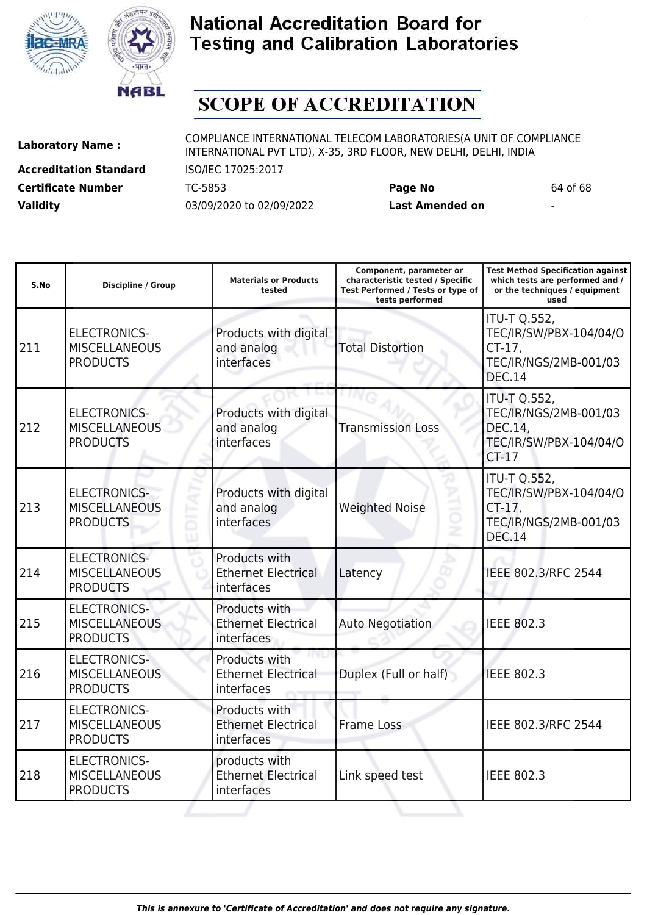



# **SCOPE OF ACCREDITATION**

**Accreditation Standard** ISO/IEC 17025:2017 **Certificate Number** TC-5853 **Page No** 64 of 68 **Validity** 03/09/2020 to 02/09/2022 **Last Amended on** -

**Laboratory Name :** COMPLIANCE INTERNATIONAL TELECOM LABORATORIES(A UNIT OF COMPLIANCE INTERNATIONAL PVT LTD), X-35, 3RD FLOOR, NEW DELHI, DELHI, INDIA

**Component, parameter or**

**Test Method Specification against**

| S.No | <b>Discipline / Group</b>                                      | <b>Materials or Products</b><br>tested                    | characteristic tested / Specific<br>Test Performed / Tests or type of<br>tests performed | which tests are performed and /<br>or the techniques / equipment<br>used                             |
|------|----------------------------------------------------------------|-----------------------------------------------------------|------------------------------------------------------------------------------------------|------------------------------------------------------------------------------------------------------|
| 211  | <b>ELECTRONICS-</b><br><b>MISCELLANEOUS</b><br><b>PRODUCTS</b> | Products with digital<br>and analog<br>interfaces         | <b>Total Distortion</b>                                                                  | <b>ITU-T Q.552,</b><br>TEC/IR/SW/PBX-104/04/O<br>$CT-17$ ,<br>TEC/IR/NGS/2MB-001/03<br><b>DEC.14</b> |
| 212  | <b>ELECTRONICS-</b><br><b>MISCELLANEOUS</b><br><b>PRODUCTS</b> | Products with digital<br>and analog<br>interfaces         | <b>Transmission Loss</b>                                                                 | <b>ITU-T Q.552,</b><br>TEC/IR/NGS/2MB-001/03<br>DEC.14,<br>TEC/IR/SW/PBX-104/04/O<br>$CT-17$         |
| 213  | <b>ELECTRONICS-</b><br><b>MISCELLANEOUS</b><br><b>PRODUCTS</b> | Products with digital<br>and analog<br>interfaces         | <b>Weighted Noise</b><br>ż                                                               | <b>ITU-T Q.552,</b><br>TEC/IR/SW/PBX-104/04/O<br>CT-17,<br>TEC/IR/NGS/2MB-001/03<br><b>DEC.14</b>    |
| 214  | <b>ELECTRONICS-</b><br><b>MISCELLANEOUS</b><br><b>PRODUCTS</b> | Products with<br><b>Ethernet Electrical</b><br>interfaces | Latency                                                                                  | IEEE 802.3/RFC 2544                                                                                  |
| 215  | <b>ELECTRONICS-</b><br><b>MISCELLANEOUS</b><br><b>PRODUCTS</b> | Products with<br><b>Ethernet Electrical</b><br>interfaces | <b>Auto Negotiation</b>                                                                  | <b>IEEE 802.3</b>                                                                                    |
| 216  | <b>ELECTRONICS-</b><br><b>MISCELLANEOUS</b><br><b>PRODUCTS</b> | Products with<br><b>Ethernet Electrical</b><br>interfaces | Duplex (Full or half)                                                                    | <b>IEEE 802.3</b>                                                                                    |
| 217  | <b>ELECTRONICS-</b><br><b>MISCELLANEOUS</b><br><b>PRODUCTS</b> | Products with<br><b>Ethernet Electrical</b><br>interfaces | <b>Frame Loss</b>                                                                        | IEEE 802.3/RFC 2544                                                                                  |
| 218  | <b>ELECTRONICS-</b><br><b>MISCELLANEOUS</b><br><b>PRODUCTS</b> | products with<br><b>Ethernet Electrical</b><br>interfaces | Link speed test                                                                          | <b>IEEE 802.3</b>                                                                                    |
|      |                                                                |                                                           |                                                                                          |                                                                                                      |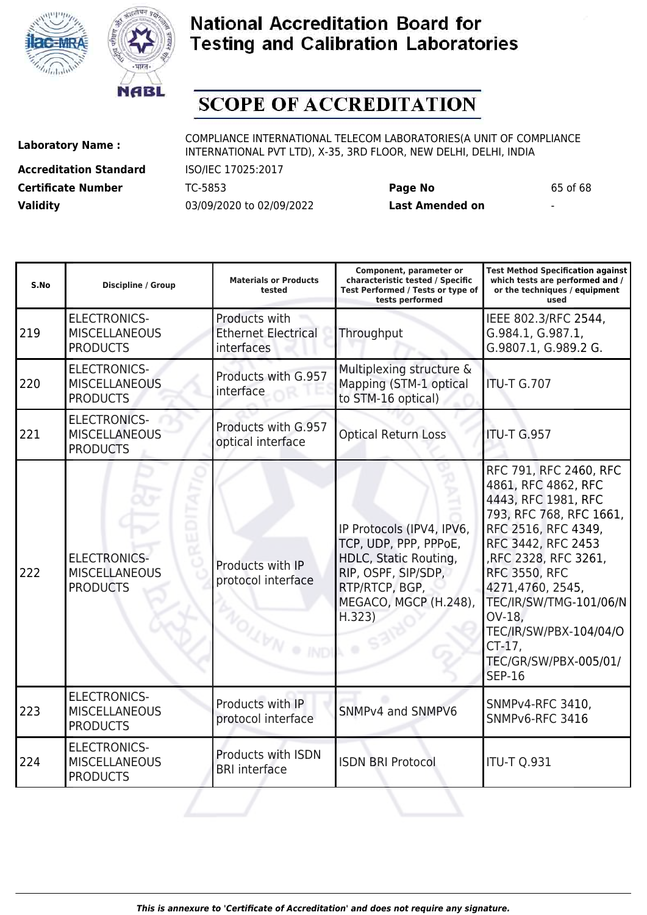



# **SCOPE OF ACCREDITATION**

**Accreditation Standard** ISO/IEC 17025:2017 **Certificate Number** TC-5853 **Page No** 65 of 68 **Validity** 03/09/2020 to 02/09/2022 **Last Amended on** -

**Laboratory Name :** COMPLIANCE INTERNATIONAL TELECOM LABORATORIES(A UNIT OF COMPLIANCE INTERNATIONAL PVT LTD), X-35, 3RD FLOOR, NEW DELHI, DELHI, INDIA

| IEEE 802.3/RFC 2544,                                                                                                                                                                                                                                                                         |
|----------------------------------------------------------------------------------------------------------------------------------------------------------------------------------------------------------------------------------------------------------------------------------------------|
| G.984.1, G.987.1,<br>G.9807.1, G.989.2 G.                                                                                                                                                                                                                                                    |
|                                                                                                                                                                                                                                                                                              |
|                                                                                                                                                                                                                                                                                              |
| RFC 791, RFC 2460, RFC<br>4861, RFC 4862, RFC<br>4443, RFC 1981, RFC<br>793, RFC 768, RFC 1661,<br>RFC 2516, RFC 4349,<br>RFC 3442, RFC 2453<br>RFC 2328, RFC 3261,<br><b>RFC 3550, RFC</b><br>4271,4760, 2545,<br>TEC/IR/SW/TMG-101/06/N<br>TEC/IR/SW/PBX-104/04/O<br>TEC/GR/SW/PBX-005/01/ |
| SNMPv4-RFC 3410,<br>SNMPv6-RFC 3416                                                                                                                                                                                                                                                          |
|                                                                                                                                                                                                                                                                                              |
|                                                                                                                                                                                                                                                                                              |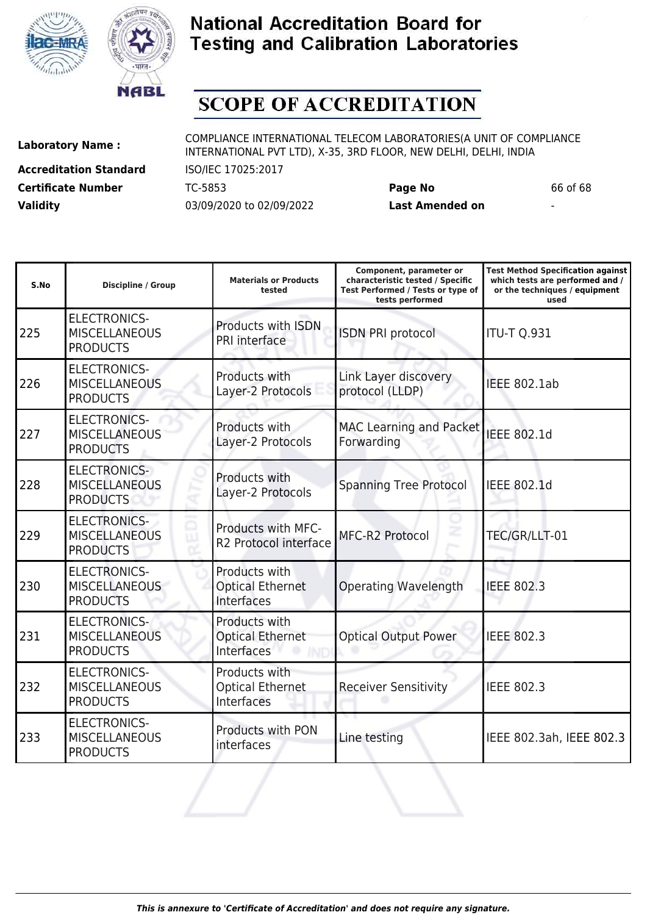



# **SCOPE OF ACCREDITATION**

**Accreditation Standard** ISO/IEC 17025:2017 **Certificate Number** TC-5853 **Page No** 66 of 68 **Validity** 03/09/2020 to 02/09/2022 **Last Amended on** -

| S.No | Discipline / Group                                             | <b>Materials or Products</b><br>tested                 | Component, parameter or<br>characteristic tested / Specific<br>Test Performed / Tests or type of<br>tests performed | <b>Test Method Specification against</b><br>which tests are performed and /<br>or the techniques / equipment<br>used |
|------|----------------------------------------------------------------|--------------------------------------------------------|---------------------------------------------------------------------------------------------------------------------|----------------------------------------------------------------------------------------------------------------------|
| 225  | <b>ELECTRONICS-</b><br><b>MISCELLANEOUS</b><br><b>PRODUCTS</b> | Products with ISDN<br>PRI interface                    | <b>ISDN PRI protocol</b>                                                                                            | <b>ITU-T Q.931</b>                                                                                                   |
| 226  | <b>ELECTRONICS-</b><br><b>MISCELLANEOUS</b><br><b>PRODUCTS</b> | Products with<br>Layer-2 Protocols                     | Link Layer discovery<br>protocol (LLDP)                                                                             | <b>IEEE 802.1ab</b>                                                                                                  |
| 227  | <b>ELECTRONICS-</b><br><b>MISCELLANEOUS</b><br><b>PRODUCTS</b> | Products with<br>Layer-2 Protocols                     | <b>MAC Learning and Packet</b><br>Forwarding                                                                        | <b>IEEE 802.1d</b>                                                                                                   |
| 228  | <b>ELECTRONICS-</b><br><b>MISCELLANEOUS</b><br><b>PRODUCTS</b> | Products with<br>Layer-2 Protocols                     | <b>Spanning Tree Protocol</b>                                                                                       | <b>IEEE 802.1d</b>                                                                                                   |
| 229  | <b>ELECTRONICS-</b><br><b>MISCELLANEOUS</b><br><b>PRODUCTS</b> | Products with MFC-<br>R2 Protocol interface            | MFC-R2 Protocol                                                                                                     | TEC/GR/LLT-01                                                                                                        |
| 230  | <b>ELECTRONICS-</b><br><b>MISCELLANEOUS</b><br><b>PRODUCTS</b> | Products with<br><b>Optical Ethernet</b><br>Interfaces | <b>Operating Wavelength</b>                                                                                         | <b>IEEE 802.3</b>                                                                                                    |
| 231  | <b>ELECTRONICS-</b><br><b>MISCELLANEOUS</b><br><b>PRODUCTS</b> | Products with<br><b>Optical Ethernet</b><br>Interfaces | <b>Optical Output Power</b>                                                                                         | <b>IEEE 802.3</b>                                                                                                    |
| 232  | <b>ELECTRONICS-</b><br><b>MISCELLANEOUS</b><br><b>PRODUCTS</b> | Products with<br><b>Optical Ethernet</b><br>Interfaces | <b>Receiver Sensitivity</b>                                                                                         | <b>IEEE 802.3</b>                                                                                                    |
| 233  | <b>ELECTRONICS-</b><br><b>MISCELLANEOUS</b><br><b>PRODUCTS</b> | <b>Products with PON</b><br>interfaces                 | Line testing                                                                                                        | IEEE 802.3ah, IEEE 802.3                                                                                             |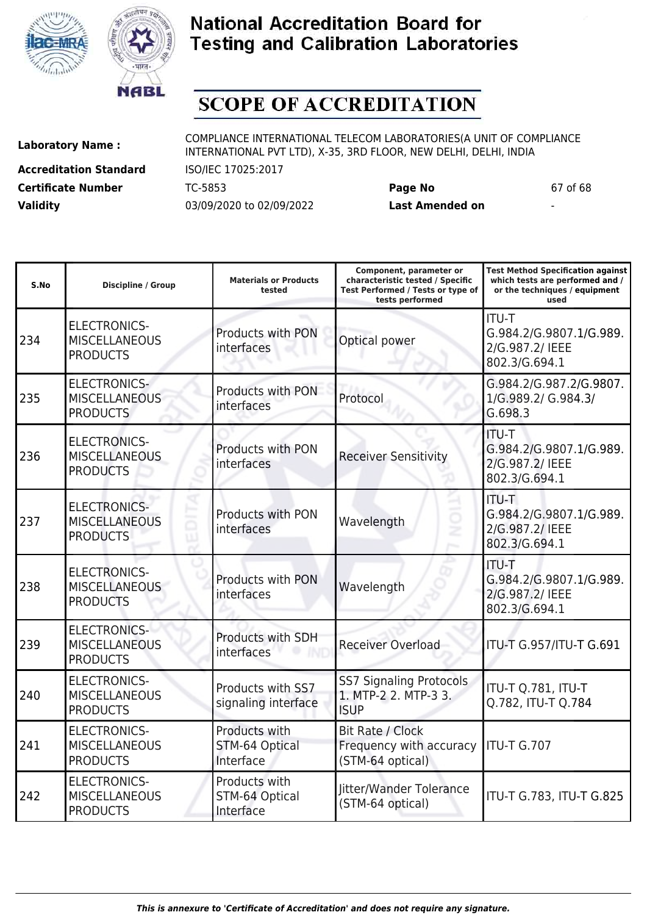



# **SCOPE OF ACCREDITATION**

ı

**Accreditation Standard** ISO/IEC 17025:2017 **Certificate Number** TC-5853 **Page No** 67 of 68 **Validity** 03/09/2020 to 02/09/2022 **Last Amended on** -

**Laboratory Name :** COMPLIANCE INTERNATIONAL TELECOM LABORATORIES(A UNIT OF COMPLIANCE INTERNATIONAL PVT LTD), X-35, 3RD FLOOR, NEW DELHI, DELHI, INDIA

**Test Method Specification against**

| S.No | <b>Discipline / Group</b>                                      | <b>Materials or Products</b><br>tested       | characteristic tested / Specific<br>Test Performed / Tests or type of<br>tests performed | which tests are performed and /<br>or the techniques / equipment<br>used    |
|------|----------------------------------------------------------------|----------------------------------------------|------------------------------------------------------------------------------------------|-----------------------------------------------------------------------------|
| 234  | <b>ELECTRONICS-</b><br><b>MISCELLANEOUS</b><br><b>PRODUCTS</b> | Products with PON<br>interfaces              | Optical power                                                                            | <b>ITU-T</b><br>G.984.2/G.9807.1/G.989.<br>2/G.987.2/ IEEE<br>802.3/G.694.1 |
| 235  | <b>ELECTRONICS-</b><br><b>MISCELLANEOUS</b><br><b>PRODUCTS</b> | Products with PON<br>interfaces              | Protocol                                                                                 | G.984.2/G.987.2/G.9807.<br>1/G.989.2/ G.984.3/<br>G.698.3                   |
| 236  | <b>ELECTRONICS-</b><br><b>MISCELLANEOUS</b><br><b>PRODUCTS</b> | Products with PON<br>interfaces              | <b>Receiver Sensitivity</b>                                                              | <b>ITU-T</b><br>G.984.2/G.9807.1/G.989.<br>2/G.987.2/ IEEE<br>802.3/G.694.1 |
| 237  | <b>ELECTRONICS-</b><br><b>MISCELLANEOUS</b><br><b>PRODUCTS</b> | Products with PON<br>interfaces              | Wavelength                                                                               | ITU-T<br>G.984.2/G.9807.1/G.989.<br>2/G.987.2/ IEEE<br>802.3/G.694.1        |
| 238  | <b>ELECTRONICS-</b><br><b>MISCELLANEOUS</b><br><b>PRODUCTS</b> | Products with PON<br>interfaces              | Wavelength                                                                               | <b>ITU-T</b><br>G.984.2/G.9807.1/G.989.<br>2/G.987.2/ IEEE<br>802.3/G.694.1 |
| 239  | <b>ELECTRONICS-</b><br><b>MISCELLANEOUS</b><br><b>PRODUCTS</b> | <b>Products with SDH</b><br>interfaces       | <b>Receiver Overload</b>                                                                 | ITU-T G.957/ITU-T G.691                                                     |
| 240  | <b>ELECTRONICS-</b><br><b>MISCELLANEOUS</b><br><b>PRODUCTS</b> | Products with SS7<br>signaling interface     | <b>SS7 Signaling Protocols</b><br>1. MTP-2 2. MTP-3 3.<br><b>ISUP</b>                    | ITU-T Q.781, ITU-T<br>Q.782, ITU-T Q.784                                    |
| 241  | <b>ELECTRONICS-</b><br><b>MISCELLANEOUS</b><br><b>PRODUCTS</b> | Products with<br>STM-64 Optical<br>Interface | Bit Rate / Clock<br>Frequency with accuracy<br>(STM-64 optical)                          | ITU-T G.707                                                                 |
| 242  | <b>ELECTRONICS-</b><br><b>MISCELLANEOUS</b><br><b>PRODUCTS</b> | Products with<br>STM-64 Optical<br>Interface | litter/Wander Tolerance<br>(STM-64 optical)                                              | ITU-T G.783, ITU-T G.825                                                    |